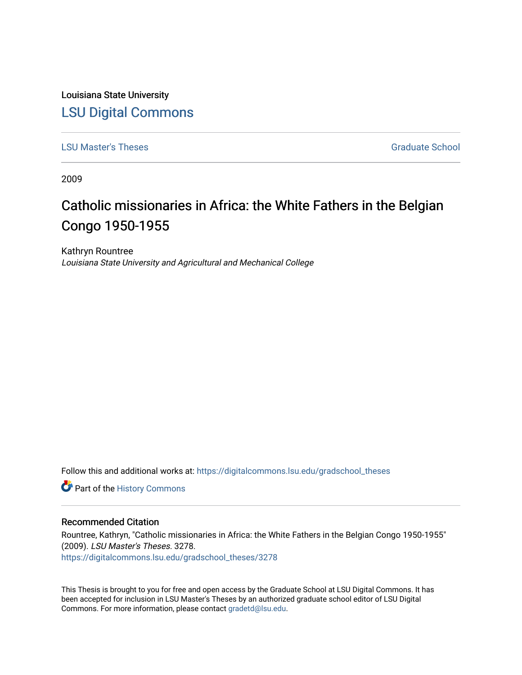Louisiana State University [LSU Digital Commons](https://digitalcommons.lsu.edu/)

**[LSU Master's Theses](https://digitalcommons.lsu.edu/gradschool_theses)** [Graduate School](https://digitalcommons.lsu.edu/gradschool) **Contract Contract Contract Contract Contract Contract Contract Contract Contract Contract Contract Contract Contract Contract Contract Contract Contract Contract Contract Contract Con** 

2009

# Catholic missionaries in Africa: the White Fathers in the Belgian Congo 1950-1955

Kathryn Rountree Louisiana State University and Agricultural and Mechanical College

Follow this and additional works at: [https://digitalcommons.lsu.edu/gradschool\\_theses](https://digitalcommons.lsu.edu/gradschool_theses?utm_source=digitalcommons.lsu.edu%2Fgradschool_theses%2F3278&utm_medium=PDF&utm_campaign=PDFCoverPages) 

Part of the [History Commons](https://network.bepress.com/hgg/discipline/489?utm_source=digitalcommons.lsu.edu%2Fgradschool_theses%2F3278&utm_medium=PDF&utm_campaign=PDFCoverPages) 

#### Recommended Citation

Rountree, Kathryn, "Catholic missionaries in Africa: the White Fathers in the Belgian Congo 1950-1955" (2009). LSU Master's Theses. 3278. [https://digitalcommons.lsu.edu/gradschool\\_theses/3278](https://digitalcommons.lsu.edu/gradschool_theses/3278?utm_source=digitalcommons.lsu.edu%2Fgradschool_theses%2F3278&utm_medium=PDF&utm_campaign=PDFCoverPages) 

This Thesis is brought to you for free and open access by the Graduate School at LSU Digital Commons. It has been accepted for inclusion in LSU Master's Theses by an authorized graduate school editor of LSU Digital Commons. For more information, please contact [gradetd@lsu.edu.](mailto:gradetd@lsu.edu)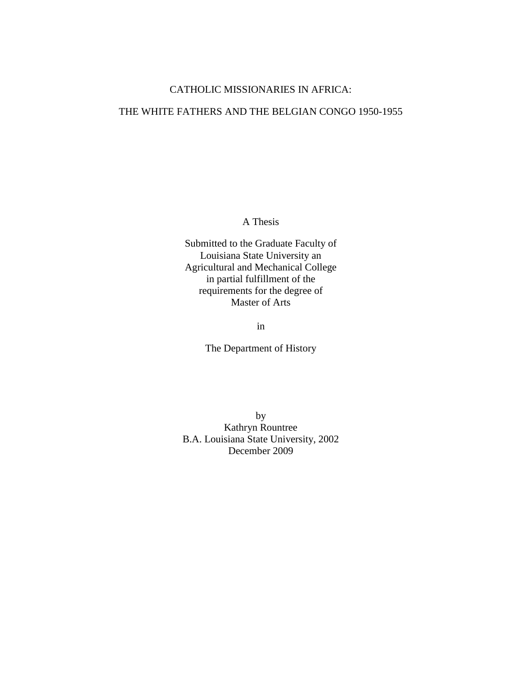### CATHOLIC MISSIONARIES IN AFRICA:

#### THE WHITE FATHERS AND THE BELGIAN CONGO 1950-1955

A Thesis

Submitted to the Graduate Faculty of Louisiana State University an Agricultural and Mechanical College in partial fulfillment of the requirements for the degree of Master of Arts

in

The Department of History

by Kathryn Rountree B.A. Louisiana State University, 2002 December 2009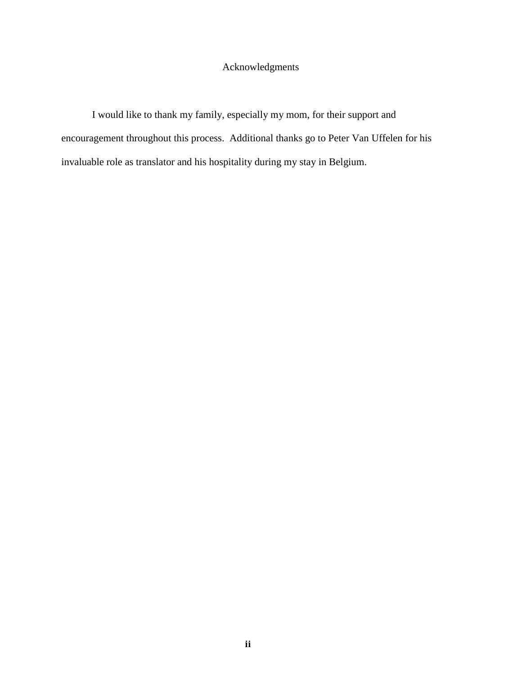## Acknowledgments

I would like to thank my family, especially my mom, for their support and encouragement throughout this process. Additional thanks go to Peter Van Uffelen for his invaluable role as translator and his hospitality during my stay in Belgium.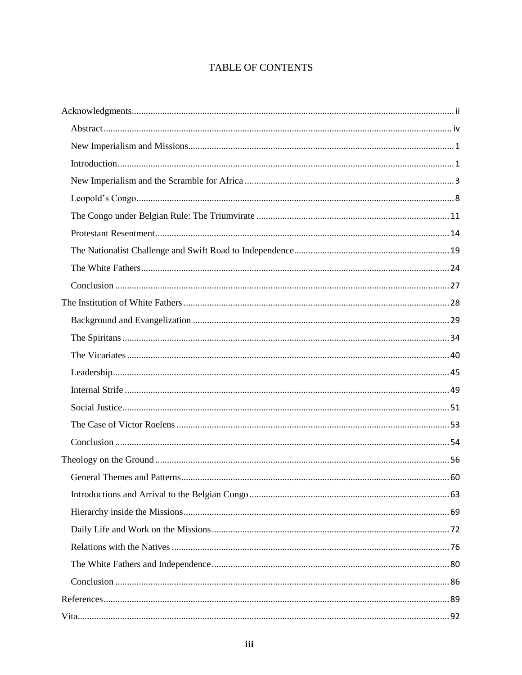# TABLE OF CONTENTS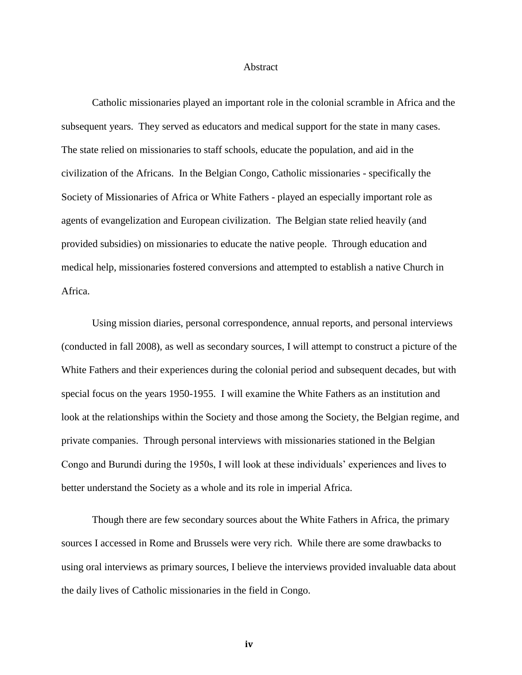#### Abstract

Catholic missionaries played an important role in the colonial scramble in Africa and the subsequent years. They served as educators and medical support for the state in many cases. The state relied on missionaries to staff schools, educate the population, and aid in the civilization of the Africans. In the Belgian Congo, Catholic missionaries - specifically the Society of Missionaries of Africa or White Fathers - played an especially important role as agents of evangelization and European civilization. The Belgian state relied heavily (and provided subsidies) on missionaries to educate the native people. Through education and medical help, missionaries fostered conversions and attempted to establish a native Church in Africa.

Using mission diaries, personal correspondence, annual reports, and personal interviews (conducted in fall 2008), as well as secondary sources, I will attempt to construct a picture of the White Fathers and their experiences during the colonial period and subsequent decades, but with special focus on the years 1950-1955. I will examine the White Fathers as an institution and look at the relationships within the Society and those among the Society, the Belgian regime, and private companies. Through personal interviews with missionaries stationed in the Belgian Congo and Burundi during the 1950s, I will look at these individuals' experiences and lives to better understand the Society as a whole and its role in imperial Africa.

Though there are few secondary sources about the White Fathers in Africa, the primary sources I accessed in Rome and Brussels were very rich. While there are some drawbacks to using oral interviews as primary sources, I believe the interviews provided invaluable data about the daily lives of Catholic missionaries in the field in Congo.

**iv**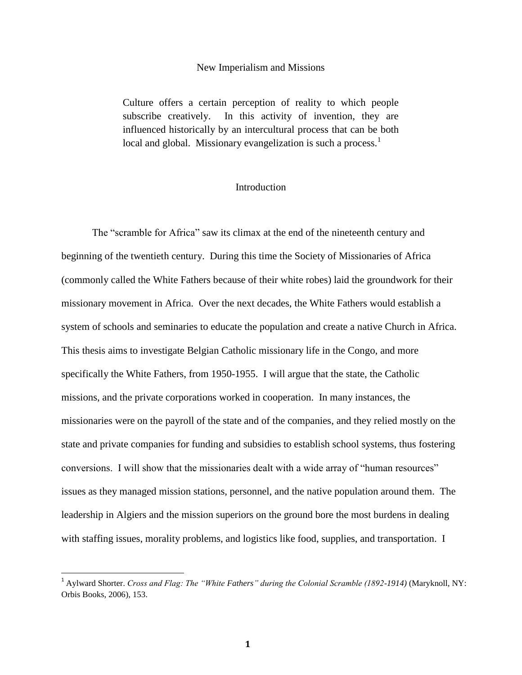#### New Imperialism and Missions

Culture offers a certain perception of reality to which people subscribe creatively. In this activity of invention, they are influenced historically by an intercultural process that can be both local and global. Missionary evangelization is such a process. $<sup>1</sup>$ </sup>

#### **Introduction**

The "scramble for Africa" saw its climax at the end of the nineteenth century and beginning of the twentieth century. During this time the Society of Missionaries of Africa (commonly called the White Fathers because of their white robes) laid the groundwork for their missionary movement in Africa. Over the next decades, the White Fathers would establish a system of schools and seminaries to educate the population and create a native Church in Africa. This thesis aims to investigate Belgian Catholic missionary life in the Congo, and more specifically the White Fathers, from 1950-1955. I will argue that the state, the Catholic missions, and the private corporations worked in cooperation. In many instances, the missionaries were on the payroll of the state and of the companies, and they relied mostly on the state and private companies for funding and subsidies to establish school systems, thus fostering conversions. I will show that the missionaries dealt with a wide array of "human resources" issues as they managed mission stations, personnel, and the native population around them. The leadership in Algiers and the mission superiors on the ground bore the most burdens in dealing with staffing issues, morality problems, and logistics like food, supplies, and transportation. I

<sup>&</sup>lt;sup>1</sup> Aylward Shorter. *Cross and Flag: The "White Fathers" during the Colonial Scramble (1892-1914)* (Maryknoll, NY: Orbis Books, 2006), 153.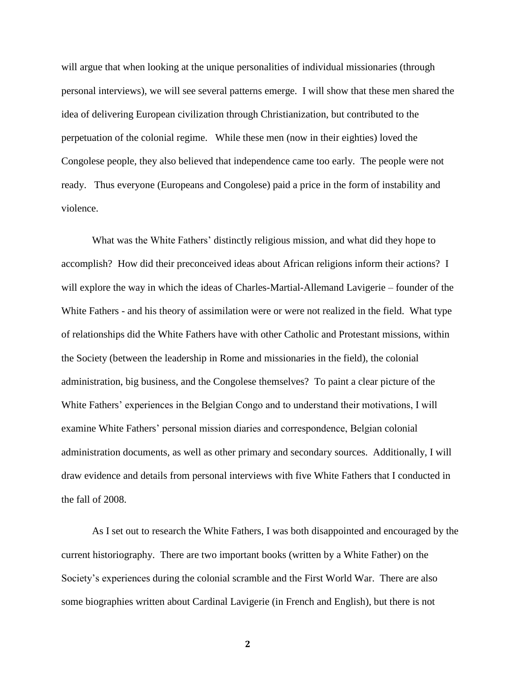will argue that when looking at the unique personalities of individual missionaries (through personal interviews), we will see several patterns emerge. I will show that these men shared the idea of delivering European civilization through Christianization, but contributed to the perpetuation of the colonial regime. While these men (now in their eighties) loved the Congolese people, they also believed that independence came too early. The people were not ready. Thus everyone (Europeans and Congolese) paid a price in the form of instability and violence.

What was the White Fathers' distinctly religious mission, and what did they hope to accomplish? How did their preconceived ideas about African religions inform their actions? I will explore the way in which the ideas of Charles-Martial-Allemand Lavigerie – founder of the White Fathers - and his theory of assimilation were or were not realized in the field. What type of relationships did the White Fathers have with other Catholic and Protestant missions, within the Society (between the leadership in Rome and missionaries in the field), the colonial administration, big business, and the Congolese themselves? To paint a clear picture of the White Fathers' experiences in the Belgian Congo and to understand their motivations, I will examine White Fathers' personal mission diaries and correspondence, Belgian colonial administration documents, as well as other primary and secondary sources. Additionally, I will draw evidence and details from personal interviews with five White Fathers that I conducted in the fall of 2008.

As I set out to research the White Fathers, I was both disappointed and encouraged by the current historiography. There are two important books (written by a White Father) on the Society's experiences during the colonial scramble and the First World War. There are also some biographies written about Cardinal Lavigerie (in French and English), but there is not

**2**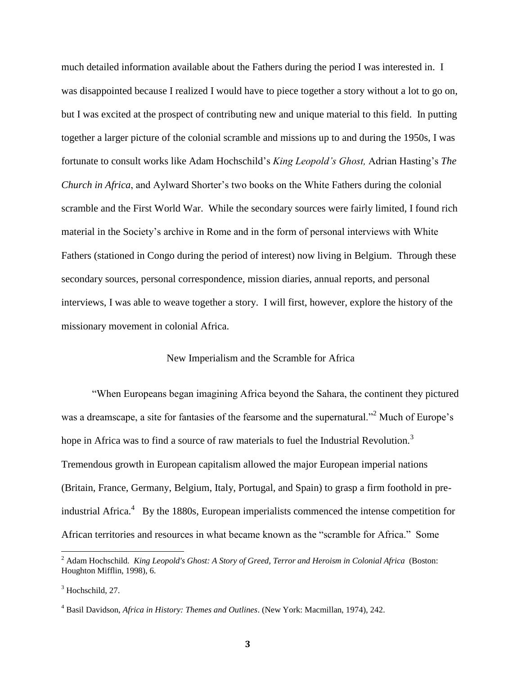much detailed information available about the Fathers during the period I was interested in. I was disappointed because I realized I would have to piece together a story without a lot to go on, but I was excited at the prospect of contributing new and unique material to this field. In putting together a larger picture of the colonial scramble and missions up to and during the 1950s, I was fortunate to consult works like Adam Hochschild's *King Leopold's Ghost,* Adrian Hasting's *The Church in Africa*, and Aylward Shorter's two books on the White Fathers during the colonial scramble and the First World War. While the secondary sources were fairly limited, I found rich material in the Society's archive in Rome and in the form of personal interviews with White Fathers (stationed in Congo during the period of interest) now living in Belgium. Through these secondary sources, personal correspondence, mission diaries, annual reports, and personal interviews, I was able to weave together a story. I will first, however, explore the history of the missionary movement in colonial Africa.

#### New Imperialism and the Scramble for Africa

"When Europeans began imagining Africa beyond the Sahara, the continent they pictured was a dreamscape, a site for fantasies of the fearsome and the supernatural."<sup>2</sup> Much of Europe's hope in Africa was to find a source of raw materials to fuel the Industrial Revolution.<sup>3</sup> Tremendous growth in European capitalism allowed the major European imperial nations (Britain, France, Germany, Belgium, Italy, Portugal, and Spain) to grasp a firm foothold in preindustrial Africa.<sup>4</sup> By the 1880s, European imperialists commenced the intense competition for African territories and resources in what became known as the "scramble for Africa." Some

<sup>2</sup> Adam Hochschild. *King Leopold's Ghost: A Story of Greed, Terror and Heroism in Colonial Africa* (Boston: Houghton Mifflin, 1998), 6.

 $3$  Hochschild, 27.

<sup>4</sup> Basil Davidson, *Africa in History: Themes and Outlines*. (New York: Macmillan, 1974), 242.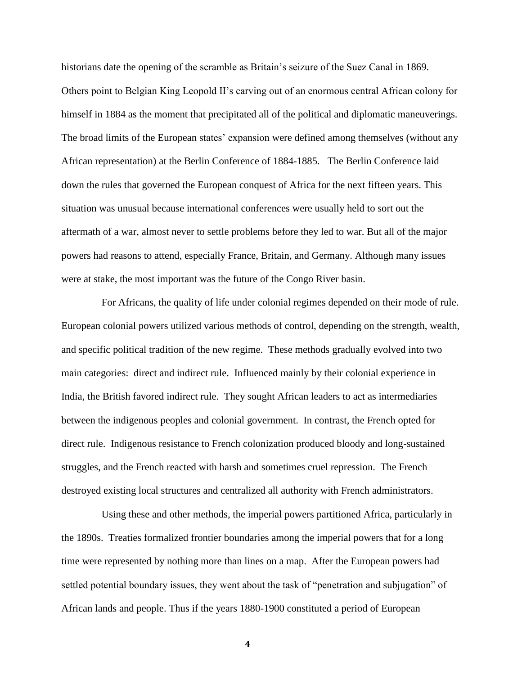historians date the opening of the scramble as Britain's seizure of the Suez Canal in 1869. Others point to Belgian King Leopold II's carving out of an enormous central African colony for himself in 1884 as the moment that precipitated all of the political and diplomatic maneuverings. The broad limits of the European states' expansion were defined among themselves (without any African representation) at the Berlin Conference of 1884-1885. The Berlin Conference laid down the rules that governed the European conquest of Africa for the next fifteen years. This situation was unusual because international conferences were usually held to sort out the aftermath of a war, almost never to settle problems before they led to war. But all of the major powers had reasons to attend, especially France, Britain, and Germany. Although many issues were at stake, the most important was the future of the Congo River basin.

For Africans, the quality of life under colonial regimes depended on their mode of rule. European colonial powers utilized various methods of control, depending on the strength, wealth, and specific political tradition of the new regime. These methods gradually evolved into two main categories: direct and indirect rule. Influenced mainly by their colonial experience in India, the British favored indirect rule. They sought African leaders to act as intermediaries between the indigenous peoples and colonial government. In contrast, the French opted for direct rule. Indigenous resistance to French colonization produced bloody and long-sustained struggles, and the French reacted with harsh and sometimes cruel repression. The French destroyed existing local structures and centralized all authority with French administrators.

Using these and other methods, the imperial powers partitioned Africa, particularly in the 1890s. Treaties formalized frontier boundaries among the imperial powers that for a long time were represented by nothing more than lines on a map. After the European powers had settled potential boundary issues, they went about the task of "penetration and subjugation" of African lands and people. Thus if the years 1880-1900 constituted a period of European

**4**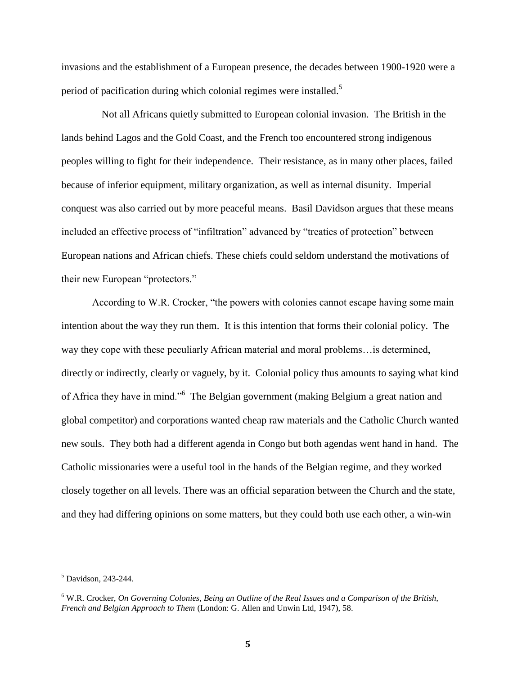invasions and the establishment of a European presence, the decades between 1900-1920 were a period of pacification during which colonial regimes were installed.<sup>5</sup>

Not all Africans quietly submitted to European colonial invasion. The British in the lands behind Lagos and the Gold Coast, and the French too encountered strong indigenous peoples willing to fight for their independence. Their resistance, as in many other places, failed because of inferior equipment, military organization, as well as internal disunity. Imperial conquest was also carried out by more peaceful means. Basil Davidson argues that these means included an effective process of "infiltration" advanced by "treaties of protection" between European nations and African chiefs. These chiefs could seldom understand the motivations of their new European "protectors."

According to W.R. Crocker, "the powers with colonies cannot escape having some main intention about the way they run them. It is this intention that forms their colonial policy. The way they cope with these peculiarly African material and moral problems…is determined, directly or indirectly, clearly or vaguely, by it. Colonial policy thus amounts to saying what kind of Africa they have in mind."<sup>6</sup> The Belgian government (making Belgium a great nation and global competitor) and corporations wanted cheap raw materials and the Catholic Church wanted new souls. They both had a different agenda in Congo but both agendas went hand in hand. The Catholic missionaries were a useful tool in the hands of the Belgian regime, and they worked closely together on all levels. There was an official separation between the Church and the state, and they had differing opinions on some matters, but they could both use each other, a win-win

 $\overline{a}$ 

<sup>&</sup>lt;sup>5</sup> Davidson, 243-244.

<sup>6</sup> W.R. Crocker, *On Governing Colonies, Being an Outline of the Real Issues and a Comparison of the British, French and Belgian Approach to Them* (London: G. Allen and Unwin Ltd, 1947), 58.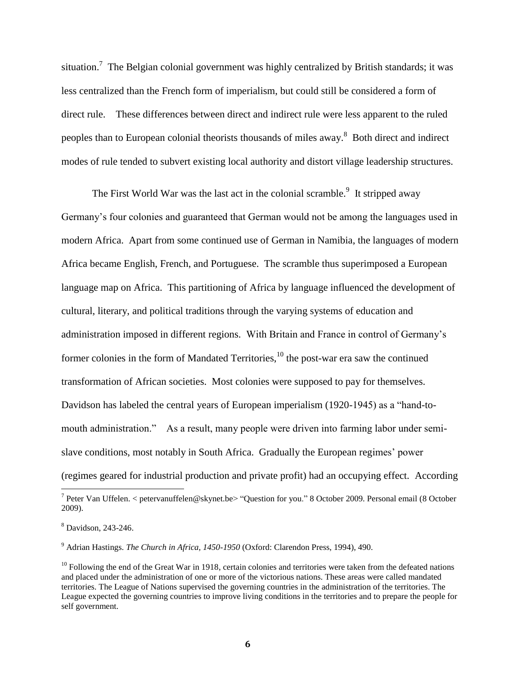situation.<sup>7</sup> The Belgian colonial government was highly centralized by British standards; it was less centralized than the French form of imperialism, but could still be considered a form of direct rule. These differences between direct and indirect rule were less apparent to the ruled peoples than to European colonial theorists thousands of miles away.<sup>8</sup> Both direct and indirect modes of rule tended to subvert existing local authority and distort village leadership structures.

The First World War was the last act in the colonial scramble.<sup>9</sup> It stripped away Germany's four colonies and guaranteed that German would not be among the languages used in modern Africa. Apart from some continued use of German in Namibia, the languages of modern Africa became English, French, and Portuguese. The scramble thus superimposed a European language map on Africa. This partitioning of Africa by language influenced the development of cultural, literary, and political traditions through the varying systems of education and administration imposed in different regions. With Britain and France in control of Germany's former colonies in the form of Mandated Territories, $^{10}$  the post-war era saw the continued transformation of African societies. Most colonies were supposed to pay for themselves. Davidson has labeled the central years of European imperialism (1920-1945) as a "hand-tomouth administration." As a result, many people were driven into farming labor under semislave conditions, most notably in South Africa. Gradually the European regimes' power (regimes geared for industrial production and private profit) had an occupying effect. According

<sup>9</sup> Adrian Hastings. *The Church in Africa, 1450-1950* (Oxford: Clarendon Press, 1994), 490.

 7 Peter Van Uffelen. < petervanuffelen@skynet.be> "Question for you." 8 October 2009. Personal email (8 October 2009).

<sup>8</sup> Davidson, 243-246.

 $10$  Following the end of the Great War in 1918, certain colonies and territories were taken from the defeated nations and placed under the administration of one or more of the victorious nations. These areas were called mandated territories. The League of Nations supervised the governing countries in the administration of the territories. The League expected the governing countries to improve living conditions in the territories and to prepare the people for self government.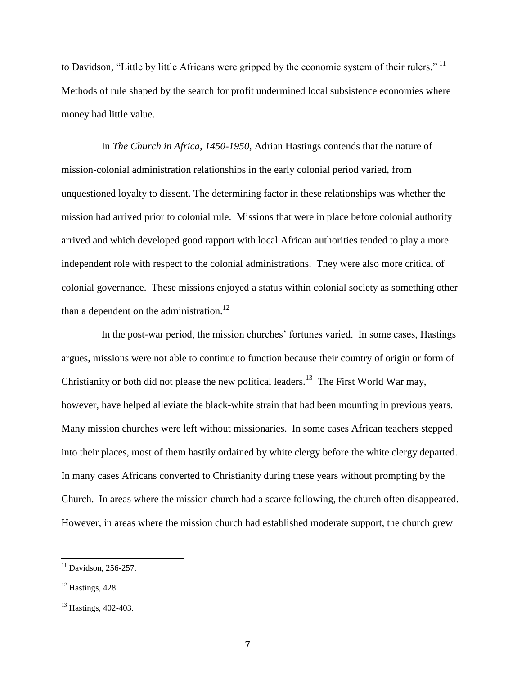to Davidson, "Little by little Africans were gripped by the economic system of their rulers."  $11$ Methods of rule shaped by the search for profit undermined local subsistence economies where money had little value.

In *The Church in Africa, 1450-1950,* Adrian Hastings contends that the nature of mission-colonial administration relationships in the early colonial period varied, from unquestioned loyalty to dissent. The determining factor in these relationships was whether the mission had arrived prior to colonial rule. Missions that were in place before colonial authority arrived and which developed good rapport with local African authorities tended to play a more independent role with respect to the colonial administrations. They were also more critical of colonial governance. These missions enjoyed a status within colonial society as something other than a dependent on the administration.<sup>12</sup>

In the post-war period, the mission churches' fortunes varied. In some cases, Hastings argues, missions were not able to continue to function because their country of origin or form of Christianity or both did not please the new political leaders.<sup>13</sup> The First World War may, however, have helped alleviate the black-white strain that had been mounting in previous years. Many mission churches were left without missionaries. In some cases African teachers stepped into their places, most of them hastily ordained by white clergy before the white clergy departed. In many cases Africans converted to Christianity during these years without prompting by the Church. In areas where the mission church had a scarce following, the church often disappeared. However, in areas where the mission church had established moderate support, the church grew

 $11$  Davidson, 256-257.

 $12$  Hastings, 428.

<sup>&</sup>lt;sup>13</sup> Hastings, 402-403.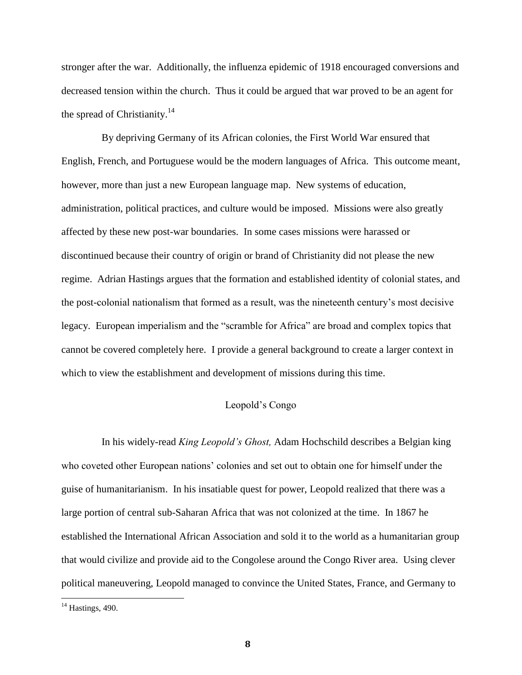stronger after the war. Additionally, the influenza epidemic of 1918 encouraged conversions and decreased tension within the church. Thus it could be argued that war proved to be an agent for the spread of Christianity.<sup>14</sup>

By depriving Germany of its African colonies, the First World War ensured that English, French, and Portuguese would be the modern languages of Africa. This outcome meant, however, more than just a new European language map. New systems of education, administration, political practices, and culture would be imposed. Missions were also greatly affected by these new post-war boundaries. In some cases missions were harassed or discontinued because their country of origin or brand of Christianity did not please the new regime. Adrian Hastings argues that the formation and established identity of colonial states, and the post-colonial nationalism that formed as a result, was the nineteenth century's most decisive legacy. European imperialism and the "scramble for Africa" are broad and complex topics that cannot be covered completely here. I provide a general background to create a larger context in which to view the establishment and development of missions during this time.

#### Leopold's Congo

In his widely-read *King Leopold's Ghost,* Adam Hochschild describes a Belgian king who coveted other European nations' colonies and set out to obtain one for himself under the guise of humanitarianism. In his insatiable quest for power, Leopold realized that there was a large portion of central sub-Saharan Africa that was not colonized at the time. In 1867 he established the International African Association and sold it to the world as a humanitarian group that would civilize and provide aid to the Congolese around the Congo River area. Using clever political maneuvering, Leopold managed to convince the United States, France, and Germany to

 $\overline{a}$ 

 $14$  Hastings, 490.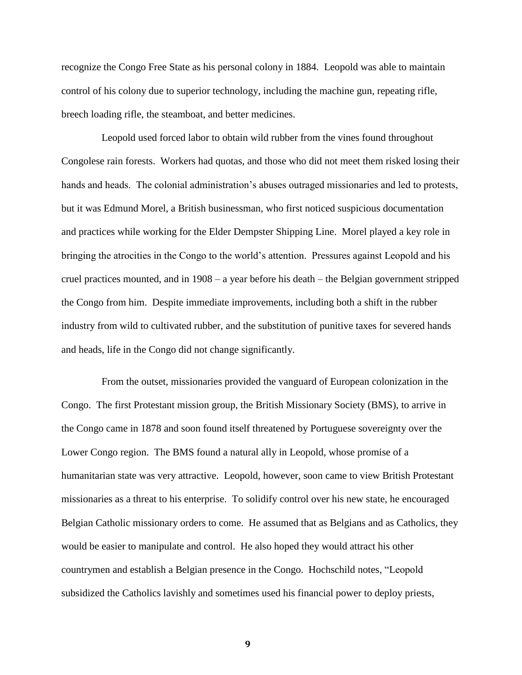recognize the Congo Free State as his personal colony in 1884. Leopold was able to maintain control of his colony due to superior technology, including the machine gun, repeating rifle, breech loading rifle, the steamboat, and better medicines.

Leopold used forced labor to obtain wild rubber from the vines found throughout Congolese rain forests. Workers had quotas, and those who did not meet them risked losing their hands and heads. The colonial administration's abuses outraged missionaries and led to protests, but it was Edmund Morel, a British businessman, who first noticed suspicious documentation and practices while working for the Elder Dempster Shipping Line. Morel played a key role in bringing the atrocities in the Congo to the world's attention. Pressures against Leopold and his cruel practices mounted, and in 1908 – a year before his death – the Belgian government stripped the Congo from him. Despite immediate improvements, including both a shift in the rubber industry from wild to cultivated rubber, and the substitution of punitive taxes for severed hands and heads, life in the Congo did not change significantly.

From the outset, missionaries provided the vanguard of European colonization in the Congo. The first Protestant mission group, the British Missionary Society (BMS), to arrive in the Congo came in 1878 and soon found itself threatened by Portuguese sovereignty over the Lower Congo region. The BMS found a natural ally in Leopold, whose promise of a humanitarian state was very attractive. Leopold, however, soon came to view British Protestant missionaries as a threat to his enterprise. To solidify control over his new state, he encouraged Belgian Catholic missionary orders to come. He assumed that as Belgians and as Catholics, they would be easier to manipulate and control. He also hoped they would attract his other countrymen and establish a Belgian presence in the Congo. Hochschild notes, "Leopold subsidized the Catholics lavishly and sometimes used his financial power to deploy priests,

**9**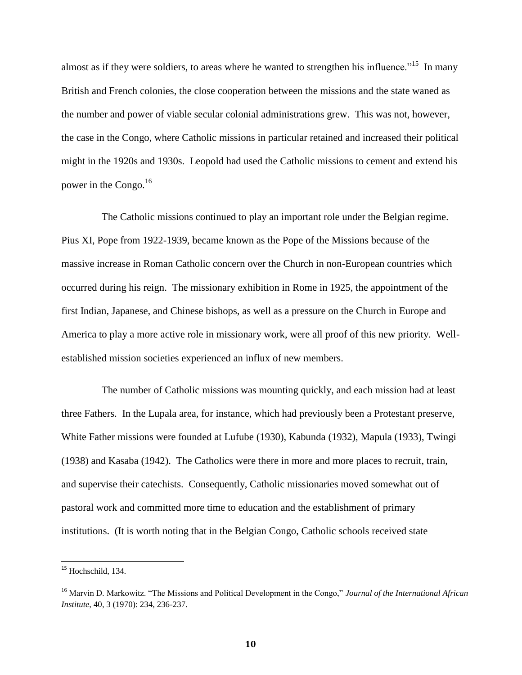almost as if they were soldiers, to areas where he wanted to strengthen his influence."<sup>15</sup> In many British and French colonies, the close cooperation between the missions and the state waned as the number and power of viable secular colonial administrations grew. This was not, however, the case in the Congo, where Catholic missions in particular retained and increased their political might in the 1920s and 1930s. Leopold had used the Catholic missions to cement and extend his power in the Congo.<sup>16</sup>

The Catholic missions continued to play an important role under the Belgian regime. Pius XI, Pope from 1922-1939, became known as the Pope of the Missions because of the massive increase in Roman Catholic concern over the Church in non-European countries which occurred during his reign. The missionary exhibition in Rome in 1925, the appointment of the first Indian, Japanese, and Chinese bishops, as well as a pressure on the Church in Europe and America to play a more active role in missionary work, were all proof of this new priority. Wellestablished mission societies experienced an influx of new members.

The number of Catholic missions was mounting quickly, and each mission had at least three Fathers. In the Lupala area, for instance, which had previously been a Protestant preserve, White Father missions were founded at Lufube (1930), Kabunda (1932), Mapula (1933), Twingi (1938) and Kasaba (1942). The Catholics were there in more and more places to recruit, train, and supervise their catechists. Consequently, Catholic missionaries moved somewhat out of pastoral work and committed more time to education and the establishment of primary institutions. (It is worth noting that in the Belgian Congo, Catholic schools received state

<sup>&</sup>lt;sup>15</sup> Hochschild, 134.

<sup>16</sup> Marvin D. Markowitz. "The Missions and Political Development in the Congo," *Journal of the International African Institute*, 40, 3 (1970): 234, 236-237.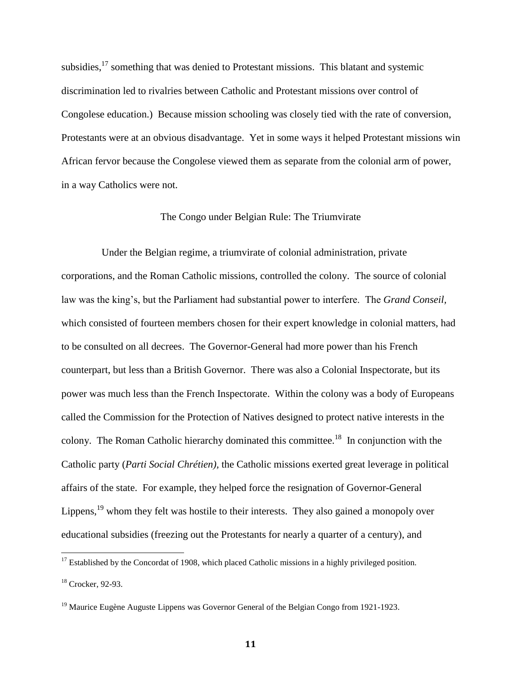subsidies, $^{17}$  something that was denied to Protestant missions. This blatant and systemic discrimination led to rivalries between Catholic and Protestant missions over control of Congolese education.) Because mission schooling was closely tied with the rate of conversion, Protestants were at an obvious disadvantage. Yet in some ways it helped Protestant missions win African fervor because the Congolese viewed them as separate from the colonial arm of power, in a way Catholics were not.

#### The Congo under Belgian Rule: The Triumvirate

Under the Belgian regime, a triumvirate of colonial administration, private corporations, and the Roman Catholic missions, controlled the colony. The source of colonial law was the king's, but the Parliament had substantial power to interfere. The *Grand Conseil,*  which consisted of fourteen members chosen for their expert knowledge in colonial matters, had to be consulted on all decrees. The Governor-General had more power than his French counterpart, but less than a British Governor. There was also a Colonial Inspectorate, but its power was much less than the French Inspectorate. Within the colony was a body of Europeans called the Commission for the Protection of Natives designed to protect native interests in the colony. The Roman Catholic hierarchy dominated this committee.<sup>18</sup> In conjunction with the Catholic party (*[Parti Social Chrétien\)](http://en.wikipedia.org/wiki/Parti_Social_Chr%C3%A9tien_%28Belgium%29),* the Catholic missions exerted great leverage in political affairs of the state. For example, they helped force the resignation of Governor-General Lippens, $19$  whom they felt was hostile to their interests. They also gained a monopoly over educational subsidies (freezing out the Protestants for nearly a quarter of a century), and

 $17$  Established by the Concordat of 1908, which placed Catholic missions in a highly privileged position. <sup>18</sup> Crocker, 92-93.

<sup>&</sup>lt;sup>19</sup> Maurice [Eugène Auguste Lippens](http://en.wikipedia.org/wiki/Maurice_Lippens_%28governor%29) was Governor General of the Belgian Congo from 1921-1923.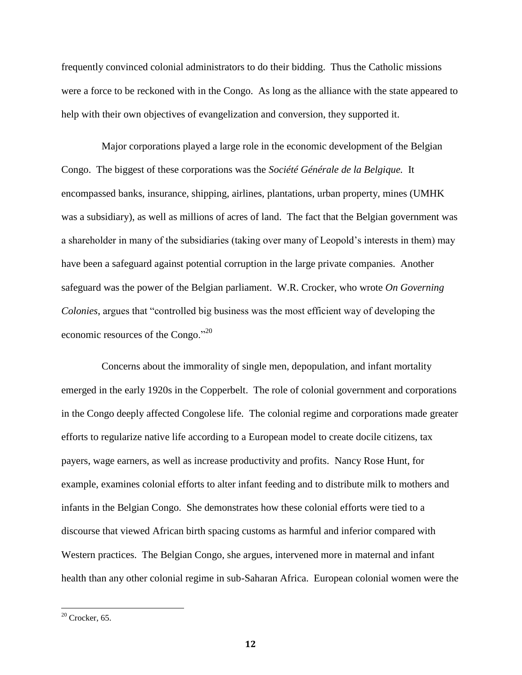frequently convinced colonial administrators to do their bidding. Thus the Catholic missions were a force to be reckoned with in the Congo. As long as the alliance with the state appeared to help with their own objectives of evangelization and conversion, they supported it.

Major corporations played a large role in the economic development of the Belgian Congo. The biggest of these corporations was the *Société Générale de la Belgique.* It encompassed banks, insurance, shipping, airlines, plantations, urban property, mines (UMHK was a subsidiary), as well as millions of acres of land. The fact that the Belgian government was a shareholder in many of the subsidiaries (taking over many of Leopold's interests in them) may have been a safeguard against potential corruption in the large private companies. Another safeguard was the power of the Belgian parliament. W.R. Crocker, who wrote *On Governing Colonies*, argues that "controlled big business was the most efficient way of developing the economic resources of the Congo."<sup>20</sup>

Concerns about the immorality of single men, depopulation, and infant mortality emerged in the early 1920s in the Copperbelt. The role of colonial government and corporations in the Congo deeply affected Congolese life. The colonial regime and corporations made greater efforts to regularize native life according to a European model to create docile citizens, tax payers, wage earners, as well as increase productivity and profits. Nancy Rose Hunt, for example, examines colonial efforts to alter infant feeding and to distribute milk to mothers and infants in the Belgian Congo. She demonstrates how these colonial efforts were tied to a discourse that viewed African birth spacing customs as harmful and inferior compared with Western practices. The Belgian Congo, she argues, intervened more in maternal and infant health than any other colonial regime in sub-Saharan Africa. European colonial women were the

 $20$  Crocker, 65.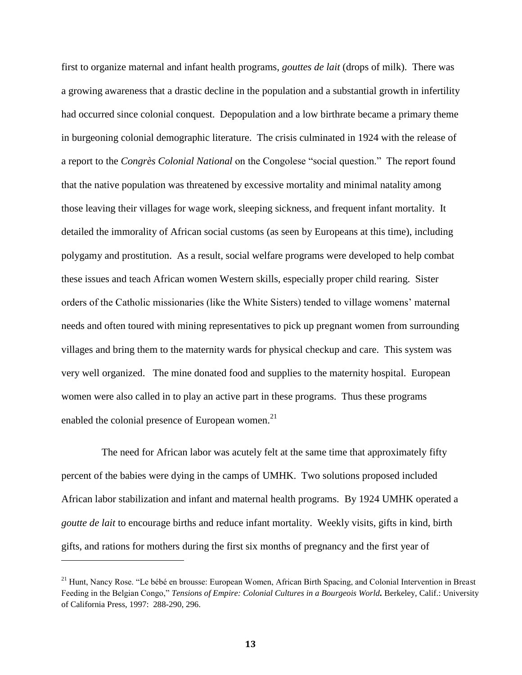first to organize maternal and infant health programs, *gouttes de lait* (drops of milk). There was a growing awareness that a drastic decline in the population and a substantial growth in infertility had occurred since colonial conquest. Depopulation and a low birthrate became a primary theme in burgeoning colonial demographic literature. The crisis culminated in 1924 with the release of a report to the *Congrès Colonial National* on the Congolese "social question." The report found that the native population was threatened by excessive mortality and minimal natality among those leaving their villages for wage work, sleeping sickness, and frequent infant mortality. It detailed the immorality of African social customs (as seen by Europeans at this time), including polygamy and prostitution. As a result, social welfare programs were developed to help combat these issues and teach African women Western skills, especially proper child rearing. Sister orders of the Catholic missionaries (like the White Sisters) tended to village womens' maternal needs and often toured with mining representatives to pick up pregnant women from surrounding villages and bring them to the maternity wards for physical checkup and care. This system was very well organized. The mine donated food and supplies to the maternity hospital. European women were also called in to play an active part in these programs. Thus these programs enabled the colonial presence of European women. $21$ 

The need for African labor was acutely felt at the same time that approximately fifty percent of the babies were dying in the camps of UMHK. Two solutions proposed included African labor stabilization and infant and maternal health programs. By 1924 UMHK operated a *goutte de lait* to encourage births and reduce infant mortality. Weekly visits, gifts in kind, birth gifts, and rations for mothers during the first six months of pregnancy and the first year of

<sup>&</sup>lt;sup>21</sup> Hunt, Nancy Rose. "Le bébé en brousse: European Women, African Birth Spacing, and Colonial Intervention in Breast Feeding in the Belgian Congo," *Tensions of Empire: Colonial Cultures in a Bourgeois World.* Berkeley, Calif.: University of California Press, 1997: 288-290, 296.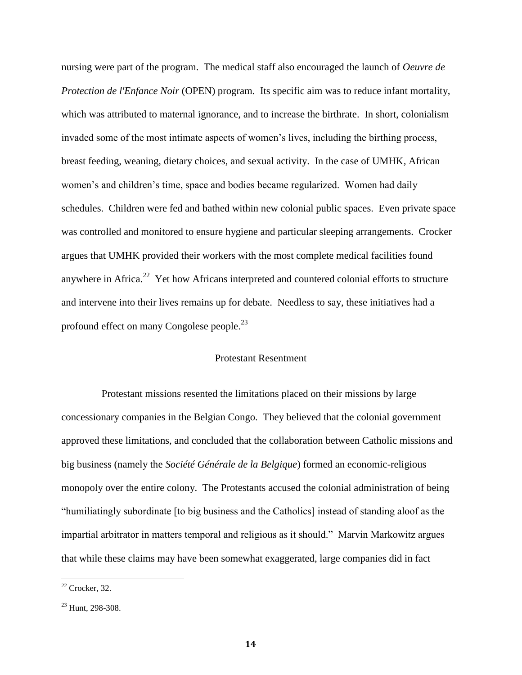nursing were part of the program. The medical staff also encouraged the launch of *Oeuvre de Protection de l'Enfance Noir* (OPEN) program. Its specific aim was to reduce infant mortality, which was attributed to maternal ignorance, and to increase the birthrate. In short, colonialism invaded some of the most intimate aspects of women's lives, including the birthing process, breast feeding, weaning, dietary choices, and sexual activity. In the case of UMHK*,* African women's and children's time, space and bodies became regularized. Women had daily schedules. Children were fed and bathed within new colonial public spaces. Even private space was controlled and monitored to ensure hygiene and particular sleeping arrangements. Crocker argues that UMHK provided their workers with the most complete medical facilities found anywhere in Africa.<sup>22</sup> Yet how Africans interpreted and countered colonial efforts to structure and intervene into their lives remains up for debate. Needless to say, these initiatives had a profound effect on many Congolese people.<sup>23</sup>

#### Protestant Resentment

Protestant missions resented the limitations placed on their missions by large concessionary companies in the Belgian Congo. They believed that the colonial government approved these limitations, and concluded that the collaboration between Catholic missions and big business (namely the *Société Générale de la Belgique*) formed an economic-religious monopoly over the entire colony. The Protestants accused the colonial administration of being "humiliatingly subordinate [to big business and the Catholics] instead of standing aloof as the impartial arbitrator in matters temporal and religious as it should." Marvin Markowitz argues that while these claims may have been somewhat exaggerated, large companies did in fact

 $22$  Crocker, 32.

<sup>&</sup>lt;sup>23</sup> Hunt, 298-308.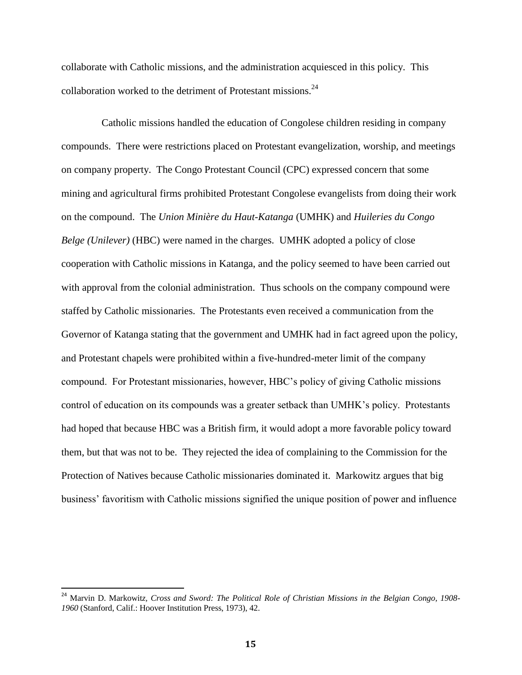collaborate with Catholic missions, and the administration acquiesced in this policy. This collaboration worked to the detriment of Protestant missions.<sup>24</sup>

Catholic missions handled the education of Congolese children residing in company compounds. There were restrictions placed on Protestant evangelization, worship, and meetings on company property. The Congo Protestant Council (CPC) expressed concern that some mining and agricultural firms prohibited Protestant Congolese evangelists from doing their work on the compound. The *Union Minière du Haut-Katanga* (UMHK) and *Huileries du Congo Belge (Unilever)* (HBC) were named in the charges. UMHK adopted a policy of close cooperation with Catholic missions in Katanga, and the policy seemed to have been carried out with approval from the colonial administration. Thus schools on the company compound were staffed by Catholic missionaries. The Protestants even received a communication from the Governor of Katanga stating that the government and UMHK had in fact agreed upon the policy, and Protestant chapels were prohibited within a five-hundred-meter limit of the company compound. For Protestant missionaries, however, HBC's policy of giving Catholic missions control of education on its compounds was a greater setback than UMHK's policy. Protestants had hoped that because HBC was a British firm, it would adopt a more favorable policy toward them, but that was not to be. They rejected the idea of complaining to the Commission for the Protection of Natives because Catholic missionaries dominated it. Markowitz argues that big business' favoritism with Catholic missions signified the unique position of power and influence

<sup>24</sup> Marvin D. Markowit*z, Cross and Sword: The Political Role of Christian Missions in the Belgian Congo, 1908- 1960* (Stanford, Calif.: Hoover Institution Press, 1973), 42.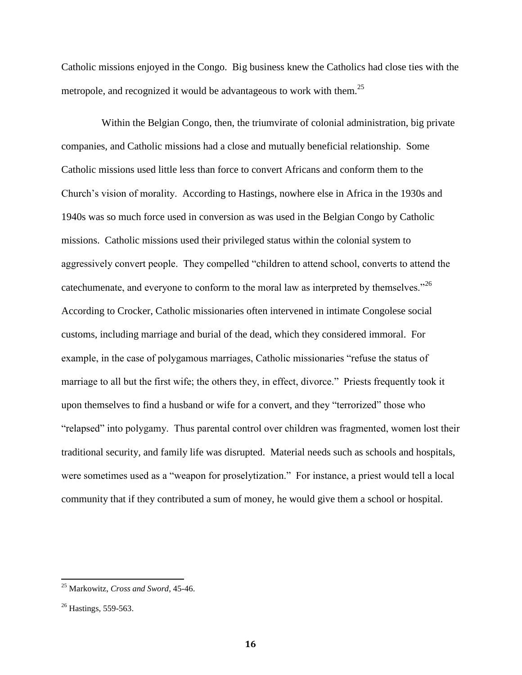Catholic missions enjoyed in the Congo. Big business knew the Catholics had close ties with the metropole, and recognized it would be advantageous to work with them.<sup>25</sup>

Within the Belgian Congo, then, the triumvirate of colonial administration, big private companies, and Catholic missions had a close and mutually beneficial relationship. Some Catholic missions used little less than force to convert Africans and conform them to the Church's vision of morality. According to Hastings, nowhere else in Africa in the 1930s and 1940s was so much force used in conversion as was used in the Belgian Congo by Catholic missions. Catholic missions used their privileged status within the colonial system to aggressively convert people. They compelled "children to attend school, converts to attend the catechumenate, and everyone to conform to the moral law as interpreted by themselves."<sup>26</sup> According to Crocker, Catholic missionaries often intervened in intimate Congolese social customs, including marriage and burial of the dead, which they considered immoral. For example, in the case of polygamous marriages, Catholic missionaries "refuse the status of marriage to all but the first wife; the others they, in effect, divorce." Priests frequently took it upon themselves to find a husband or wife for a convert, and they "terrorized" those who "relapsed" into polygamy. Thus parental control over children was fragmented, women lost their traditional security, and family life was disrupted. Material needs such as schools and hospitals, were sometimes used as a "weapon for proselytization." For instance, a priest would tell a local community that if they contributed a sum of money, he would give them a school or hospital.

<sup>25</sup> Markowitz, *Cross and Sword*, 45-46.

<sup>&</sup>lt;sup>26</sup> Hastings, 559-563.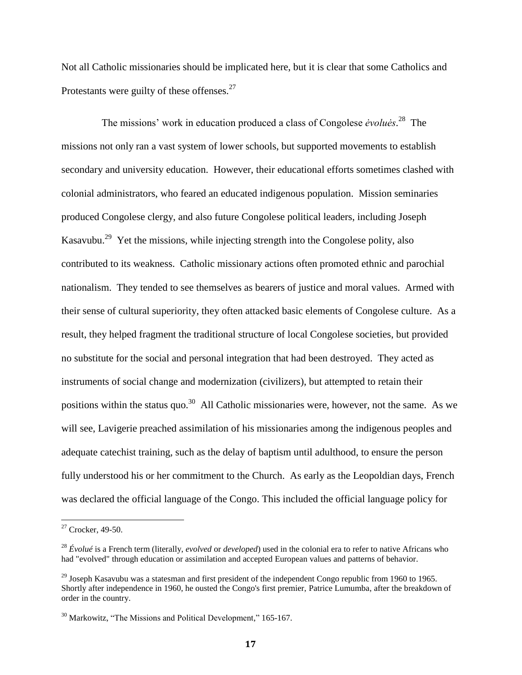Not all Catholic missionaries should be implicated here, but it is clear that some Catholics and Protestants were guilty of these offenses.<sup>27</sup>

The missions' work in education produced a class of Congolese *ėvoluės*. 28 The missions not only ran a vast system of lower schools, but supported movements to establish secondary and university education. However, their educational efforts sometimes clashed with colonial administrators, who feared an educated indigenous population. Mission seminaries produced Congolese clergy, and also future Congolese political leaders, including Joseph Kasavubu.<sup>29</sup> Yet the missions, while injecting strength into the Congolese polity, also contributed to its weakness. Catholic missionary actions often promoted ethnic and parochial nationalism. They tended to see themselves as bearers of justice and moral values. Armed with their sense of cultural superiority, they often attacked basic elements of Congolese culture. As a result, they helped fragment the traditional structure of local Congolese societies, but provided no substitute for the social and personal integration that had been destroyed. They acted as instruments of social change and modernization (civilizers), but attempted to retain their positions within the status quo.<sup>30</sup> All Catholic missionaries were, however, not the same. As we will see, Lavigerie preached assimilation of his missionaries among the indigenous peoples and adequate catechist training, such as the delay of baptism until adulthood, to ensure the person fully understood his or her commitment to the Church. As early as the Leopoldian days, French was declared the official language of the Congo. This included the official language policy for

 $27$  Crocker, 49-50.

<sup>28</sup> *Évolué* is a [French](http://en.wikipedia.org/wiki/French_language) term (literally, *evolved* or *developed*) used in the [colonial era](http://en.wikipedia.org/wiki/Colonialism) to refer to native Africans who had "evolved" through [education](http://en.wikipedia.org/wiki/Education) or [assimilation](http://en.wikipedia.org/wiki/Cultural_assimilation) and accepted [European](http://en.wikipedia.org/wiki/Europe) values and patterns of behavior.

 $^{29}$  Joseph Kasavubu was a statesman and first president of the independent Congo republic from 1960 to 1965. Shortly after independence in 1960, he ousted the Congo's first premier, [Patrice Lumumba,](http://www.britannica.com/eb/article-9049346/Patrice-Lumumba) after the breakdown of order in the country.

<sup>&</sup>lt;sup>30</sup> Markowitz, "The Missions and Political Development," 165-167.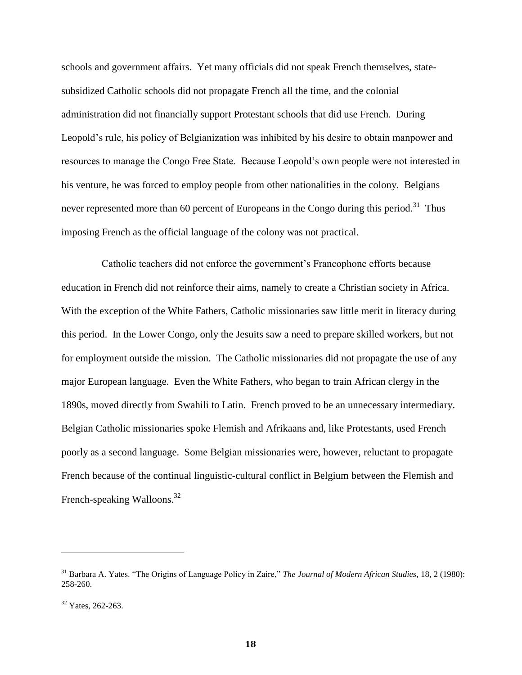schools and government affairs. Yet many officials did not speak French themselves, statesubsidized Catholic schools did not propagate French all the time, and the colonial administration did not financially support Protestant schools that did use French. During Leopold's rule, his policy of Belgianization was inhibited by his desire to obtain manpower and resources to manage the Congo Free State. Because Leopold's own people were not interested in his venture, he was forced to employ people from other nationalities in the colony. Belgians never represented more than 60 percent of Europeans in the Congo during this period.<sup>31</sup> Thus imposing French as the official language of the colony was not practical.

Catholic teachers did not enforce the government's Francophone efforts because education in French did not reinforce their aims, namely to create a Christian society in Africa. With the exception of the White Fathers, Catholic missionaries saw little merit in literacy during this period. In the Lower Congo, only the Jesuits saw a need to prepare skilled workers, but not for employment outside the mission. The Catholic missionaries did not propagate the use of any major European language. Even the White Fathers, who began to train African clergy in the 1890s, moved directly from Swahili to Latin. French proved to be an unnecessary intermediary. Belgian Catholic missionaries spoke Flemish and Afrikaans and, like Protestants, used French poorly as a second language. Some Belgian missionaries were, however, reluctant to propagate French because of the continual linguistic-cultural conflict in Belgium between the Flemish and French-speaking Walloons.<sup>32</sup>

<sup>31</sup> Barbara A. Yates. "The Origins of Language Policy in Zaire," *The Journal of Modern African Studies,* 18, 2 (1980): 258-260.

<sup>&</sup>lt;sup>32</sup> Yates, 262-263.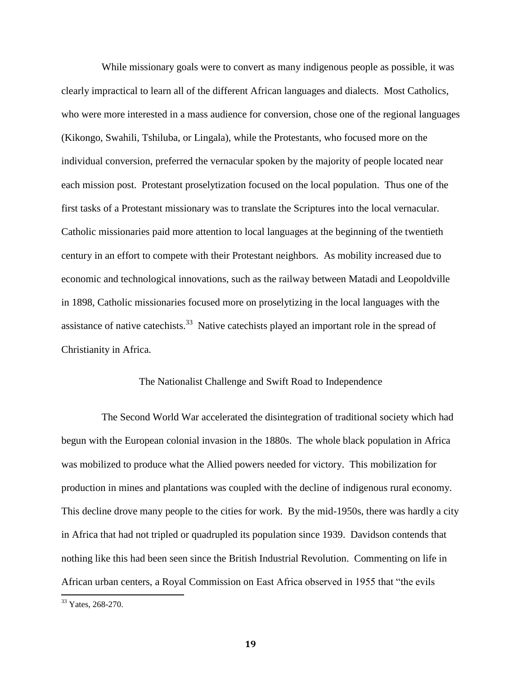While missionary goals were to convert as many indigenous people as possible, it was clearly impractical to learn all of the different African languages and dialects. Most Catholics, who were more interested in a mass audience for conversion, chose one of the regional languages (Kikongo, Swahili, Tshiluba, or Lingala), while the Protestants, who focused more on the individual conversion, preferred the vernacular spoken by the majority of people located near each mission post. Protestant proselytization focused on the local population. Thus one of the first tasks of a Protestant missionary was to translate the Scriptures into the local vernacular. Catholic missionaries paid more attention to local languages at the beginning of the twentieth century in an effort to compete with their Protestant neighbors. As mobility increased due to economic and technological innovations, such as the railway between Matadi and Leopoldville in 1898, Catholic missionaries focused more on proselytizing in the local languages with the assistance of native cate chists.<sup>33</sup> Native cate chists played an important role in the spread of Christianity in Africa.

#### The Nationalist Challenge and Swift Road to Independence

The Second World War accelerated the disintegration of traditional society which had begun with the European colonial invasion in the 1880s. The whole black population in Africa was mobilized to produce what the Allied powers needed for victory. This mobilization for production in mines and plantations was coupled with the decline of indigenous rural economy. This decline drove many people to the cities for work. By the mid-1950s, there was hardly a city in Africa that had not tripled or quadrupled its population since 1939. Davidson contends that nothing like this had been seen since the British Industrial Revolution. Commenting on life in African urban centers, a Royal Commission on East Africa observed in 1955 that "the evils

<sup>&</sup>lt;sup>33</sup> Yates, 268-270.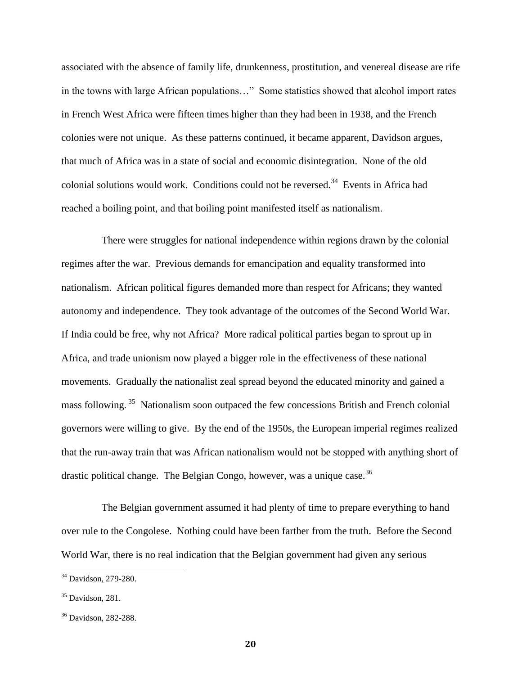associated with the absence of family life, drunkenness, prostitution, and venereal disease are rife in the towns with large African populations…" Some statistics showed that alcohol import rates in French West Africa were fifteen times higher than they had been in 1938, and the French colonies were not unique. As these patterns continued, it became apparent, Davidson argues, that much of Africa was in a state of social and economic disintegration. None of the old colonial solutions would work. Conditions could not be reversed.<sup>34</sup> Events in Africa had reached a boiling point, and that boiling point manifested itself as nationalism.

There were struggles for national independence within regions drawn by the colonial regimes after the war. Previous demands for emancipation and equality transformed into nationalism. African political figures demanded more than respect for Africans; they wanted autonomy and independence. They took advantage of the outcomes of the Second World War. If India could be free, why not Africa? More radical political parties began to sprout up in Africa, and trade unionism now played a bigger role in the effectiveness of these national movements. Gradually the nationalist zeal spread beyond the educated minority and gained a mass following.<sup>35</sup> Nationalism soon outpaced the few concessions British and French colonial governors were willing to give. By the end of the 1950s, the European imperial regimes realized that the run-away train that was African nationalism would not be stopped with anything short of drastic political change. The Belgian Congo, however, was a unique case.<sup>36</sup>

The Belgian government assumed it had plenty of time to prepare everything to hand over rule to the Congolese. Nothing could have been farther from the truth. Before the Second World War, there is no real indication that the Belgian government had given any serious

 $\overline{a}$ 

<sup>&</sup>lt;sup>34</sup> Davidson, 279-280.

 $35$  Davidson, 281.

<sup>36</sup> Davidson, 282-288.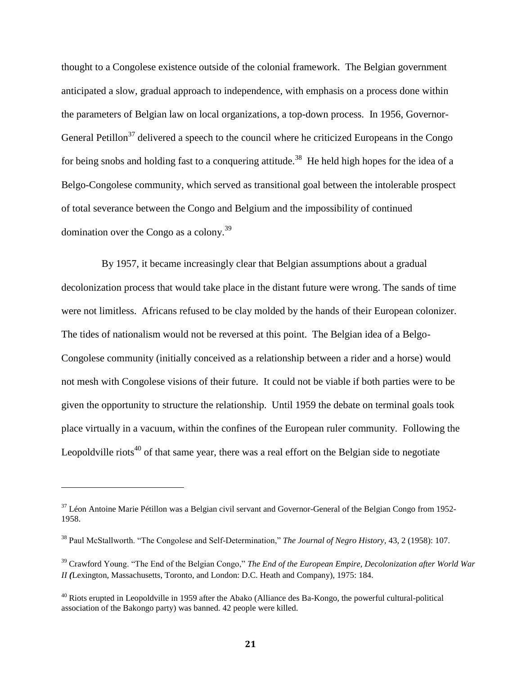thought to a Congolese existence outside of the colonial framework. The Belgian government anticipated a slow, gradual approach to independence, with emphasis on a process done within the parameters of Belgian law on local organizations, a top-down process. In 1956, Governor-General Petillon<sup>37</sup> delivered a speech to the council where he criticized Europeans in the Congo for being snobs and holding fast to a conquering attitude.<sup>38</sup> He held high hopes for the idea of a Belgo-Congolese community, which served as transitional goal between the intolerable prospect of total severance between the Congo and Belgium and the impossibility of continued domination over the Congo as a colony.<sup>39</sup>

By 1957, it became increasingly clear that Belgian assumptions about a gradual decolonization process that would take place in the distant future were wrong. The sands of time were not limitless. Africans refused to be clay molded by the hands of their European colonizer. The tides of nationalism would not be reversed at this point. The Belgian idea of a Belgo-Congolese community (initially conceived as a relationship between a rider and a horse) would not mesh with Congolese visions of their future. It could not be viable if both parties were to be given the opportunity to structure the relationship. Until 1959 the debate on terminal goals took place virtually in a vacuum, within the confines of the European ruler community. Following the Leopoldville riots<sup>40</sup> of that same year, there was a real effort on the Belgian side to negotiate

 $\overline{a}$ 

 $37$  Léon Antoine Marie Pétillon was [a Belgian](http://en.wikipedia.org/wiki/Belgium) [civil servant](http://en.wikipedia.org/wiki/Civil_servant) and Governor-General of the [Belgian Congo](http://en.wikipedia.org/wiki/Belgian_Congo) from [1952-](http://en.wikipedia.org/wiki/1952) [1958.](http://en.wikipedia.org/wiki/1958)

<sup>38</sup> Paul McStallworth. "The Congolese and Self-Determination," *The Journal of Negro History,* 43, 2 (1958): 107.

<sup>39</sup> Crawford Young. "The End of the Belgian Congo," *The End of the European Empire, Decolonization after World War II (*Lexington, Massachusetts, Toronto, and London: D.C. Heath and Company), 1975: 184.

 $^{40}$  Riots erupted in Leopoldville in 1959 after the Abako (Alliance des Ba-Kongo, the powerful cultural-political association of the Bakongo party) was banned. 42 people were killed.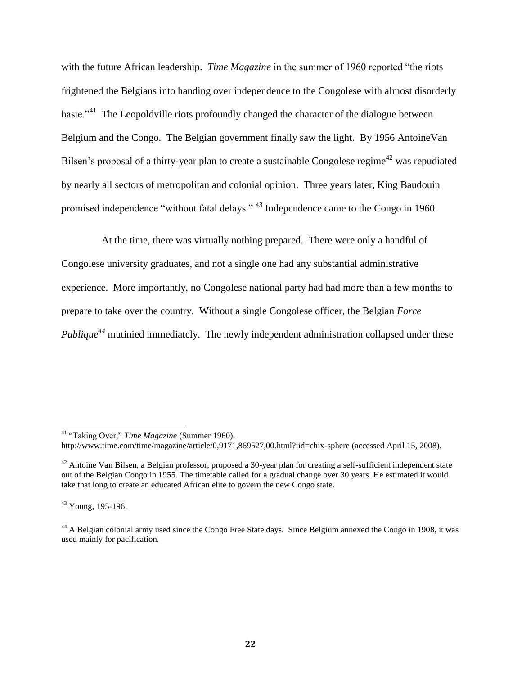with the future African leadership. *Time Magazine* in the summer of 1960 reported "the riots frightened the Belgians into handing over independence to the Congolese with almost disorderly haste."<sup>41</sup> The Leopoldville riots profoundly changed the character of the dialogue between Belgium and the Congo. The Belgian government finally saw the light. By 1956 AntoineVan Bilsen's proposal of a thirty-year plan to create a sustainable Congolese regime<sup>42</sup> was repudiated by nearly all sectors of metropolitan and colonial opinion. Three years later, King Baudouin promised independence "without fatal delays." <sup>43</sup> Independence came to the Congo in 1960.

At the time, there was virtually nothing prepared. There were only a handful of Congolese university graduates, and not a single one had any substantial administrative experience. More importantly, no Congolese national party had had more than a few months to prepare to take over the country. Without a single Congolese officer, the Belgian *Force Publique<sup>44</sup>* mutinied immediately. The newly independent administration collapsed under these

<sup>41</sup> "Taking Over," *Time Magazine* (Summer 1960).

<http://www.time.com/time/magazine/article/0,9171,869527,00.html?iid=chix-sphere> (accessed April 15, 2008).

 $42$  Antoine Van Bilsen, a Belgian professor, proposed a 30-year plan for creating a self-sufficient independent state out of the [Belgian Congo](http://en.wikipedia.org/wiki/Belgian_Congo) in 1955. The timetable called for a gradual change over 30 years. He estimated it would take that long to create an educated African [elite](http://en.wikipedia.org/wiki/Elite) to govern the new Congo state.

<sup>43</sup> Young, 195-196.

<sup>&</sup>lt;sup>44</sup> A Belgian colonial army used since the Congo Free State days. Since Belgium annexed the Congo in 1908, it was used mainly for pacification.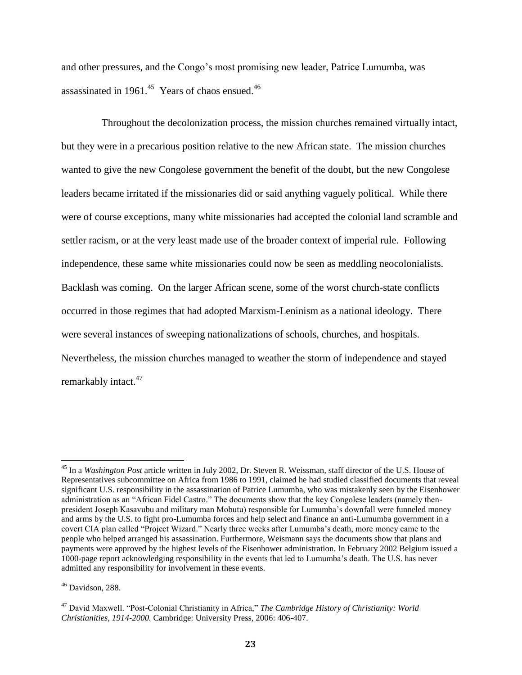and other pressures, and the Congo's most promising new leader, Patrice Lumumba, was assassinated in 1961. $45$  Years of chaos ensued. $46$ 

Throughout the decolonization process, the mission churches remained virtually intact, but they were in a precarious position relative to the new African state. The mission churches wanted to give the new Congolese government the benefit of the doubt, but the new Congolese leaders became irritated if the missionaries did or said anything vaguely political. While there were of course exceptions, many white missionaries had accepted the colonial land scramble and settler racism, or at the very least made use of the broader context of imperial rule. Following independence, these same white missionaries could now be seen as meddling neocolonialists. Backlash was coming. On the larger African scene, some of the worst church-state conflicts occurred in those regimes that had adopted Marxism-Leninism as a national ideology. There were several instances of sweeping nationalizations of schools, churches, and hospitals. Nevertheless, the mission churches managed to weather the storm of independence and stayed remarkably intact.<sup>47</sup>

<sup>45</sup> In a *Washington Post* article written in July 2002, Dr. Steven R. Weissman, staff director of the U.S. House of Representatives subcommittee on Africa from 1986 to 1991, claimed he had studied classified documents that reveal significant U.S. responsibility in the assassination of Patrice Lumumba, who was mistakenly seen by the Eisenhower administration as an "African Fidel Castro." The documents show that the key Congolese leaders (namely thenpresident Joseph Kasavubu and military man Mobutu) responsible for Lumumba's downfall were funneled money and arms by the U.S. to fight pro-Lumumba forces and help select and finance an anti-Lumumba government in a covert CIA plan called "Project Wizard." Nearly three weeks after Lumumba's death, more money came to the people who helped arranged his assassination. Furthermore, Weismann says the documents show that plans and payments were approved by the highest levels of the Eisenhower administration. In February 2002 Belgium issued a 1000-page report acknowledging responsibility in the events that led to Lumumba's death. The U.S. has never admitted any responsibility for involvement in these events.

<sup>&</sup>lt;sup>46</sup> Davidson, 288.

<sup>47</sup> David Maxwell. "Post-Colonial Christianity in Africa," *The Cambridge History of Christianity: World Christianities, 1914-2000.* Cambridge: University Press, 2006: 406-407.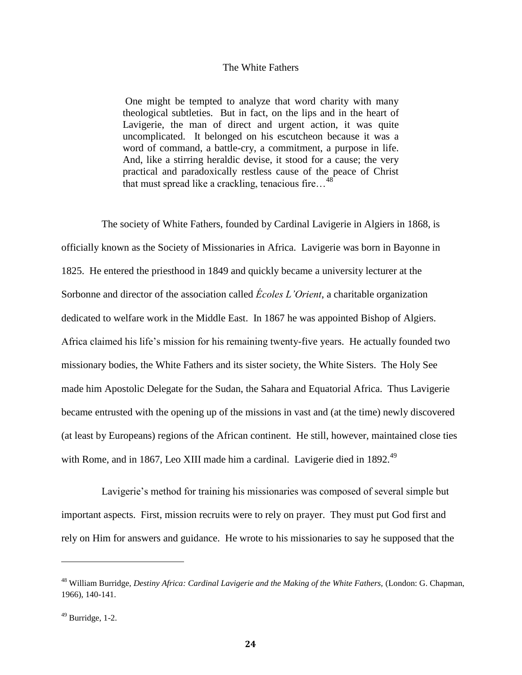#### The White Fathers

One might be tempted to analyze that word charity with many theological subtleties. But in fact, on the lips and in the heart of Lavigerie, the man of direct and urgent action, it was quite uncomplicated. It belonged on his escutcheon because it was a word of command, a battle-cry, a commitment, a purpose in life. And, like a stirring heraldic devise, it stood for a cause; the very practical and paradoxically restless cause of the peace of Christ that must spread like a crackling, tenacious fire…<sup>48</sup>

The society of White Fathers, founded by Cardinal Lavigerie in Algiers in 1868, is officially known as the Society of Missionaries in Africa. Lavigerie was born in Bayonne in 1825. He entered the priesthood in 1849 and quickly became a university lecturer at the Sorbonne and director of the association called *Écoles L'Orient*, a charitable organization dedicated to welfare work in the Middle East. In 1867 he was appointed Bishop of Algiers. Africa claimed his life's mission for his remaining twenty-five years. He actually founded two missionary bodies, the White Fathers and its sister society, the White Sisters. The Holy See made him Apostolic Delegate for the Sudan, the Sahara and Equatorial Africa. Thus Lavigerie became entrusted with the opening up of the missions in vast and (at the time) newly discovered (at least by Europeans) regions of the African continent. He still, however, maintained close ties with Rome, and in 1867, Leo XIII made him a cardinal. Lavigerie died in 1892.<sup>49</sup>

Lavigerie's method for training his missionaries was composed of several simple but important aspects. First, mission recruits were to rely on prayer. They must put God first and rely on Him for answers and guidance. He wrote to his missionaries to say he supposed that the

<sup>&</sup>lt;sup>48</sup> William Burridge, *Destiny Africa: Cardinal Lavigerie and the Making of the White Fathers, (London: G. Chapman,* 1966), 140-141.

 $49$  Burridge, 1-2.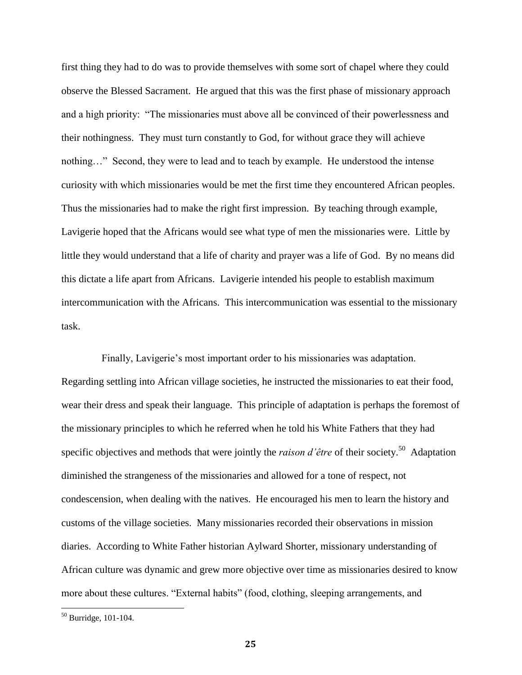first thing they had to do was to provide themselves with some sort of chapel where they could observe the Blessed Sacrament. He argued that this was the first phase of missionary approach and a high priority: "The missionaries must above all be convinced of their powerlessness and their nothingness. They must turn constantly to God, for without grace they will achieve nothing…" Second, they were to lead and to teach by example. He understood the intense curiosity with which missionaries would be met the first time they encountered African peoples. Thus the missionaries had to make the right first impression. By teaching through example, Lavigerie hoped that the Africans would see what type of men the missionaries were. Little by little they would understand that a life of charity and prayer was a life of God. By no means did this dictate a life apart from Africans. Lavigerie intended his people to establish maximum intercommunication with the Africans. This intercommunication was essential to the missionary task.

Finally, Lavigerie's most important order to his missionaries was adaptation. Regarding settling into African village societies, he instructed the missionaries to eat their food, wear their dress and speak their language. This principle of adaptation is perhaps the foremost of the missionary principles to which he referred when he told his White Fathers that they had specific objectives and methods that were jointly the *raison d'être* of their society.<sup>50</sup> Adaptation diminished the strangeness of the missionaries and allowed for a tone of respect, not condescension, when dealing with the natives. He encouraged his men to learn the history and customs of the village societies. Many missionaries recorded their observations in mission diaries. According to White Father historian Aylward Shorter, missionary understanding of African culture was dynamic and grew more objective over time as missionaries desired to know more about these cultures. "External habits" (food, clothing, sleeping arrangements, and

<sup>50</sup> Burridge, 101-104.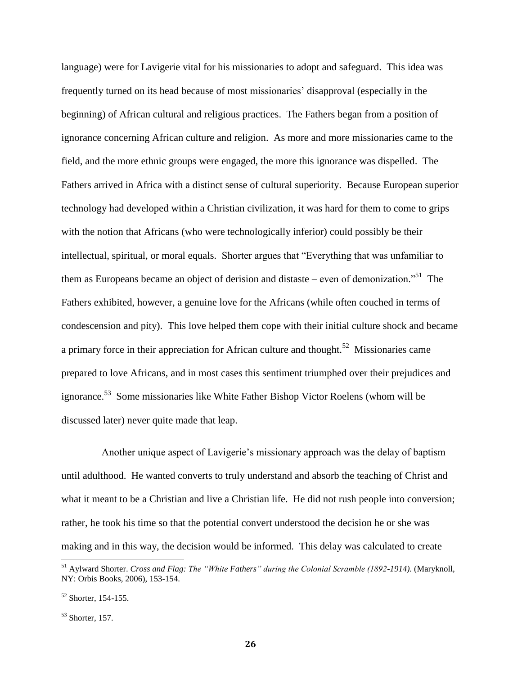language) were for Lavigerie vital for his missionaries to adopt and safeguard. This idea was frequently turned on its head because of most missionaries' disapproval (especially in the beginning) of African cultural and religious practices. The Fathers began from a position of ignorance concerning African culture and religion. As more and more missionaries came to the field, and the more ethnic groups were engaged, the more this ignorance was dispelled. The Fathers arrived in Africa with a distinct sense of cultural superiority. Because European superior technology had developed within a Christian civilization, it was hard for them to come to grips with the notion that Africans (who were technologically inferior) could possibly be their intellectual, spiritual, or moral equals. Shorter argues that "Everything that was unfamiliar to them as Europeans became an object of derision and distaste – even of demonization.<sup>51</sup> The Fathers exhibited, however, a genuine love for the Africans (while often couched in terms of condescension and pity). This love helped them cope with their initial culture shock and became a primary force in their appreciation for African culture and thought.<sup>52</sup> Missionaries came prepared to love Africans, and in most cases this sentiment triumphed over their prejudices and ignorance.<sup>53</sup> Some missionaries like White Father Bishop Victor Roelens (whom will be discussed later) never quite made that leap.

Another unique aspect of Lavigerie's missionary approach was the delay of baptism until adulthood. He wanted converts to truly understand and absorb the teaching of Christ and what it meant to be a Christian and live a Christian life. He did not rush people into conversion; rather, he took his time so that the potential convert understood the decision he or she was making and in this way, the decision would be informed. This delay was calculated to create

<sup>&</sup>lt;sup>51</sup> Aylward Shorter. *Cross and Flag: The "White Fathers" during the Colonial Scramble (1892-1914)*. (Maryknoll, NY: Orbis Books, 2006), 153-154.

 $52$  Shorter, 154-155.

 $53$  Shorter, 157.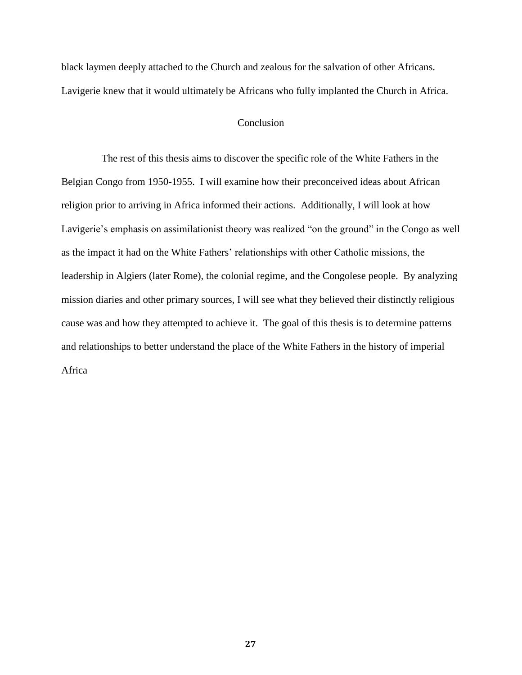black laymen deeply attached to the Church and zealous for the salvation of other Africans. Lavigerie knew that it would ultimately be Africans who fully implanted the Church in Africa.

#### Conclusion

The rest of this thesis aims to discover the specific role of the White Fathers in the Belgian Congo from 1950-1955. I will examine how their preconceived ideas about African religion prior to arriving in Africa informed their actions. Additionally, I will look at how Lavigerie's emphasis on assimilationist theory was realized "on the ground" in the Congo as well as the impact it had on the White Fathers' relationships with other Catholic missions, the leadership in Algiers (later Rome), the colonial regime, and the Congolese people. By analyzing mission diaries and other primary sources, I will see what they believed their distinctly religious cause was and how they attempted to achieve it. The goal of this thesis is to determine patterns and relationships to better understand the place of the White Fathers in the history of imperial Africa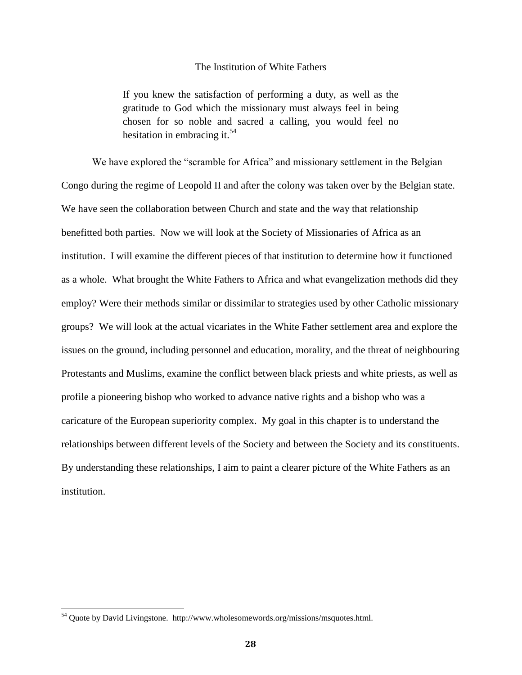#### The Institution of White Fathers

If you knew the satisfaction of performing a duty, as well as the gratitude to God which the missionary must always feel in being chosen for so noble and sacred a calling, you would feel no hesitation in embracing it.<sup>54</sup>

We have explored the "scramble for Africa" and missionary settlement in the Belgian Congo during the regime of Leopold II and after the colony was taken over by the Belgian state. We have seen the collaboration between Church and state and the way that relationship benefitted both parties. Now we will look at the Society of Missionaries of Africa as an institution. I will examine the different pieces of that institution to determine how it functioned as a whole. What brought the White Fathers to Africa and what evangelization methods did they employ? Were their methods similar or dissimilar to strategies used by other Catholic missionary groups? We will look at the actual vicariates in the White Father settlement area and explore the issues on the ground, including personnel and education, morality, and the threat of neighbouring Protestants and Muslims, examine the conflict between black priests and white priests, as well as profile a pioneering bishop who worked to advance native rights and a bishop who was a caricature of the European superiority complex. My goal in this chapter is to understand the relationships between different levels of the Society and between the Society and its constituents. By understanding these relationships, I aim to paint a clearer picture of the White Fathers as an institution.

 $54$  Quote by David Livingstone. http://www.wholesomewords.org/missions/msquotes.html.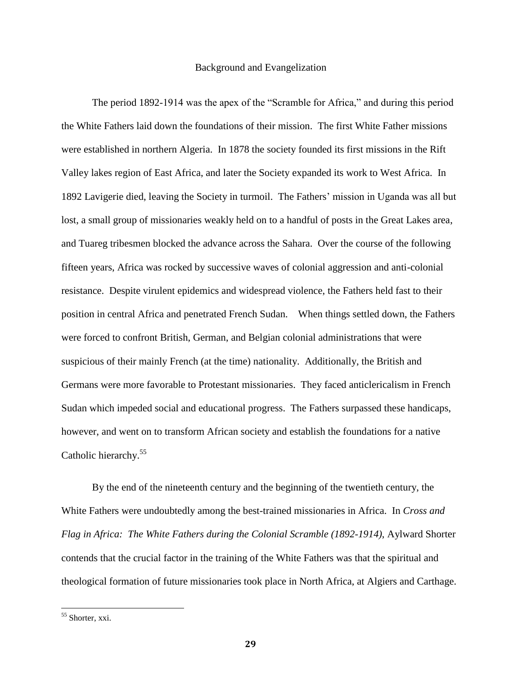#### Background and Evangelization

The period 1892-1914 was the apex of the "Scramble for Africa," and during this period the White Fathers laid down the foundations of their mission. The first White Father missions were established in northern Algeria. In 1878 the society founded its first missions in the Rift Valley lakes region of East Africa, and later the Society expanded its work to West Africa. In 1892 Lavigerie died, leaving the Society in turmoil. The Fathers' mission in Uganda was all but lost, a small group of missionaries weakly held on to a handful of posts in the Great Lakes area, and Tuareg tribesmen blocked the advance across the Sahara. Over the course of the following fifteen years, Africa was rocked by successive waves of colonial aggression and anti-colonial resistance. Despite virulent epidemics and widespread violence, the Fathers held fast to their position in central Africa and penetrated French Sudan. When things settled down, the Fathers were forced to confront British, German, and Belgian colonial administrations that were suspicious of their mainly French (at the time) nationality. Additionally, the British and Germans were more favorable to Protestant missionaries. They faced anticlericalism in French Sudan which impeded social and educational progress. The Fathers surpassed these handicaps, however, and went on to transform African society and establish the foundations for a native Catholic hierarchy.<sup>55</sup>

By the end of the nineteenth century and the beginning of the twentieth century, the White Fathers were undoubtedly among the best-trained missionaries in Africa. In *Cross and Flag in Africa: The White Fathers during the Colonial Scramble (1892-1914)*, Aylward Shorter contends that the crucial factor in the training of the White Fathers was that the spiritual and theological formation of future missionaries took place in North Africa, at Algiers and Carthage.

<sup>&</sup>lt;sup>55</sup> Shorter, xxi.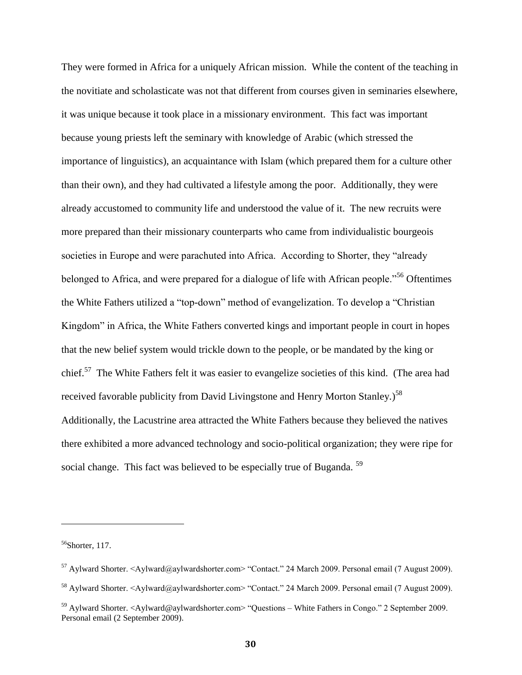They were formed in Africa for a uniquely African mission. While the content of the teaching in the novitiate and scholasticate was not that different from courses given in seminaries elsewhere, it was unique because it took place in a missionary environment. This fact was important because young priests left the seminary with knowledge of Arabic (which stressed the importance of linguistics), an acquaintance with Islam (which prepared them for a culture other than their own), and they had cultivated a lifestyle among the poor. Additionally, they were already accustomed to community life and understood the value of it. The new recruits were more prepared than their missionary counterparts who came from individualistic bourgeois societies in Europe and were parachuted into Africa. According to Shorter, they "already belonged to Africa, and were prepared for a dialogue of life with African people."<sup>56</sup> Oftentimes the White Fathers utilized a "top-down" method of evangelization. To develop a "Christian Kingdom" in Africa, the White Fathers converted kings and important people in court in hopes that the new belief system would trickle down to the people, or be mandated by the king or chief.<sup>57</sup> The White Fathers felt it was easier to evangelize societies of this kind. (The area had received favorable publicity from David Livingstone and Henry Morton Stanley.)<sup>58</sup> Additionally, the Lacustrine area attracted the White Fathers because they believed the natives there exhibited a more advanced technology and socio-political organization; they were ripe for social change. This fact was believed to be especially true of Buganda.<sup>59</sup>

 $56$ Shorter, 117.

<sup>&</sup>lt;sup>57</sup> Aylward Shorter. <Aylward@aylwardshorter.com> "Contact." 24 March 2009. Personal email (7 August 2009).

<sup>&</sup>lt;sup>58</sup> Aylward Shorter. <Aylward@aylwardshorter.com> "Contact." 24 March 2009. Personal email (7 August 2009).

<sup>&</sup>lt;sup>59</sup> Aylward Shorter. <Aylward@aylwardshorter.com> "Questions – White Fathers in Congo." 2 September 2009. Personal email (2 September 2009).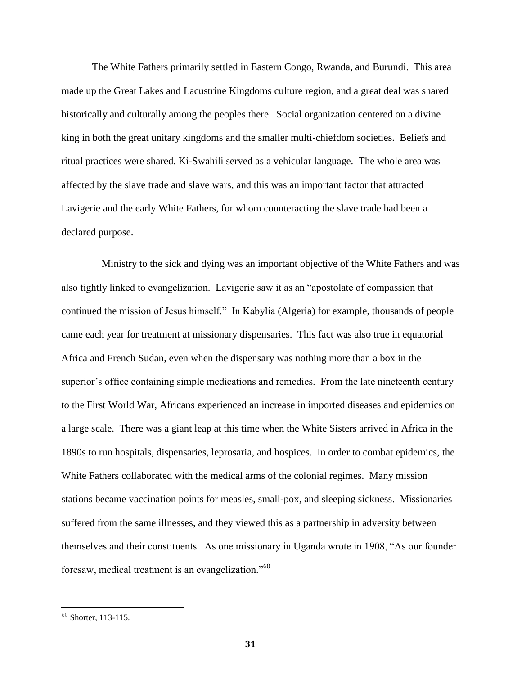The White Fathers primarily settled in Eastern Congo, Rwanda, and Burundi. This area made up the Great Lakes and Lacustrine Kingdoms culture region, and a great deal was shared historically and culturally among the peoples there. Social organization centered on a divine king in both the great unitary kingdoms and the smaller multi-chiefdom societies. Beliefs and ritual practices were shared. Ki-Swahili served as a vehicular language. The whole area was affected by the slave trade and slave wars, and this was an important factor that attracted Lavigerie and the early White Fathers, for whom counteracting the slave trade had been a declared purpose.

Ministry to the sick and dying was an important objective of the White Fathers and was also tightly linked to evangelization. Lavigerie saw it as an "apostolate of compassion that continued the mission of Jesus himself." In Kabylia (Algeria) for example, thousands of people came each year for treatment at missionary dispensaries. This fact was also true in equatorial Africa and French Sudan, even when the dispensary was nothing more than a box in the superior's office containing simple medications and remedies. From the late nineteenth century to the First World War, Africans experienced an increase in imported diseases and epidemics on a large scale. There was a giant leap at this time when the White Sisters arrived in Africa in the 1890s to run hospitals, dispensaries, leprosaria, and hospices. In order to combat epidemics, the White Fathers collaborated with the medical arms of the colonial regimes. Many mission stations became vaccination points for measles, small-pox, and sleeping sickness. Missionaries suffered from the same illnesses, and they viewed this as a partnership in adversity between themselves and their constituents. As one missionary in Uganda wrote in 1908, "As our founder foresaw, medical treatment is an evangelization."<sup>60</sup>

 $60$  Shorter, 113-115.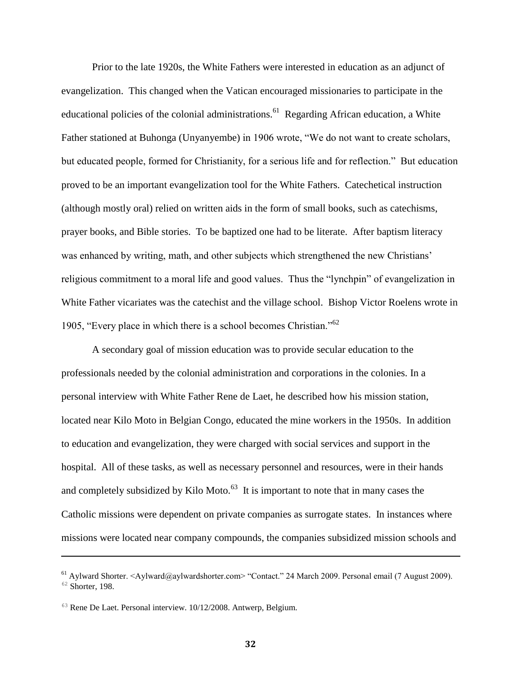Prior to the late 1920s, the White Fathers were interested in education as an adjunct of evangelization. This changed when the Vatican encouraged missionaries to participate in the educational policies of the colonial administrations.<sup>61</sup> Regarding African education, a White Father stationed at Buhonga (Unyanyembe) in 1906 wrote, "We do not want to create scholars, but educated people, formed for Christianity, for a serious life and for reflection." But education proved to be an important evangelization tool for the White Fathers. Catechetical instruction (although mostly oral) relied on written aids in the form of small books, such as catechisms, prayer books, and Bible stories. To be baptized one had to be literate. After baptism literacy was enhanced by writing, math, and other subjects which strengthened the new Christians' religious commitment to a moral life and good values. Thus the "lynchpin" of evangelization in White Father vicariates was the catechist and the village school. Bishop Victor Roelens wrote in 1905, "Every place in which there is a school becomes Christian."<sup>62</sup>

A secondary goal of mission education was to provide secular education to the professionals needed by the colonial administration and corporations in the colonies. In a personal interview with White Father Rene de Laet, he described how his mission station, located near Kilo Moto in Belgian Congo, educated the mine workers in the 1950s. In addition to education and evangelization, they were charged with social services and support in the hospital. All of these tasks, as well as necessary personnel and resources, were in their hands and completely subsidized by Kilo Moto. $^{63}$  It is important to note that in many cases the Catholic missions were dependent on private companies as surrogate states. In instances where missions were located near company compounds, the companies subsidized mission schools and

<sup>&</sup>lt;sup>61</sup> Aylward Shorter. <Aylward@aylwardshorter.com> "Contact." 24 March 2009. Personal email (7 August 2009).  $62$  Shorter, 198.

<sup>63</sup> Rene De Laet. Personal interview. 10/12/2008. Antwerp, Belgium.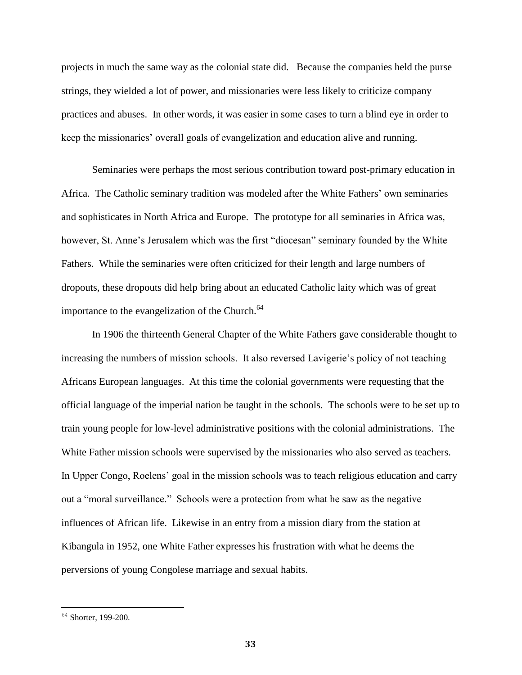projects in much the same way as the colonial state did. Because the companies held the purse strings, they wielded a lot of power, and missionaries were less likely to criticize company practices and abuses. In other words, it was easier in some cases to turn a blind eye in order to keep the missionaries' overall goals of evangelization and education alive and running.

Seminaries were perhaps the most serious contribution toward post-primary education in Africa. The Catholic seminary tradition was modeled after the White Fathers' own seminaries and sophisticates in North Africa and Europe. The prototype for all seminaries in Africa was, however, St. Anne's Jerusalem which was the first "diocesan" seminary founded by the White Fathers. While the seminaries were often criticized for their length and large numbers of dropouts, these dropouts did help bring about an educated Catholic laity which was of great importance to the evangelization of the Church.<sup>64</sup>

In 1906 the thirteenth General Chapter of the White Fathers gave considerable thought to increasing the numbers of mission schools. It also reversed Lavigerie's policy of not teaching Africans European languages. At this time the colonial governments were requesting that the official language of the imperial nation be taught in the schools. The schools were to be set up to train young people for low-level administrative positions with the colonial administrations. The White Father mission schools were supervised by the missionaries who also served as teachers. In Upper Congo, Roelens' goal in the mission schools was to teach religious education and carry out a "moral surveillance." Schools were a protection from what he saw as the negative influences of African life. Likewise in an entry from a mission diary from the station at Kibangula in 1952, one White Father expresses his frustration with what he deems the perversions of young Congolese marriage and sexual habits.

 $64$  Shorter, 199-200.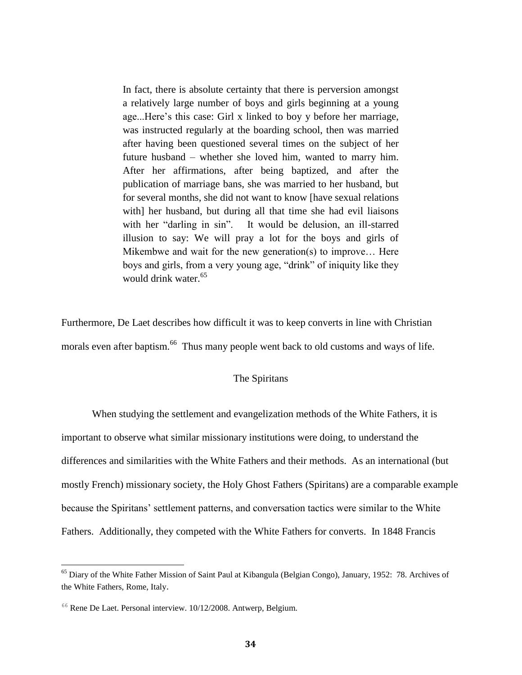In fact, there is absolute certainty that there is perversion amongst a relatively large number of boys and girls beginning at a young age...Here's this case: Girl x linked to boy y before her marriage, was instructed regularly at the boarding school, then was married after having been questioned several times on the subject of her future husband – whether she loved him, wanted to marry him. After her affirmations, after being baptized, and after the publication of marriage bans, she was married to her husband, but for several months, she did not want to know [have sexual relations with] her husband, but during all that time she had evil liaisons with her "darling in sin". It would be delusion, an ill-starred illusion to say: We will pray a lot for the boys and girls of Mikembwe and wait for the new generation(s) to improve… Here boys and girls, from a very young age, "drink" of iniquity like they would drink water.<sup>65</sup>

Furthermore, De Laet describes how difficult it was to keep converts in line with Christian morals even after baptism.<sup>66</sup> Thus many people went back to old customs and ways of life.

### The Spiritans

When studying the settlement and evangelization methods of the White Fathers, it is important to observe what similar missionary institutions were doing, to understand the differences and similarities with the White Fathers and their methods. As an international (but mostly French) missionary society, the Holy Ghost Fathers (Spiritans) are a comparable example because the Spiritans' settlement patterns, and conversation tactics were similar to the White Fathers. Additionally, they competed with the White Fathers for converts. In 1848 [Francis](http://en.wikipedia.org/wiki/Francis_Libermann) 

l

<sup>&</sup>lt;sup>65</sup> Diary of the White Father Mission of Saint Paul at Kibangula (Belgian Congo), January, 1952: 78. Archives of the White Fathers, Rome, Italy.

<sup>66</sup> Rene De Laet. Personal interview. 10/12/2008. Antwerp, Belgium.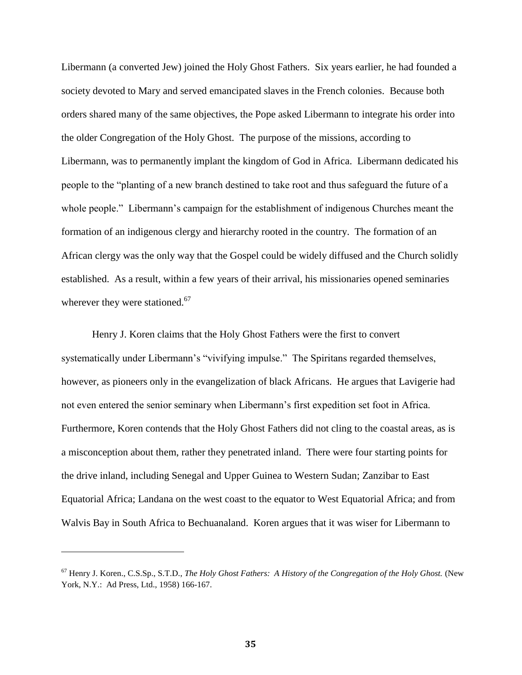Libermann (a converted Jew) joined the Holy Ghost Fathers. Six years earlier, he had founded a society devoted to Mary and served emancipated slaves in the French colonies. Because both orders shared many of the same objectives, the Pope asked Libermann to integrate his order into the older Congregation of the Holy Ghost. The purpose of the missions, according to Libermann, was to permanently implant the kingdom of God in Africa. Libermann dedicated his people to the "planting of a new branch destined to take root and thus safeguard the future of a whole people." Libermann's campaign for the establishment of indigenous Churches meant the formation of an indigenous clergy and hierarchy rooted in the country. The formation of an African clergy was the only way that the Gospel could be widely diffused and the Church solidly established. As a result, within a few years of their arrival, his missionaries opened seminaries wherever they were stationed.<sup>67</sup>

Henry J. Koren claims that the Holy Ghost Fathers were the first to convert systematically under Libermann's "vivifying impulse." The Spiritans regarded themselves, however, as pioneers only in the evangelization of black Africans. He argues that Lavigerie had not even entered the senior seminary when Libermann's first expedition set foot in Africa. Furthermore, Koren contends that the Holy Ghost Fathers did not cling to the coastal areas, as is a misconception about them, rather they penetrated inland. There were four starting points for the drive inland, including Senegal and Upper Guinea to Western Sudan; Zanzibar to East Equatorial Africa; Landana on the west coast to the equator to West Equatorial Africa; and from Walvis Bay in South Africa to Bechuanaland. Koren argues that it was wiser for Libermann to

<sup>67</sup> Henry J. Koren., C.S.Sp., S.T.D., *The Holy Ghost Fathers: A History of the Congregation of the Holy Ghost.* (New York, N.Y.: Ad Press, Ltd., 1958) 166-167.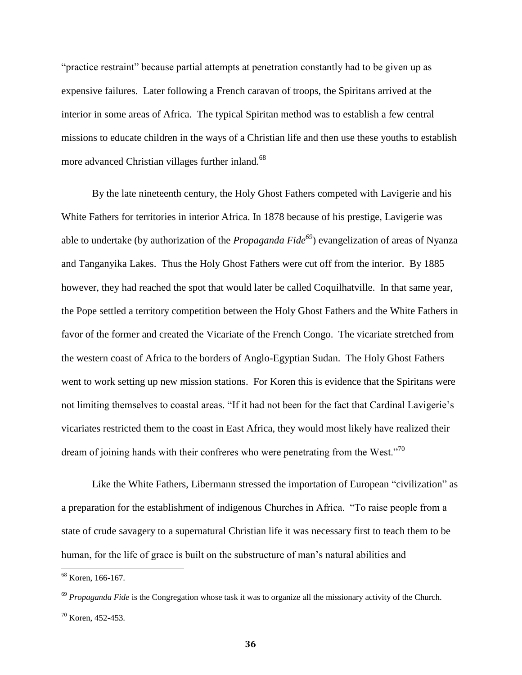"practice restraint" because partial attempts at penetration constantly had to be given up as expensive failures. Later following a French caravan of troops, the Spiritans arrived at the interior in some areas of Africa. The typical Spiritan method was to establish a few central missions to educate children in the ways of a Christian life and then use these youths to establish more advanced Christian villages further inland.<sup>68</sup>

By the late nineteenth century, the Holy Ghost Fathers competed with Lavigerie and his White Fathers for territories in interior Africa. In 1878 because of his prestige, Lavigerie was able to undertake (by authorization of the *Propaganda Fide<sup>69</sup>*) evangelization of areas of Nyanza and Tanganyika Lakes. Thus the Holy Ghost Fathers were cut off from the interior. By 1885 however, they had reached the spot that would later be called Coquilhatville. In that same year, the Pope settled a territory competition between the Holy Ghost Fathers and the White Fathers in favor of the former and created the Vicariate of the French Congo. The vicariate stretched from the western coast of Africa to the borders of Anglo-Egyptian Sudan. The Holy Ghost Fathers went to work setting up new mission stations. For Koren this is evidence that the Spiritans were not limiting themselves to coastal areas. "If it had not been for the fact that Cardinal Lavigerie's vicariates restricted them to the coast in East Africa, they would most likely have realized their dream of joining hands with their confreres who were penetrating from the West."<sup>70</sup>

Like the White Fathers, Libermann stressed the importation of European "civilization" as a preparation for the establishment of indigenous Churches in Africa. "To raise people from a state of crude savagery to a supernatural Christian life it was necessary first to teach them to be human, for the life of grace is built on the substructure of man's natural abilities and

<sup>&</sup>lt;sup>68</sup> Koren, 166-167.

<sup>&</sup>lt;sup>69</sup> *Propaganda Fide* is the Congregation whose task it was to organize all the missionary activity of the Church.  $70$  Koren, 452-453.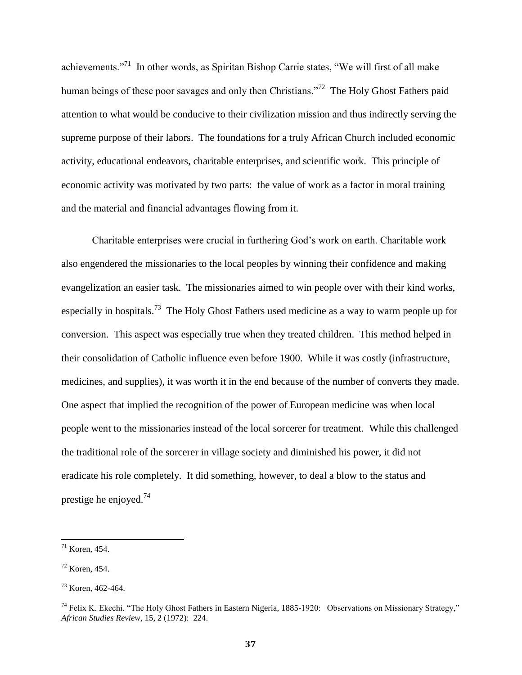achievements."<sup>71</sup> In other words, as Spiritan Bishop Carrie states, "We will first of all make human beings of these poor savages and only then Christians."<sup>72</sup> The Holy Ghost Fathers paid attention to what would be conducive to their civilization mission and thus indirectly serving the supreme purpose of their labors. The foundations for a truly African Church included economic activity, educational endeavors, charitable enterprises, and scientific work. This principle of economic activity was motivated by two parts: the value of work as a factor in moral training and the material and financial advantages flowing from it.

Charitable enterprises were crucial in furthering God's work on earth. Charitable work also engendered the missionaries to the local peoples by winning their confidence and making evangelization an easier task. The missionaries aimed to win people over with their kind works, especially in hospitals.<sup>73</sup> The Holy Ghost Fathers used medicine as a way to warm people up for conversion. This aspect was especially true when they treated children. This method helped in their consolidation of Catholic influence even before 1900. While it was costly (infrastructure, medicines, and supplies), it was worth it in the end because of the number of converts they made. One aspect that implied the recognition of the power of European medicine was when local people went to the missionaries instead of the local sorcerer for treatment. While this challenged the traditional role of the sorcerer in village society and diminished his power, it did not eradicate his role completely. It did something, however, to deal a blow to the status and prestige he enjoyed.<sup>74</sup>

 $71$  Koren, 454.

<sup>72</sup> Koren, 454.

<sup>73</sup> Koren, 462-464.

<sup>&</sup>lt;sup>74</sup> Felix K. Ekechi. "The Holy Ghost Fathers in Eastern Nigeria, 1885-1920: Observations on Missionary Strategy," *African Studies Review*, 15, 2 (1972): 224.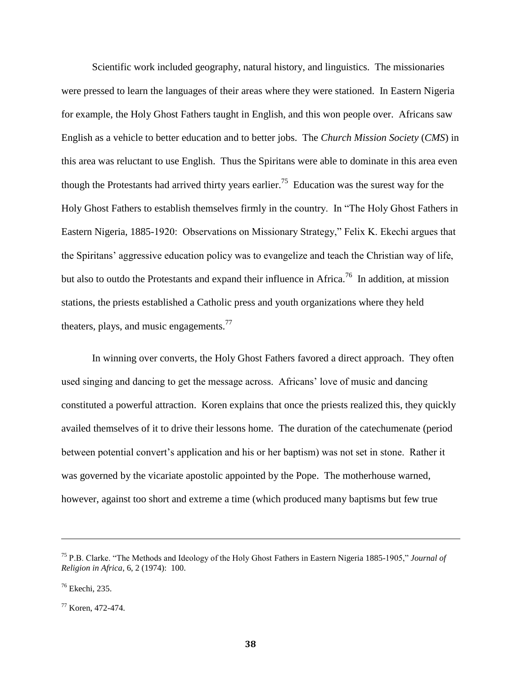Scientific work included geography, natural history, and linguistics. The missionaries were pressed to learn the languages of their areas where they were stationed. In Eastern Nigeria for example, the Holy Ghost Fathers taught in English, and this won people over. Africans saw English as a vehicle to better education and to better jobs. The *Church Mission Society* (*CMS*) in this area was reluctant to use English. Thus the Spiritans were able to dominate in this area even though the Protestants had arrived thirty years earlier.<sup>75</sup> Education was the surest way for the Holy Ghost Fathers to establish themselves firmly in the country. In "The Holy Ghost Fathers in Eastern Nigeria, 1885-1920: Observations on Missionary Strategy," Felix K. Ekechi argues that the Spiritans' aggressive education policy was to evangelize and teach the Christian way of life, but also to outdo the Protestants and expand their influence in Africa.<sup>76</sup> In addition, at mission stations, the priests established a Catholic press and youth organizations where they held theaters, plays, and music engagements.<sup>77</sup>

In winning over converts, the Holy Ghost Fathers favored a direct approach. They often used singing and dancing to get the message across. Africans' love of music and dancing constituted a powerful attraction. Koren explains that once the priests realized this, they quickly availed themselves of it to drive their lessons home. The duration of the catechumenate (period between potential convert's application and his or her baptism) was not set in stone. Rather it was governed by the vicariate apostolic appointed by the Pope. The motherhouse warned, however, against too short and extreme a time (which produced many baptisms but few true

<sup>75</sup> P.B. Clarke. "The Methods and Ideology of the Holy Ghost Fathers in Eastern Nigeria 1885-1905," *Journal of Religion in Africa*, 6, 2 (1974): 100.

<sup>76</sup> Ekechi, 235.

<sup>77</sup> Koren, 472-474.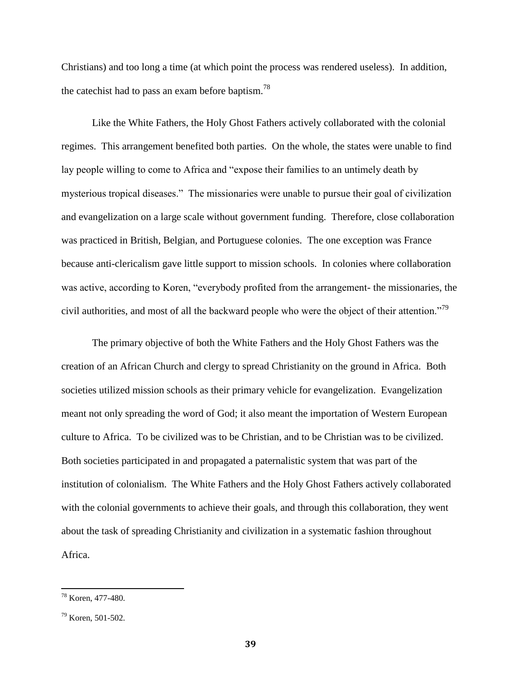Christians) and too long a time (at which point the process was rendered useless). In addition, the catechist had to pass an exam before baptism.<sup>78</sup>

Like the White Fathers, the Holy Ghost Fathers actively collaborated with the colonial regimes. This arrangement benefited both parties. On the whole, the states were unable to find lay people willing to come to Africa and "expose their families to an untimely death by mysterious tropical diseases." The missionaries were unable to pursue their goal of civilization and evangelization on a large scale without government funding. Therefore, close collaboration was practiced in British, Belgian, and Portuguese colonies. The one exception was France because anti-clericalism gave little support to mission schools. In colonies where collaboration was active, according to Koren, "everybody profited from the arrangement- the missionaries, the civil authorities, and most of all the backward people who were the object of their attention."<sup>79</sup>

The primary objective of both the White Fathers and the Holy Ghost Fathers was the creation of an African Church and clergy to spread Christianity on the ground in Africa. Both societies utilized mission schools as their primary vehicle for evangelization. Evangelization meant not only spreading the word of God; it also meant the importation of Western European culture to Africa. To be civilized was to be Christian, and to be Christian was to be civilized. Both societies participated in and propagated a paternalistic system that was part of the institution of colonialism. The White Fathers and the Holy Ghost Fathers actively collaborated with the colonial governments to achieve their goals, and through this collaboration, they went about the task of spreading Christianity and civilization in a systematic fashion throughout Africa.

<sup>78</sup> Koren, 477-480.

 $79$  Koren, 501-502.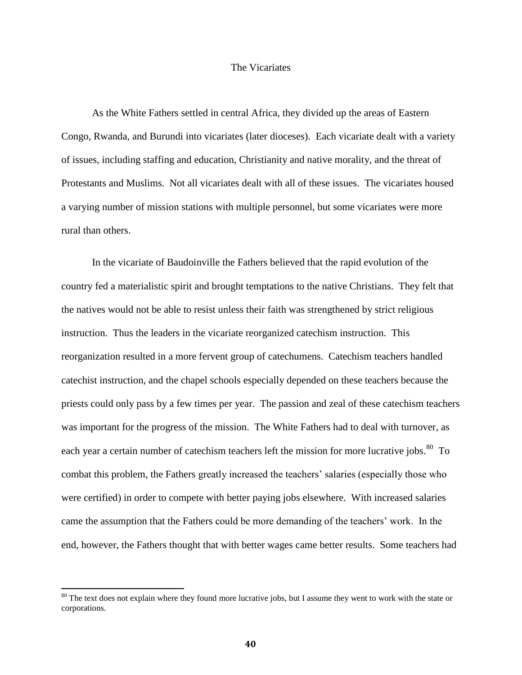## The Vicariates

As the White Fathers settled in central Africa, they divided up the areas of Eastern Congo, Rwanda, and Burundi into vicariates (later dioceses). Each vicariate dealt with a variety of issues, including staffing and education, Christianity and native morality, and the threat of Protestants and Muslims. Not all vicariates dealt with all of these issues. The vicariates housed a varying number of mission stations with multiple personnel, but some vicariates were more rural than others.

In the vicariate of Baudoinville the Fathers believed that the rapid evolution of the country fed a materialistic spirit and brought temptations to the native Christians. They felt that the natives would not be able to resist unless their faith was strengthened by strict religious instruction. Thus the leaders in the vicariate reorganized catechism instruction. This reorganization resulted in a more fervent group of catechumens. Catechism teachers handled catechist instruction, and the chapel schools especially depended on these teachers because the priests could only pass by a few times per year. The passion and zeal of these catechism teachers was important for the progress of the mission. The White Fathers had to deal with turnover, as each year a certain number of catechism teachers left the mission for more lucrative jobs.  $80$  To combat this problem, the Fathers greatly increased the teachers' salaries (especially those who were certified) in order to compete with better paying jobs elsewhere. With increased salaries came the assumption that the Fathers could be more demanding of the teachers' work. In the end, however, the Fathers thought that with better wages came better results. Some teachers had

 $80$  The text does not explain where they found more lucrative jobs, but I assume they went to work with the state or corporations.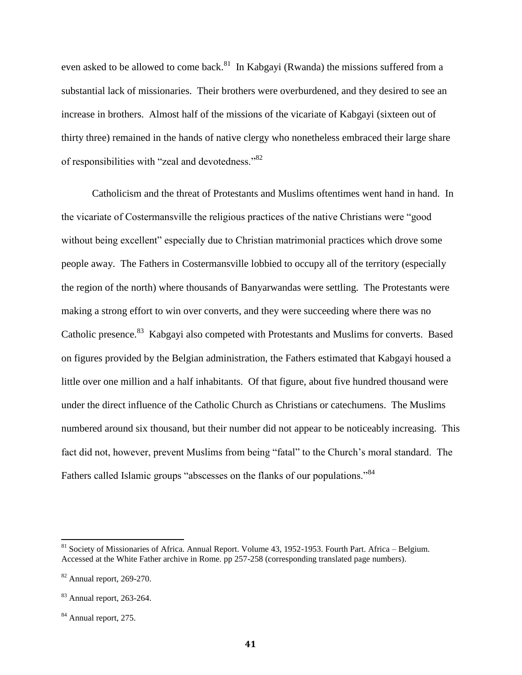even asked to be allowed to come back.<sup>81</sup> In Kabgayi (Rwanda) the missions suffered from a substantial lack of missionaries. Their brothers were overburdened, and they desired to see an increase in brothers. Almost half of the missions of the vicariate of Kabgayi (sixteen out of thirty three) remained in the hands of native clergy who nonetheless embraced their large share of responsibilities with "zeal and devotedness."<sup>82</sup>

Catholicism and the threat of Protestants and Muslims oftentimes went hand in hand. In the vicariate of Costermansville the religious practices of the native Christians were "good without being excellent" especially due to Christian matrimonial practices which drove some people away. The Fathers in Costermansville lobbied to occupy all of the territory (especially the region of the north) where thousands of Banyarwandas were settling. The Protestants were making a strong effort to win over converts, and they were succeeding where there was no Catholic presence.<sup>83</sup> Kabgayi also competed with Protestants and Muslims for converts. Based on figures provided by the Belgian administration, the Fathers estimated that Kabgayi housed a little over one million and a half inhabitants. Of that figure, about five hundred thousand were under the direct influence of the Catholic Church as Christians or catechumens. The Muslims numbered around six thousand, but their number did not appear to be noticeably increasing. This fact did not, however, prevent Muslims from being "fatal" to the Church's moral standard. The Fathers called Islamic groups "abscesses on the flanks of our populations."<sup>84</sup>

<sup>&</sup>lt;sup>81</sup> Society of Missionaries of Africa. Annual Report. Volume 43, 1952-1953. Fourth Part. Africa – Belgium. Accessed at the White Father archive in Rome. pp 257-258 (corresponding translated page numbers).

<sup>82</sup> Annual report, 269-270.

 $83$  Annual report, 263-264.

<sup>&</sup>lt;sup>84</sup> Annual report, 275.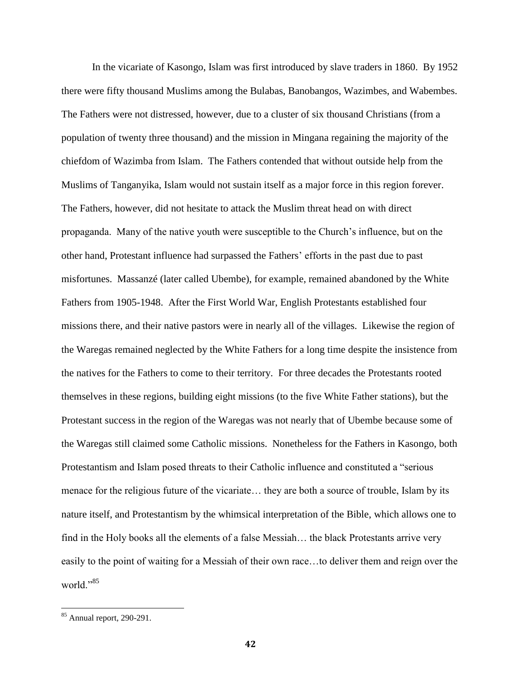In the vicariate of Kasongo, Islam was first introduced by slave traders in 1860. By 1952 there were fifty thousand Muslims among the Bulabas, Banobangos, Wazimbes, and Wabembes. The Fathers were not distressed, however, due to a cluster of six thousand Christians (from a population of twenty three thousand) and the mission in Mingana regaining the majority of the chiefdom of Wazimba from Islam. The Fathers contended that without outside help from the Muslims of Tanganyika, Islam would not sustain itself as a major force in this region forever. The Fathers, however, did not hesitate to attack the Muslim threat head on with direct propaganda. Many of the native youth were susceptible to the Church's influence, but on the other hand, Protestant influence had surpassed the Fathers' efforts in the past due to past misfortunes. Massanzé (later called Ubembe), for example, remained abandoned by the White Fathers from 1905-1948. After the First World War, English Protestants established four missions there, and their native pastors were in nearly all of the villages. Likewise the region of the Waregas remained neglected by the White Fathers for a long time despite the insistence from the natives for the Fathers to come to their territory. For three decades the Protestants rooted themselves in these regions, building eight missions (to the five White Father stations), but the Protestant success in the region of the Waregas was not nearly that of Ubembe because some of the Waregas still claimed some Catholic missions. Nonetheless for the Fathers in Kasongo, both Protestantism and Islam posed threats to their Catholic influence and constituted a "serious menace for the religious future of the vicariate… they are both a source of trouble, Islam by its nature itself, and Protestantism by the whimsical interpretation of the Bible, which allows one to find in the Holy books all the elements of a false Messiah… the black Protestants arrive very easily to the point of waiting for a Messiah of their own race…to deliver them and reign over the world $"$ <sup>35</sup>

 $85$  Annual report, 290-291.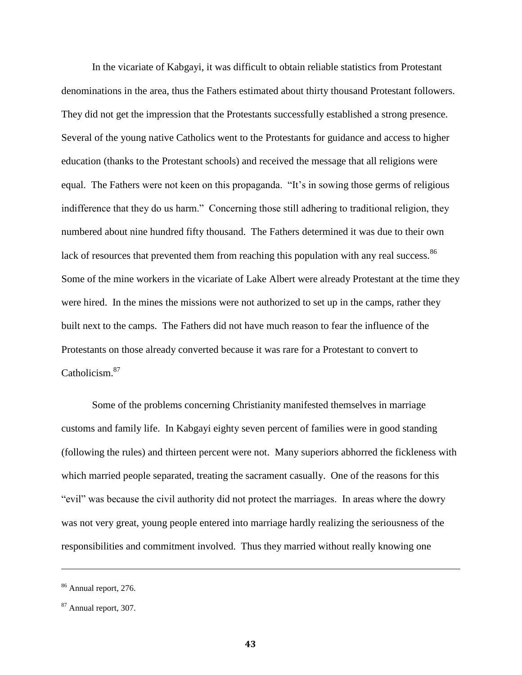In the vicariate of Kabgayi, it was difficult to obtain reliable statistics from Protestant denominations in the area, thus the Fathers estimated about thirty thousand Protestant followers. They did not get the impression that the Protestants successfully established a strong presence. Several of the young native Catholics went to the Protestants for guidance and access to higher education (thanks to the Protestant schools) and received the message that all religions were equal. The Fathers were not keen on this propaganda. "It's in sowing those germs of religious indifference that they do us harm." Concerning those still adhering to traditional religion, they numbered about nine hundred fifty thousand. The Fathers determined it was due to their own lack of resources that prevented them from reaching this population with any real success. $86$ Some of the mine workers in the vicariate of Lake Albert were already Protestant at the time they were hired. In the mines the missions were not authorized to set up in the camps, rather they built next to the camps. The Fathers did not have much reason to fear the influence of the Protestants on those already converted because it was rare for a Protestant to convert to Catholicism.<sup>87</sup>

Some of the problems concerning Christianity manifested themselves in marriage customs and family life. In Kabgayi eighty seven percent of families were in good standing (following the rules) and thirteen percent were not. Many superiors abhorred the fickleness with which married people separated, treating the sacrament casually. One of the reasons for this "evil" was because the civil authority did not protect the marriages. In areas where the dowry was not very great, young people entered into marriage hardly realizing the seriousness of the responsibilities and commitment involved. Thus they married without really knowing one

<sup>86</sup> Annual report, 276.

<sup>87</sup> Annual report, 307.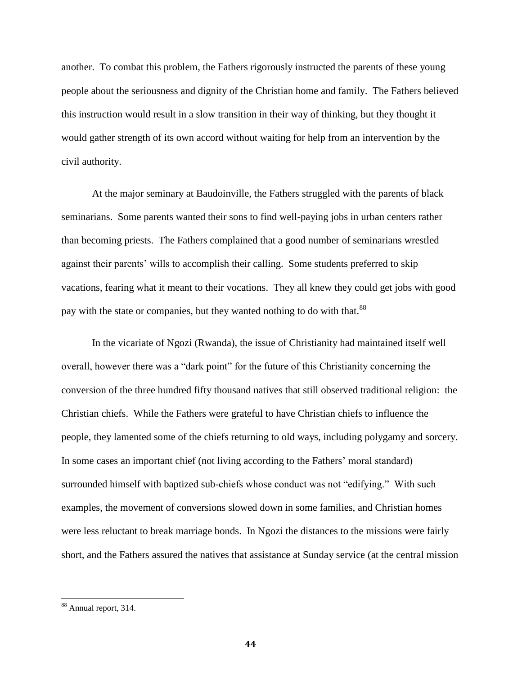another. To combat this problem, the Fathers rigorously instructed the parents of these young people about the seriousness and dignity of the Christian home and family. The Fathers believed this instruction would result in a slow transition in their way of thinking, but they thought it would gather strength of its own accord without waiting for help from an intervention by the civil authority.

At the major seminary at Baudoinville, the Fathers struggled with the parents of black seminarians. Some parents wanted their sons to find well-paying jobs in urban centers rather than becoming priests. The Fathers complained that a good number of seminarians wrestled against their parents' wills to accomplish their calling. Some students preferred to skip vacations, fearing what it meant to their vocations. They all knew they could get jobs with good pay with the state or companies, but they wanted nothing to do with that.<sup>88</sup>

In the vicariate of Ngozi (Rwanda), the issue of Christianity had maintained itself well overall, however there was a "dark point" for the future of this Christianity concerning the conversion of the three hundred fifty thousand natives that still observed traditional religion: the Christian chiefs. While the Fathers were grateful to have Christian chiefs to influence the people, they lamented some of the chiefs returning to old ways, including polygamy and sorcery. In some cases an important chief (not living according to the Fathers' moral standard) surrounded himself with baptized sub-chiefs whose conduct was not "edifying." With such examples, the movement of conversions slowed down in some families, and Christian homes were less reluctant to break marriage bonds. In Ngozi the distances to the missions were fairly short, and the Fathers assured the natives that assistance at Sunday service (at the central mission

<sup>&</sup>lt;sup>88</sup> Annual report, 314.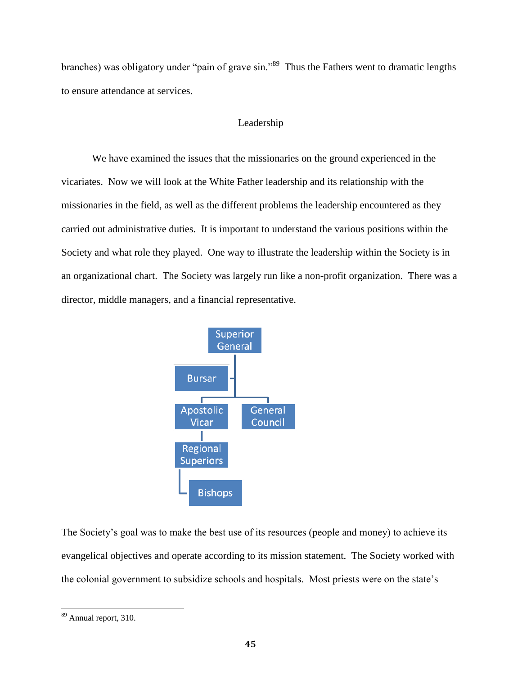branches) was obligatory under "pain of grave sin."<sup>89</sup> Thus the Fathers went to dramatic lengths to ensure attendance at services.

# Leadership

We have examined the issues that the missionaries on the ground experienced in the vicariates. Now we will look at the White Father leadership and its relationship with the missionaries in the field, as well as the different problems the leadership encountered as they carried out administrative duties. It is important to understand the various positions within the Society and what role they played. One way to illustrate the leadership within the Society is in an organizational chart. The Society was largely run like a non-profit organization. There was a director, middle managers, and a financial representative.



The Society's goal was to make the best use of its resources (people and money) to achieve its evangelical objectives and operate according to its mission statement. The Society worked with the colonial government to subsidize schools and hospitals. Most priests were on the state's

<sup>&</sup>lt;sup>89</sup> Annual report, 310.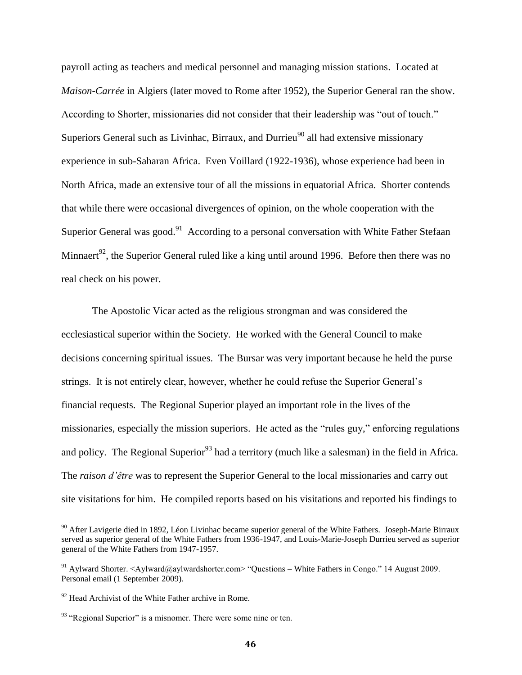payroll acting as teachers and medical personnel and managing mission stations. Located at *Maison-Carrée* in Algiers (later moved to Rome after 1952), the Superior General ran the show. According to Shorter, missionaries did not consider that their leadership was "out of touch." Superiors General such as Livinhac, Birraux, and Durrieu<sup>90</sup> all had extensive missionary experience in sub-Saharan Africa. Even Voillard (1922-1936), whose experience had been in North Africa, made an extensive tour of all the missions in equatorial Africa. Shorter contends that while there were occasional divergences of opinion, on the whole cooperation with the Superior General was good.<sup>91</sup> According to a personal conversation with White Father Stefaan Minnaert<sup>92</sup>, the Superior General ruled like a king until around 1996. Before then there was no real check on his power.

The Apostolic Vicar acted as the religious strongman and was considered the ecclesiastical superior within the Society. He worked with the General Council to make decisions concerning spiritual issues. The Bursar was very important because he held the purse strings. It is not entirely clear, however, whether he could refuse the Superior General's financial requests. The Regional Superior played an important role in the lives of the missionaries, especially the mission superiors. He acted as the "rules guy," enforcing regulations and policy. The Regional Superior<sup>93</sup> had a territory (much like a salesman) in the field in Africa. The *raison d'être* was to represent the Superior General to the local missionaries and carry out site visitations for him. He compiled reports based on his visitations and reported his findings to

 $90$  After Lavigerie died in 1892, Léon Livinhac became superior general of the White Fathers. Joseph-Marie Birraux served as superior general of the White Fathers from 1936-1947, and Louis-Marie-Joseph Durrieu served as superior general of the White Fathers from 1947-1957.

<sup>&</sup>lt;sup>91</sup> Aylward Shorter. <Aylward@aylwardshorter.com> "Questions – White Fathers in Congo." 14 August 2009. Personal email (1 September 2009).

 $92$  Head Archivist of the White Father archive in Rome.

<sup>&</sup>lt;sup>93</sup> "Regional Superior" is a misnomer. There were some nine or ten.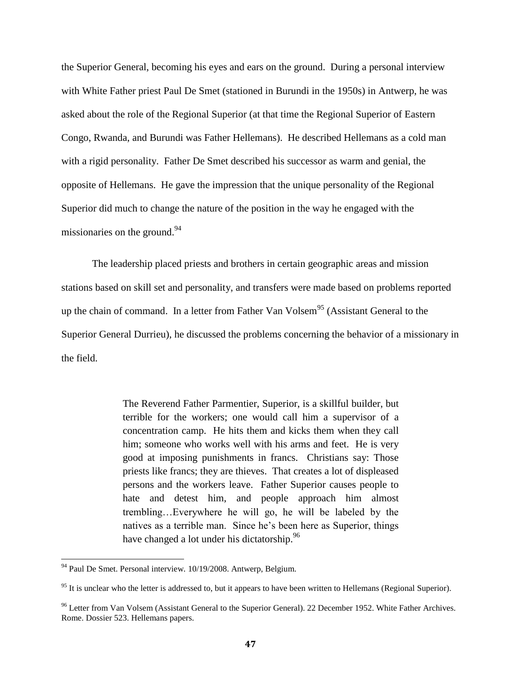the Superior General, becoming his eyes and ears on the ground. During a personal interview with White Father priest Paul De Smet (stationed in Burundi in the 1950s) in Antwerp, he was asked about the role of the Regional Superior (at that time the Regional Superior of Eastern Congo, Rwanda, and Burundi was Father Hellemans). He described Hellemans as a cold man with a rigid personality. Father De Smet described his successor as warm and genial, the opposite of Hellemans. He gave the impression that the unique personality of the Regional Superior did much to change the nature of the position in the way he engaged with the missionaries on the ground. $94$ 

The leadership placed priests and brothers in certain geographic areas and mission stations based on skill set and personality, and transfers were made based on problems reported up the chain of command. In a letter from Father Van Volsem<sup>95</sup> (Assistant General to the Superior General Durrieu), he discussed the problems concerning the behavior of a missionary in the field.

> The Reverend Father Parmentier, Superior, is a skillful builder, but terrible for the workers; one would call him a supervisor of a concentration camp. He hits them and kicks them when they call him; someone who works well with his arms and feet. He is very good at imposing punishments in francs. Christians say: Those priests like francs; they are thieves. That creates a lot of displeased persons and the workers leave. Father Superior causes people to hate and detest him, and people approach him almost trembling…Everywhere he will go, he will be labeled by the natives as a terrible man. Since he's been here as Superior, things have changed a lot under his dictatorship.<sup>96</sup>

<sup>&</sup>lt;sup>94</sup> Paul De Smet. Personal interview. 10/19/2008. Antwerp, Belgium.

<sup>&</sup>lt;sup>95</sup> It is unclear who the letter is addressed to, but it appears to have been written to Hellemans (Regional Superior).

<sup>&</sup>lt;sup>96</sup> Letter from Van Volsem (Assistant General to the Superior General). 22 December 1952. White Father Archives. Rome. Dossier 523. Hellemans papers.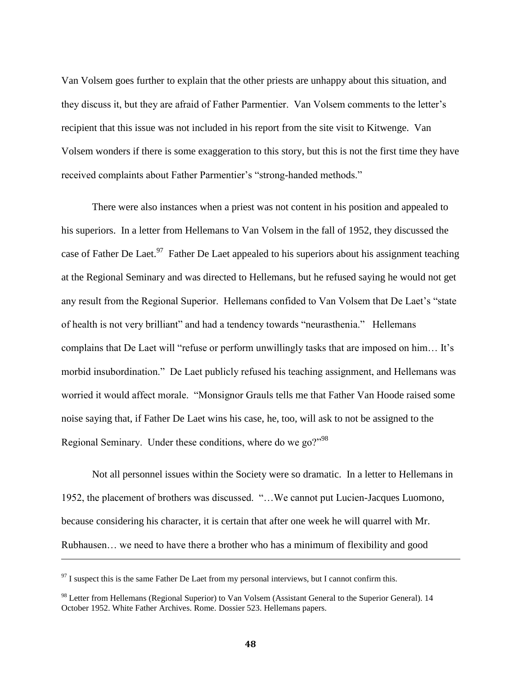Van Volsem goes further to explain that the other priests are unhappy about this situation, and they discuss it, but they are afraid of Father Parmentier. Van Volsem comments to the letter's recipient that this issue was not included in his report from the site visit to Kitwenge. Van Volsem wonders if there is some exaggeration to this story, but this is not the first time they have received complaints about Father Parmentier's "strong-handed methods."

There were also instances when a priest was not content in his position and appealed to his superiors. In a letter from Hellemans to Van Volsem in the fall of 1952, they discussed the case of Father De Laet.<sup>97</sup> Father De Laet appealed to his superiors about his assignment teaching at the Regional Seminary and was directed to Hellemans, but he refused saying he would not get any result from the Regional Superior. Hellemans confided to Van Volsem that De Laet's "state of health is not very brilliant" and had a tendency towards "neurasthenia." Hellemans complains that De Laet will "refuse or perform unwillingly tasks that are imposed on him… It's morbid insubordination." De Laet publicly refused his teaching assignment, and Hellemans was worried it would affect morale. "Monsignor Grauls tells me that Father Van Hoode raised some noise saying that, if Father De Laet wins his case, he, too, will ask to not be assigned to the Regional Seminary. Under these conditions, where do we go?"<sup>98</sup>

Not all personnel issues within the Society were so dramatic. In a letter to Hellemans in 1952, the placement of brothers was discussed. "…We cannot put Lucien-Jacques Luomono, because considering his character, it is certain that after one week he will quarrel with Mr. Rubhausen… we need to have there a brother who has a minimum of flexibility and good

 $97$  I suspect this is the same Father De Laet from my personal interviews, but I cannot confirm this.

<sup>&</sup>lt;sup>98</sup> Letter from Hellemans (Regional Superior) to Van Volsem (Assistant General to the Superior General). 14 October 1952. White Father Archives. Rome. Dossier 523. Hellemans papers.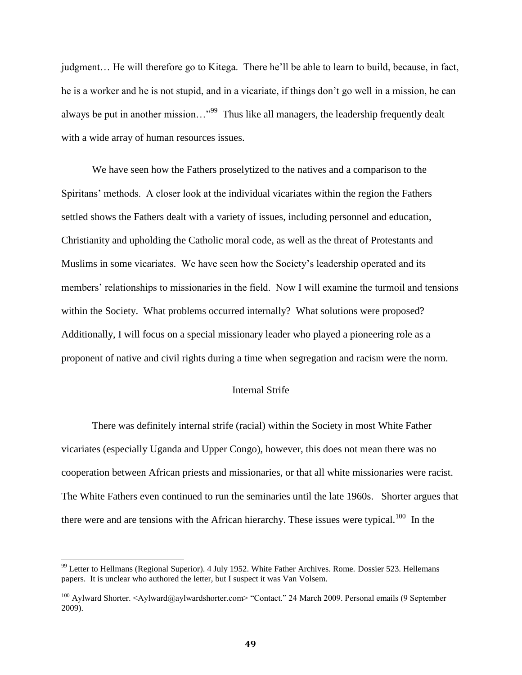judgment… He will therefore go to Kitega. There he'll be able to learn to build, because, in fact, he is a worker and he is not stupid, and in a vicariate, if things don't go well in a mission, he can always be put in another mission..."<sup>99</sup> Thus like all managers, the leadership frequently dealt with a wide array of human resources issues.

We have seen how the Fathers proselytized to the natives and a comparison to the Spiritans' methods. A closer look at the individual vicariates within the region the Fathers settled shows the Fathers dealt with a variety of issues, including personnel and education, Christianity and upholding the Catholic moral code, as well as the threat of Protestants and Muslims in some vicariates. We have seen how the Society's leadership operated and its members' relationships to missionaries in the field. Now I will examine the turmoil and tensions within the Society. What problems occurred internally? What solutions were proposed? Additionally, I will focus on a special missionary leader who played a pioneering role as a proponent of native and civil rights during a time when segregation and racism were the norm.

## Internal Strife

There was definitely internal strife (racial) within the Society in most White Father vicariates (especially Uganda and Upper Congo), however, this does not mean there was no cooperation between African priests and missionaries, or that all white missionaries were racist. The White Fathers even continued to run the seminaries until the late 1960s. Shorter argues that there were and are tensions with the African hierarchy. These issues were typical.<sup>100</sup> In the

<sup>&</sup>lt;sup>99</sup> Letter to Hellmans (Regional Superior). 4 July 1952. White Father Archives. Rome. Dossier 523. Hellemans papers. It is unclear who authored the letter, but I suspect it was Van Volsem.

<sup>100</sup> Aylward Shorter. <Aylward@aylwardshorter.com> "Contact." 24 March 2009. Personal emails (9 September 2009).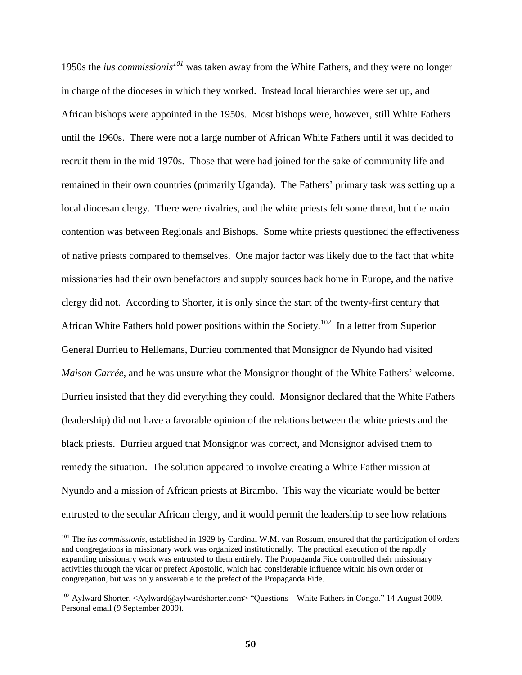1950s the *ius commissionis<sup>101</sup>* was taken away from the White Fathers, and they were no longer in charge of the dioceses in which they worked. Instead local hierarchies were set up, and African bishops were appointed in the 1950s. Most bishops were, however, still White Fathers until the 1960s. There were not a large number of African White Fathers until it was decided to recruit them in the mid 1970s. Those that were had joined for the sake of community life and remained in their own countries (primarily Uganda). The Fathers' primary task was setting up a local diocesan clergy. There were rivalries, and the white priests felt some threat, but the main contention was between Regionals and Bishops. Some white priests questioned the effectiveness of native priests compared to themselves. One major factor was likely due to the fact that white missionaries had their own benefactors and supply sources back home in Europe, and the native clergy did not. According to Shorter, it is only since the start of the twenty-first century that African White Fathers hold power positions within the Society.<sup>102</sup> In a letter from Superior General Durrieu to Hellemans, Durrieu commented that Monsignor de Nyundo had visited *Maison Carrée*, and he was unsure what the Monsignor thought of the White Fathers' welcome. Durrieu insisted that they did everything they could. Monsignor declared that the White Fathers (leadership) did not have a favorable opinion of the relations between the white priests and the black priests. Durrieu argued that Monsignor was correct, and Monsignor advised them to remedy the situation. The solution appeared to involve creating a White Father mission at Nyundo and a mission of African priests at Birambo. This way the vicariate would be better entrusted to the secular African clergy, and it would permit the leadership to see how relations

<sup>101</sup> The *ius commissionis*, established in 1929 by Cardinal W.M. van Rossum, ensured that the participation of orders and congregations in missionary work was organized institutionally. The practical execution of the rapidly expanding missionary work was entrusted to them entirely. The Propaganda Fide controlled their missionary activities through the vicar or prefect Apostolic, which had considerable influence within his own order or congregation, but was only answerable to the prefect of the Propaganda Fide.

<sup>&</sup>lt;sup>102</sup> Aylward Shorter. <Aylward@aylwardshorter.com> "Questions – White Fathers in Congo." 14 August 2009. Personal email (9 September 2009).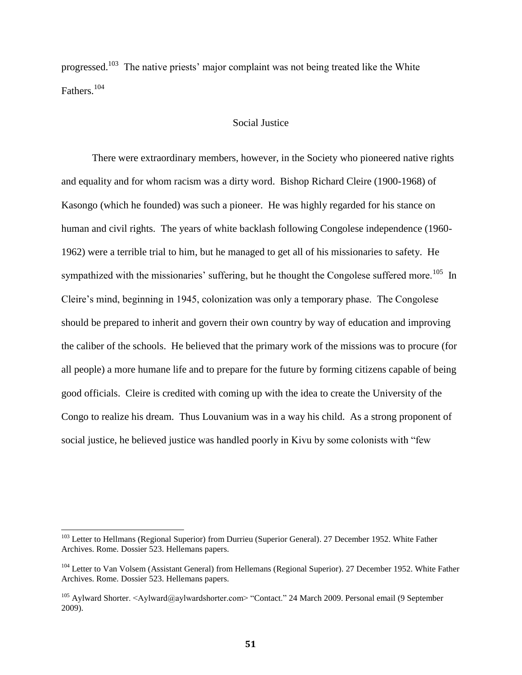progressed.<sup>103</sup> The native priests' major complaint was not being treated like the White Fathers. 104

## Social Justice

There were extraordinary members, however, in the Society who pioneered native rights and equality and for whom racism was a dirty word. Bishop Richard Cleire (1900-1968) of Kasongo (which he founded) was such a pioneer. He was highly regarded for his stance on human and civil rights. The years of white backlash following Congolese independence (1960- 1962) were a terrible trial to him, but he managed to get all of his missionaries to safety. He sympathized with the missionaries' suffering, but he thought the Congolese suffered more.<sup>105</sup> In Cleire's mind, beginning in 1945, colonization was only a temporary phase. The Congolese should be prepared to inherit and govern their own country by way of education and improving the caliber of the schools. He believed that the primary work of the missions was to procure (for all people) a more humane life and to prepare for the future by forming citizens capable of being good officials. Cleire is credited with coming up with the idea to create the University of the Congo to realize his dream. Thus Louvanium was in a way his child. As a strong proponent of social justice, he believed justice was handled poorly in Kivu by some colonists with "few

<sup>&</sup>lt;sup>103</sup> Letter to Hellmans (Regional Superior) from Durrieu (Superior General). 27 December 1952. White Father Archives. Rome. Dossier 523. Hellemans papers.

<sup>&</sup>lt;sup>104</sup> Letter to Van Volsem (Assistant General) from Hellemans (Regional Superior). 27 December 1952. White Father Archives. Rome. Dossier 523. Hellemans papers.

<sup>&</sup>lt;sup>105</sup> Aylward Shorter. <Aylward@aylwardshorter.com> "Contact." 24 March 2009. Personal email (9 September 2009).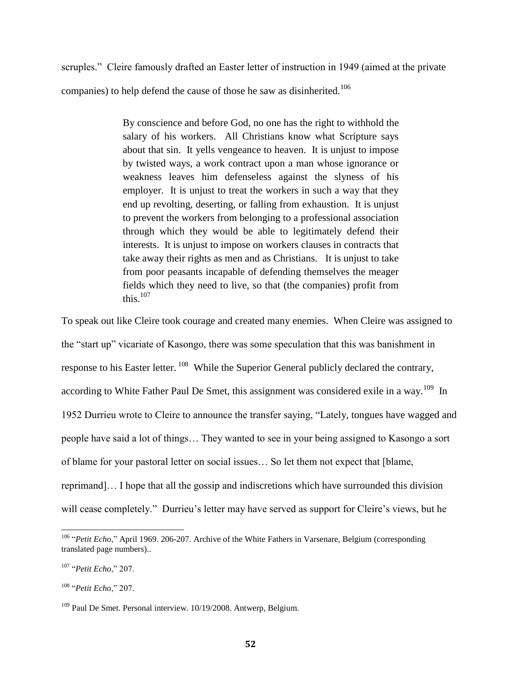scruples." Cleire famously drafted an Easter letter of instruction in 1949 (aimed at the private companies) to help defend the cause of those he saw as disinherited.<sup>106</sup>

> By conscience and before God, no one has the right to withhold the salary of his workers. All Christians know what Scripture says about that sin. It yells vengeance to heaven. It is unjust to impose by twisted ways, a work contract upon a man whose ignorance or weakness leaves him defenseless against the slyness of his employer. It is unjust to treat the workers in such a way that they end up revolting, deserting, or falling from exhaustion. It is unjust to prevent the workers from belonging to a professional association through which they would be able to legitimately defend their interests. It is unjust to impose on workers clauses in contracts that take away their rights as men and as Christians. It is unjust to take from poor peasants incapable of defending themselves the meager fields which they need to live, so that (the companies) profit from this. $107$

To speak out like Cleire took courage and created many enemies. When Cleire was assigned to the "start up" vicariate of Kasongo, there was some speculation that this was banishment in response to his Easter letter. <sup>108</sup> While the Superior General publicly declared the contrary, according to White Father Paul De Smet, this assignment was considered exile in a way.<sup>109</sup> In 1952 Durrieu wrote to Cleire to announce the transfer saying, "Lately, tongues have wagged and people have said a lot of things… They wanted to see in your being assigned to Kasongo a sort of blame for your pastoral letter on social issues… So let them not expect that [blame, reprimand]… I hope that all the gossip and indiscretions which have surrounded this division will cease completely." Durrieu's letter may have served as support for Cleire's views, but he

 $\overline{\phantom{a}}$ <sup>106</sup> "Petit Echo," April 1969. 206-207. Archive of the White Fathers in Varsenare, Belgium (corresponding translated page numbers)..

<sup>107</sup> "*Petit Echo*," 207.

<sup>108</sup> "*Petit Echo*," 207.

<sup>&</sup>lt;sup>109</sup> Paul De Smet. Personal interview. 10/19/2008. Antwerp, Belgium.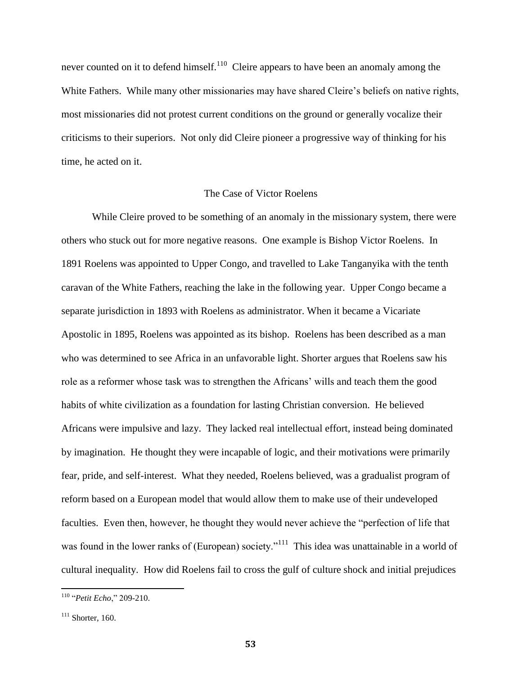never counted on it to defend himself.<sup>110</sup> Cleire appears to have been an anomaly among the White Fathers. While many other missionaries may have shared Cleire's beliefs on native rights, most missionaries did not protest current conditions on the ground or generally vocalize their criticisms to their superiors. Not only did Cleire pioneer a progressive way of thinking for his time, he acted on it.

### The Case of Victor Roelens

While Cleire proved to be something of an anomaly in the missionary system, there were others who stuck out for more negative reasons. One example is Bishop Victor Roelens. In 1891 Roelens was appointed to Upper Congo, and travelled to Lake Tanganyika with the tenth caravan of the White Fathers, reaching the lake in the following year. Upper Congo became a separate jurisdiction in 1893 with Roelens as administrator. When it became a Vicariate Apostolic in 1895, Roelens was appointed as its bishop. Roelens has been described as a man who was determined to see Africa in an unfavorable light. Shorter argues that Roelens saw his role as a reformer whose task was to strengthen the Africans' wills and teach them the good habits of white civilization as a foundation for lasting Christian conversion. He believed Africans were impulsive and lazy. They lacked real intellectual effort, instead being dominated by imagination. He thought they were incapable of logic, and their motivations were primarily fear, pride, and self-interest. What they needed, Roelens believed, was a gradualist program of reform based on a European model that would allow them to make use of their undeveloped faculties. Even then, however, he thought they would never achieve the "perfection of life that was found in the lower ranks of (European) society."<sup>111</sup> This idea was unattainable in a world of cultural inequality. How did Roelens fail to cross the gulf of culture shock and initial prejudices

<sup>110</sup> "*Petit Echo*," 209-210.

 $111$  Shorter, 160.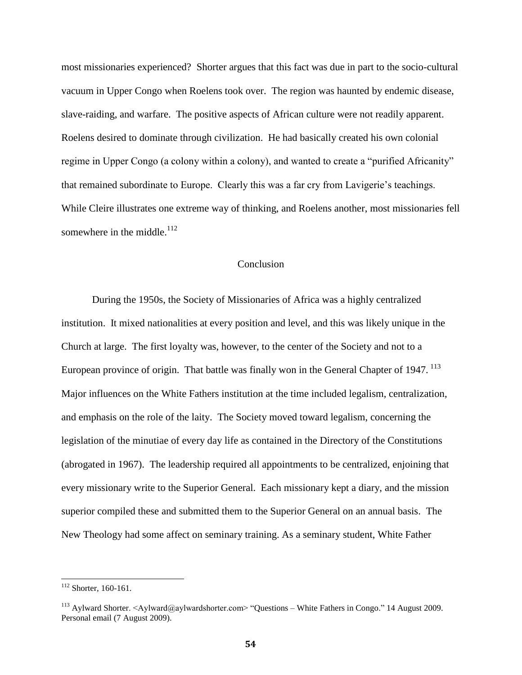most missionaries experienced? Shorter argues that this fact was due in part to the socio-cultural vacuum in Upper Congo when Roelens took over. The region was haunted by endemic disease, slave-raiding, and warfare. The positive aspects of African culture were not readily apparent. Roelens desired to dominate through civilization. He had basically created his own colonial regime in Upper Congo (a colony within a colony), and wanted to create a "purified Africanity" that remained subordinate to Europe. Clearly this was a far cry from Lavigerie's teachings. While Cleire illustrates one extreme way of thinking, and Roelens another, most missionaries fell somewhere in the middle. $^{112}$ 

# Conclusion

During the 1950s, the Society of Missionaries of Africa was a highly centralized institution. It mixed nationalities at every position and level, and this was likely unique in the Church at large. The first loyalty was, however, to the center of the Society and not to a European province of origin. That battle was finally won in the General Chapter of 1947.  $^{113}$ Major influences on the White Fathers institution at the time included legalism, centralization, and emphasis on the role of the laity. The Society moved toward legalism, concerning the legislation of the minutiae of every day life as contained in the Directory of the Constitutions (abrogated in 1967). The leadership required all appointments to be centralized, enjoining that every missionary write to the Superior General. Each missionary kept a diary, and the mission superior compiled these and submitted them to the Superior General on an annual basis. The New Theology had some affect on seminary training. As a seminary student, White Father

<sup>&</sup>lt;sup>112</sup> Shorter, 160-161.

<sup>113</sup> Aylward Shorter. <Aylward@aylwardshorter.com> "Questions – White Fathers in Congo." 14 August 2009. Personal email (7 August 2009).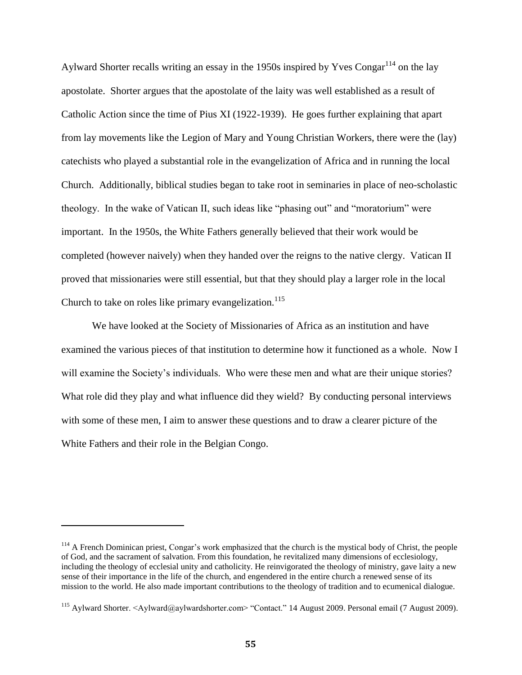Aylward Shorter recalls writing an essay in the 1950s inspired by Yves Congar<sup>114</sup> on the lay apostolate. Shorter argues that the apostolate of the laity was well established as a result of Catholic Action since the time of Pius XI (1922-1939). He goes further explaining that apart from lay movements like the Legion of Mary and Young Christian Workers, there were the (lay) catechists who played a substantial role in the evangelization of Africa and in running the local Church. Additionally, biblical studies began to take root in seminaries in place of neo-scholastic theology. In the wake of Vatican II, such ideas like "phasing out" and "moratorium" were important. In the 1950s, the White Fathers generally believed that their work would be completed (however naively) when they handed over the reigns to the native clergy. Vatican II proved that missionaries were still essential, but that they should play a larger role in the local Church to take on roles like primary evangelization.<sup>115</sup>

We have looked at the Society of Missionaries of Africa as an institution and have examined the various pieces of that institution to determine how it functioned as a whole. Now I will examine the Society's individuals. Who were these men and what are their unique stories? What role did they play and what influence did they wield? By conducting personal interviews with some of these men, I aim to answer these questions and to draw a clearer picture of the White Fathers and their role in the Belgian Congo.

 $114$  A French Dominican priest, Congar's work emphasized that the church is the [mystical body of Christ,](http://www.britannica.com/EBchecked/topic/400846/mystical-body-of-Christ) the people of God, and the sacrament of salvation. From this foundation, he revitalized many dimensions of ecclesiology, including the theology of ecclesial unity and catholicity. He reinvigorated the theology of ministry, gave laity a new sense of their importance in the life of the church, and engendered in the entire church a renewed sense of its mission to the world. He also made important contributions to the theology of tradition and to ecumenical dialogue.

<sup>115</sup> Aylward Shorter. <Aylward@aylwardshorter.com> "Contact." 14 August 2009. Personal email (7 August 2009).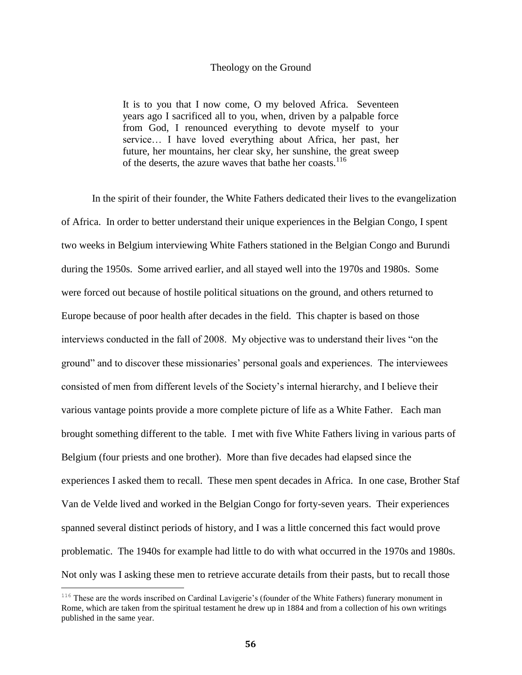### Theology on the Ground

It is to you that I now come, O my beloved Africa. Seventeen years ago I sacrificed all to you, when, driven by a palpable force from God, I renounced everything to devote myself to your service… I have loved everything about Africa, her past, her future, her mountains, her clear sky, her sunshine, the great sweep of the deserts, the azure waves that bathe her coasts.<sup>116</sup>

In the spirit of their founder, the White Fathers dedicated their lives to the evangelization of Africa. In order to better understand their unique experiences in the Belgian Congo, I spent two weeks in Belgium interviewing White Fathers stationed in the Belgian Congo and Burundi during the 1950s. Some arrived earlier, and all stayed well into the 1970s and 1980s. Some were forced out because of hostile political situations on the ground, and others returned to Europe because of poor health after decades in the field. This chapter is based on those interviews conducted in the fall of 2008. My objective was to understand their lives "on the ground" and to discover these missionaries' personal goals and experiences. The interviewees consisted of men from different levels of the Society's internal hierarchy, and I believe their various vantage points provide a more complete picture of life as a White Father. Each man brought something different to the table. I met with five White Fathers living in various parts of Belgium (four priests and one brother). More than five decades had elapsed since the experiences I asked them to recall. These men spent decades in Africa. In one case, Brother Staf Van de Velde lived and worked in the Belgian Congo for forty-seven years. Their experiences spanned several distinct periods of history, and I was a little concerned this fact would prove problematic. The 1940s for example had little to do with what occurred in the 1970s and 1980s. Not only was I asking these men to retrieve accurate details from their pasts, but to recall those

<sup>&</sup>lt;sup>116</sup> These are the words inscribed on Cardinal Lavigerie's (founder of the White Fathers) funerary monument in Rome, which are taken from the spiritual testament he drew up in 1884 and from a collection of his own writings published in the same year.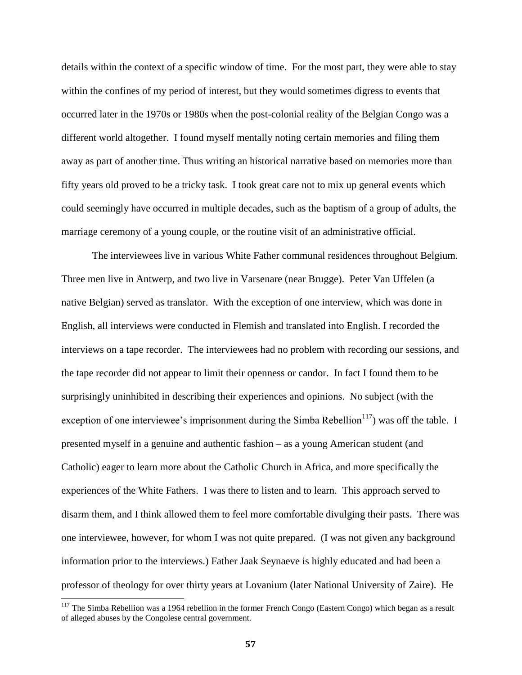details within the context of a specific window of time. For the most part, they were able to stay within the confines of my period of interest, but they would sometimes digress to events that occurred later in the 1970s or 1980s when the post-colonial reality of the Belgian Congo was a different world altogether. I found myself mentally noting certain memories and filing them away as part of another time. Thus writing an historical narrative based on memories more than fifty years old proved to be a tricky task. I took great care not to mix up general events which could seemingly have occurred in multiple decades, such as the baptism of a group of adults, the marriage ceremony of a young couple, or the routine visit of an administrative official.

The interviewees live in various White Father communal residences throughout Belgium. Three men live in Antwerp, and two live in Varsenare (near Brugge). Peter Van Uffelen (a native Belgian) served as translator. With the exception of one interview, which was done in English, all interviews were conducted in Flemish and translated into English. I recorded the interviews on a tape recorder. The interviewees had no problem with recording our sessions, and the tape recorder did not appear to limit their openness or candor. In fact I found them to be surprisingly uninhibited in describing their experiences and opinions. No subject (with the exception of one interviewee's imprisonment during the Simba Rebellion<sup>117</sup>) was off the table. I presented myself in a genuine and authentic fashion – as a young American student (and Catholic) eager to learn more about the Catholic Church in Africa, and more specifically the experiences of the White Fathers. I was there to listen and to learn. This approach served to disarm them, and I think allowed them to feel more comfortable divulging their pasts. There was one interviewee, however, for whom I was not quite prepared. (I was not given any background information prior to the interviews.) Father Jaak Seynaeve is highly educated and had been a professor of theology for over thirty years at Lovanium (later National University of Zaire). He

<sup>&</sup>lt;sup>117</sup> The Simba Rebellion was a 1964 rebellion in the former [French Congo](http://en.wikipedia.org/wiki/French_Congo) (Eastern Congo) which began as a result of alleged abuses by the Congolese central government.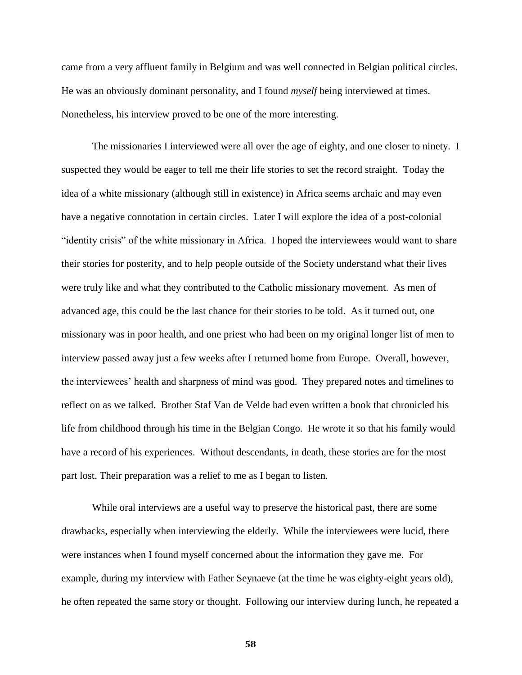came from a very affluent family in Belgium and was well connected in Belgian political circles. He was an obviously dominant personality, and I found *myself* being interviewed at times. Nonetheless, his interview proved to be one of the more interesting.

The missionaries I interviewed were all over the age of eighty, and one closer to ninety. I suspected they would be eager to tell me their life stories to set the record straight. Today the idea of a white missionary (although still in existence) in Africa seems archaic and may even have a negative connotation in certain circles. Later I will explore the idea of a post-colonial "identity crisis" of the white missionary in Africa. I hoped the interviewees would want to share their stories for posterity, and to help people outside of the Society understand what their lives were truly like and what they contributed to the Catholic missionary movement. As men of advanced age, this could be the last chance for their stories to be told. As it turned out, one missionary was in poor health, and one priest who had been on my original longer list of men to interview passed away just a few weeks after I returned home from Europe. Overall, however, the interviewees' health and sharpness of mind was good. They prepared notes and timelines to reflect on as we talked. Brother Staf Van de Velde had even written a book that chronicled his life from childhood through his time in the Belgian Congo. He wrote it so that his family would have a record of his experiences. Without descendants, in death, these stories are for the most part lost. Their preparation was a relief to me as I began to listen.

While oral interviews are a useful way to preserve the historical past, there are some drawbacks, especially when interviewing the elderly. While the interviewees were lucid, there were instances when I found myself concerned about the information they gave me. For example, during my interview with Father Seynaeve (at the time he was eighty-eight years old), he often repeated the same story or thought. Following our interview during lunch, he repeated a

**58**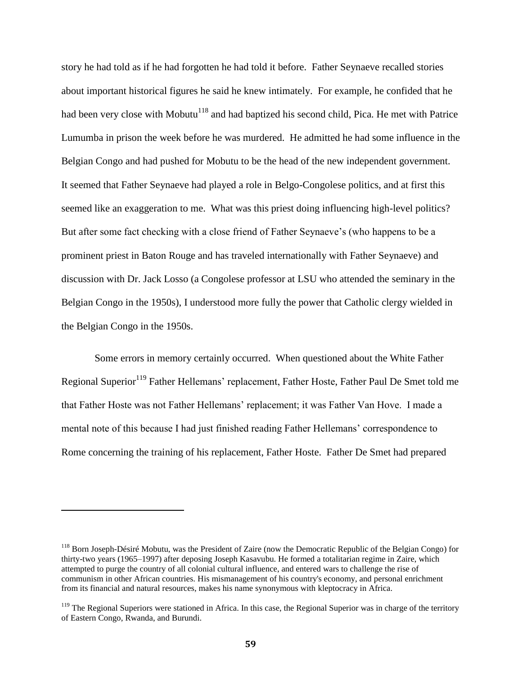story he had told as if he had forgotten he had told it before. Father Seynaeve recalled stories about important historical figures he said he knew intimately. For example, he confided that he had been very close with Mobutu<sup>118</sup> and had baptized his second child, Pica. He met with Patrice Lumumba in prison the week before he was murdered. He admitted he had some influence in the Belgian Congo and had pushed for Mobutu to be the head of the new independent government. It seemed that Father Seynaeve had played a role in Belgo-Congolese politics, and at first this seemed like an exaggeration to me. What was this priest doing influencing high-level politics? But after some fact checking with a close friend of Father Seynaeve's (who happens to be a prominent priest in Baton Rouge and has traveled internationally with Father Seynaeve) and discussion with Dr. Jack Losso (a Congolese professor at LSU who attended the seminary in the Belgian Congo in the 1950s), I understood more fully the power that Catholic clergy wielded in the Belgian Congo in the 1950s.

Some errors in memory certainly occurred. When questioned about the White Father Regional Superior<sup>119</sup> Father Hellemans' replacement, Father Hoste, Father Paul De Smet told me that Father Hoste was not Father Hellemans' replacement; it was Father Van Hove. I made a mental note of this because I had just finished reading Father Hellemans' correspondence to Rome concerning the training of his replacement, Father Hoste. Father De Smet had prepared

<sup>&</sup>lt;sup>118</sup> Born Joseph-Désiré Mobutu, was the [President](http://en.wikipedia.org/wiki/Heads_of_state_of_the_Democratic_Republic_of_the_Congo) of [Zaire](http://en.wikipedia.org/wiki/Zaire) (now the [Democratic Republic of the Belgian Congo\)](http://en.wikipedia.org/wiki/Democratic_Republic_of_the_Congo) for thirty-two years (1965–1997) after deposing [Joseph Kasavubu.](http://en.wikipedia.org/wiki/Joseph_Kasavubu) He formed a [totalitarian](http://en.wikipedia.org/wiki/Totalitarian) regime in Zaire, which attempted to purge the country of all colonial cultural influence, and entered wars to challenge the rise of [communism](http://en.wikipedia.org/wiki/Communism) in other African countries. His mismanagement of his country's economy, and personal enrichment from its financial and natural resources, makes his name synonymous with [kleptocracy](http://en.wikipedia.org/wiki/Kleptocracy) in Africa.

<sup>&</sup>lt;sup>119</sup> The Regional Superiors were stationed in Africa. In this case, the Regional Superior was in charge of the territory of Eastern Congo, Rwanda, and Burundi.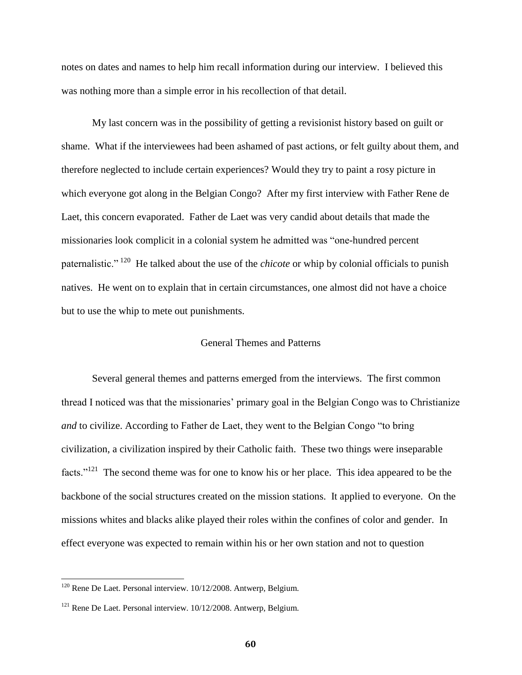notes on dates and names to help him recall information during our interview. I believed this was nothing more than a simple error in his recollection of that detail.

My last concern was in the possibility of getting a revisionist history based on guilt or shame. What if the interviewees had been ashamed of past actions, or felt guilty about them, and therefore neglected to include certain experiences? Would they try to paint a rosy picture in which everyone got along in the Belgian Congo? After my first interview with Father Rene de Laet, this concern evaporated. Father de Laet was very candid about details that made the missionaries look complicit in a colonial system he admitted was "one-hundred percent paternalistic."<sup>120</sup> He talked about the use of the *chicote* or whip by colonial officials to punish natives. He went on to explain that in certain circumstances, one almost did not have a choice but to use the whip to mete out punishments.

# General Themes and Patterns

Several general themes and patterns emerged from the interviews. The first common thread I noticed was that the missionaries' primary goal in the Belgian Congo was to Christianize *and* to civilize. According to Father de Laet, they went to the Belgian Congo "to bring civilization, a civilization inspired by their Catholic faith. These two things were inseparable facts."<sup>121</sup> The second theme was for one to know his or her place. This idea appeared to be the backbone of the social structures created on the mission stations. It applied to everyone. On the missions whites and blacks alike played their roles within the confines of color and gender. In effect everyone was expected to remain within his or her own station and not to question

 $120$  Rene De Laet. Personal interview.  $10/12/2008$ . Antwerp, Belgium.

<sup>&</sup>lt;sup>121</sup> Rene De Laet. Personal interview. 10/12/2008. Antwerp, Belgium.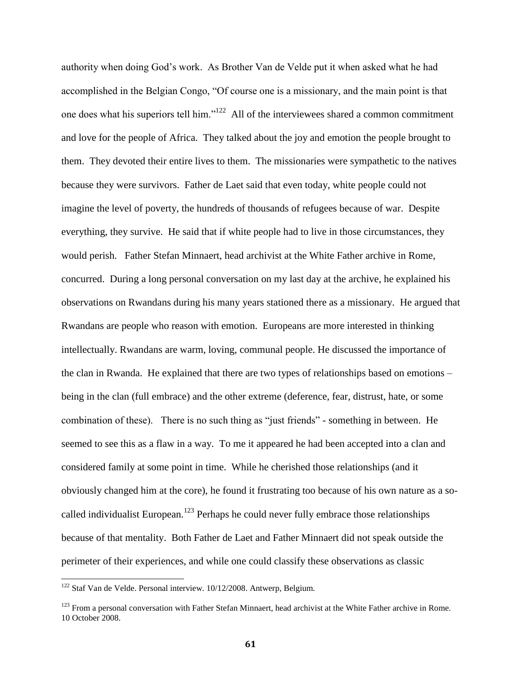authority when doing God's work. As Brother Van de Velde put it when asked what he had accomplished in the Belgian Congo, "Of course one is a missionary, and the main point is that one does what his superiors tell him." $122$  All of the interviewees shared a common commitment and love for the people of Africa. They talked about the joy and emotion the people brought to them. They devoted their entire lives to them. The missionaries were sympathetic to the natives because they were survivors. Father de Laet said that even today, white people could not imagine the level of poverty, the hundreds of thousands of refugees because of war. Despite everything, they survive. He said that if white people had to live in those circumstances, they would perish. Father Stefan Minnaert, head archivist at the White Father archive in Rome, concurred. During a long personal conversation on my last day at the archive, he explained his observations on Rwandans during his many years stationed there as a missionary. He argued that Rwandans are people who reason with emotion. Europeans are more interested in thinking intellectually. Rwandans are warm, loving, communal people. He discussed the importance of the clan in Rwanda. He explained that there are two types of relationships based on emotions – being in the clan (full embrace) and the other extreme (deference, fear, distrust, hate, or some combination of these). There is no such thing as "just friends" - something in between. He seemed to see this as a flaw in a way. To me it appeared he had been accepted into a clan and considered family at some point in time. While he cherished those relationships (and it obviously changed him at the core), he found it frustrating too because of his own nature as a socalled individualist European.<sup>123</sup> Perhaps he could never fully embrace those relationships because of that mentality. Both Father de Laet and Father Minnaert did not speak outside the perimeter of their experiences, and while one could classify these observations as classic

<sup>&</sup>lt;sup>122</sup> Staf Van de Velde. Personal interview. 10/12/2008. Antwerp, Belgium.

<sup>&</sup>lt;sup>123</sup> From a personal conversation with Father Stefan Minnaert, head archivist at the White Father archive in Rome. 10 October 2008.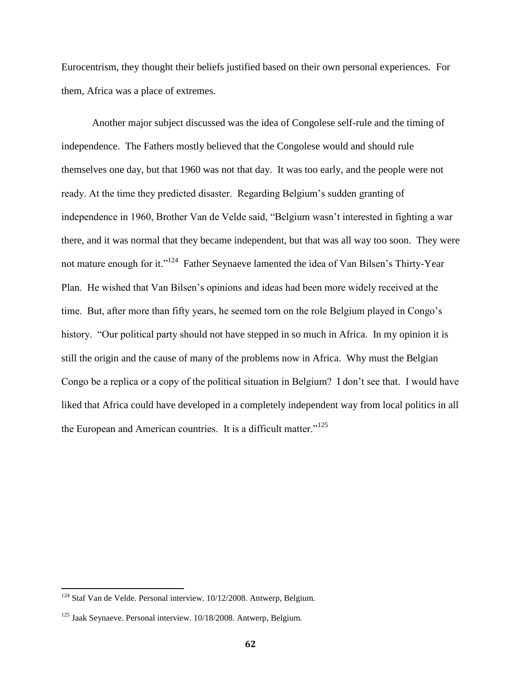Eurocentrism, they thought their beliefs justified based on their own personal experiences. For them, Africa was a place of extremes.

Another major subject discussed was the idea of Congolese self-rule and the timing of independence. The Fathers mostly believed that the Congolese would and should rule themselves one day, but that 1960 was not that day. It was too early, and the people were not ready. At the time they predicted disaster. Regarding Belgium's sudden granting of independence in 1960, Brother Van de Velde said, "Belgium wasn't interested in fighting a war there, and it was normal that they became independent, but that was all way too soon. They were not mature enough for it."<sup>124</sup> Father Seynaeve lamented the idea of Van Bilsen's Thirty-Year Plan. He wished that Van Bilsen's opinions and ideas had been more widely received at the time. But, after more than fifty years, he seemed torn on the role Belgium played in Congo's history. "Our political party should not have stepped in so much in Africa. In my opinion it is still the origin and the cause of many of the problems now in Africa. Why must the Belgian Congo be a replica or a copy of the political situation in Belgium? I don't see that. I would have liked that Africa could have developed in a completely independent way from local politics in all the European and American countries. It is a difficult matter."<sup>125</sup>

 $124$  Staf Van de Velde. Personal interview.  $10/12/2008$ . Antwerp, Belgium.

 $125$  Jaak Seynaeve. Personal interview.  $10/18/2008$ . Antwerp, Belgium.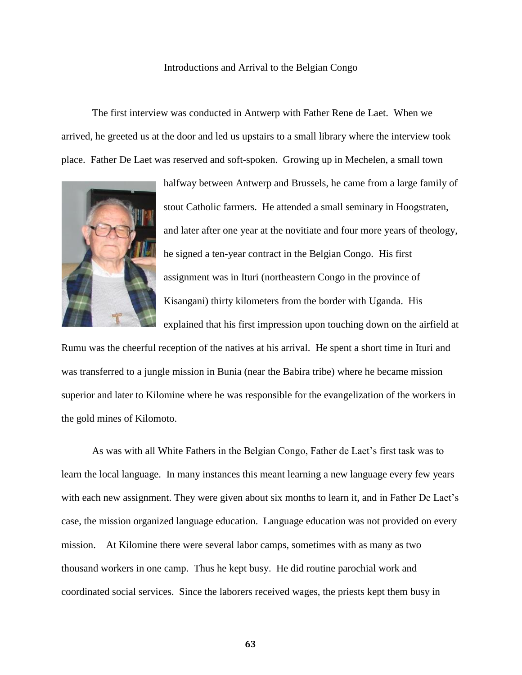### Introductions and Arrival to the Belgian Congo

The first interview was conducted in Antwerp with Father Rene de Laet. When we arrived, he greeted us at the door and led us upstairs to a small library where the interview took place. Father De Laet was reserved and soft-spoken. Growing up in Mechelen, a small town



halfway between Antwerp and Brussels, he came from a large family of stout Catholic farmers. He attended a small seminary in Hoogstraten, and later after one year at the novitiate and four more years of theology, he signed a ten-year contract in the Belgian Congo. His first assignment was in Ituri (northeastern Congo in the province of Kisangani) thirty kilometers from the border with Uganda. His explained that his first impression upon touching down on the airfield at

Rumu was the cheerful reception of the natives at his arrival. He spent a short time in Ituri and was transferred to a jungle mission in Bunia (near the Babira tribe) where he became mission superior and later to Kilomine where he was responsible for the evangelization of the workers in the gold mines of Kilomoto.

As was with all White Fathers in the Belgian Congo, Father de Laet's first task was to learn the local language. In many instances this meant learning a new language every few years with each new assignment. They were given about six months to learn it, and in Father De Laet's case, the mission organized language education. Language education was not provided on every mission. At Kilomine there were several labor camps, sometimes with as many as two thousand workers in one camp. Thus he kept busy. He did routine parochial work and coordinated social services. Since the laborers received wages, the priests kept them busy in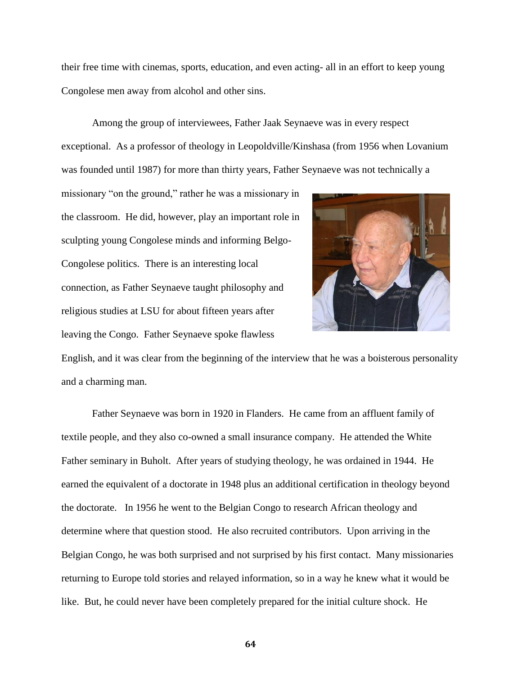their free time with cinemas, sports, education, and even acting- all in an effort to keep young Congolese men away from alcohol and other sins.

Among the group of interviewees, Father Jaak Seynaeve was in every respect exceptional. As a professor of theology in Leopoldville/Kinshasa (from 1956 when Lovanium was founded until 1987) for more than thirty years, Father Seynaeve was not technically a

missionary "on the ground," rather he was a missionary in the classroom. He did, however, play an important role in sculpting young Congolese minds and informing Belgo-Congolese politics. There is an interesting local connection, as Father Seynaeve taught philosophy and religious studies at LSU for about fifteen years after leaving the Congo. Father Seynaeve spoke flawless



English, and it was clear from the beginning of the interview that he was a boisterous personality and a charming man.

Father Seynaeve was born in 1920 in Flanders. He came from an affluent family of textile people, and they also co-owned a small insurance company. He attended the White Father seminary in Buholt. After years of studying theology, he was ordained in 1944. He earned the equivalent of a doctorate in 1948 plus an additional certification in theology beyond the doctorate. In 1956 he went to the Belgian Congo to research African theology and determine where that question stood. He also recruited contributors. Upon arriving in the Belgian Congo, he was both surprised and not surprised by his first contact. Many missionaries returning to Europe told stories and relayed information, so in a way he knew what it would be like. But, he could never have been completely prepared for the initial culture shock. He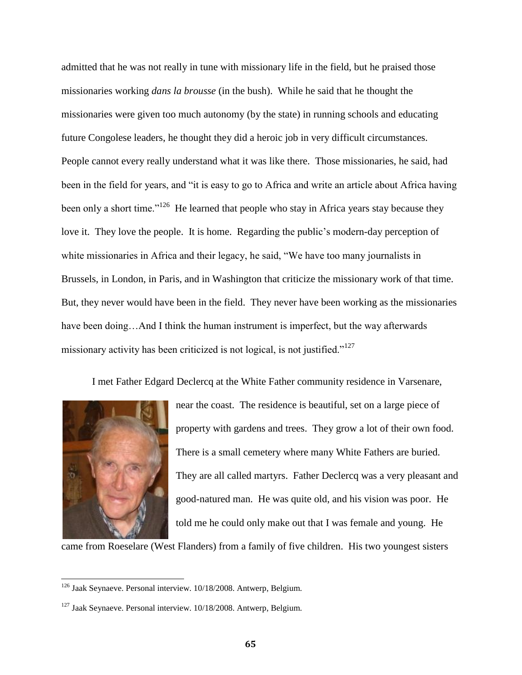admitted that he was not really in tune with missionary life in the field, but he praised those missionaries working *dans la brousse* (in the bush). While he said that he thought the missionaries were given too much autonomy (by the state) in running schools and educating future Congolese leaders, he thought they did a heroic job in very difficult circumstances. People cannot every really understand what it was like there. Those missionaries, he said, had been in the field for years, and "it is easy to go to Africa and write an article about Africa having been only a short time."<sup>126</sup> He learned that people who stay in Africa years stay because they love it. They love the people. It is home. Regarding the public's modern-day perception of white missionaries in Africa and their legacy, he said, "We have too many journalists in Brussels, in London, in Paris, and in Washington that criticize the missionary work of that time. But, they never would have been in the field. They never have been working as the missionaries have been doing...And I think the human instrument is imperfect, but the way afterwards missionary activity has been criticized is not logical, is not justified."<sup>127</sup>

I met Father Edgard Declercq at the White Father community residence in Varsenare,



 $\overline{\phantom{a}}$ 

near the coast. The residence is beautiful, set on a large piece of property with gardens and trees. They grow a lot of their own food. There is a small cemetery where many White Fathers are buried. They are all called martyrs. Father Declercq was a very pleasant and good-natured man. He was quite old, and his vision was poor. He told me he could only make out that I was female and young. He

came from Roeselare (West Flanders) from a family of five children. His two youngest sisters

<sup>&</sup>lt;sup>126</sup> Jaak Seynaeve. Personal interview. 10/18/2008. Antwerp, Belgium.

<sup>127</sup> Jaak Seynaeve. Personal interview. 10/18/2008. Antwerp, Belgium.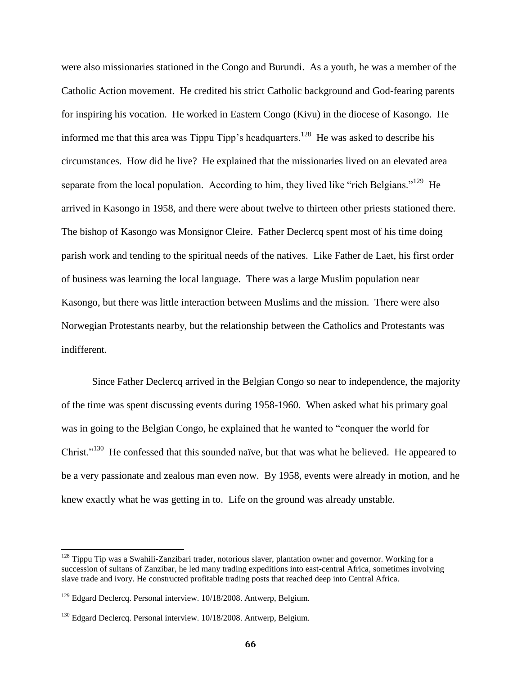were also missionaries stationed in the Congo and Burundi. As a youth, he was a member of the Catholic Action movement. He credited his strict Catholic background and God-fearing parents for inspiring his vocation. He worked in Eastern Congo (Kivu) in the diocese of Kasongo. He informed me that this area was Tippu Tipp's headquarters.<sup>128</sup> He was asked to describe his circumstances. How did he live? He explained that the missionaries lived on an elevated area separate from the local population. According to him, they lived like "rich Belgians."<sup>129</sup> He arrived in Kasongo in 1958, and there were about twelve to thirteen other priests stationed there. The bishop of Kasongo was Monsignor Cleire. Father Declercq spent most of his time doing parish work and tending to the spiritual needs of the natives. Like Father de Laet, his first order of business was learning the local language. There was a large Muslim population near Kasongo, but there was little interaction between Muslims and the mission. There were also Norwegian Protestants nearby, but the relationship between the Catholics and Protestants was indifferent.

Since Father Declercq arrived in the Belgian Congo so near to independence, the majority of the time was spent discussing events during 1958-1960. When asked what his primary goal was in going to the Belgian Congo, he explained that he wanted to "conquer the world for Christ."<sup>130</sup> He confessed that this sounded naïve, but that was what he believed. He appeared to be a very passionate and zealous man even now. By 1958, events were already in motion, and he knew exactly what he was getting in to. Life on the ground was already unstable.

 $128$  Tippu Tip was a [Swahili-](http://en.wikipedia.org/wiki/Swahili_people)[Zanzibari](http://en.wikipedia.org/wiki/Zanzibar) trader, notorious slaver, plantation owner and governor. Working for a succession of [sultans of Zanzibar,](http://en.wikipedia.org/wiki/Sultan_of_Zanzibar) he led many trading expeditions into east-central Africa, sometimes involving [slave trade](http://en.wikipedia.org/wiki/Slavery) and ivory. He constructed profitable trading posts that reached deep into Central Africa.

 $129$  Edgard Declercq. Personal interview. 10/18/2008. Antwerp, Belgium.

<sup>&</sup>lt;sup>130</sup> Edgard Declercq. Personal interview. 10/18/2008. Antwerp, Belgium.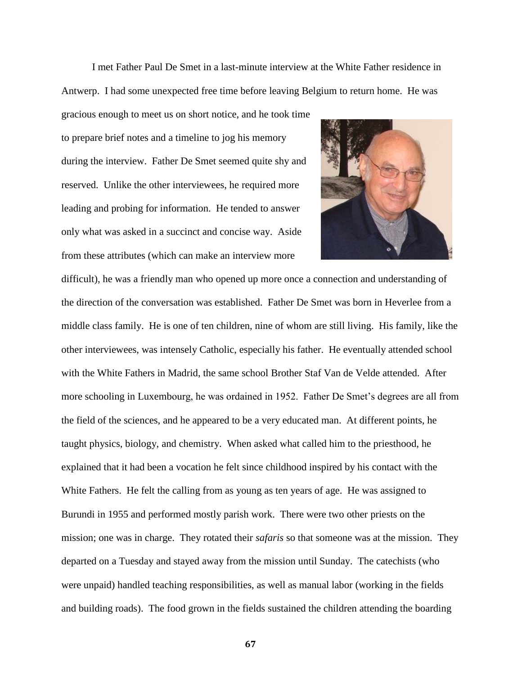I met Father Paul De Smet in a last-minute interview at the White Father residence in Antwerp. I had some unexpected free time before leaving Belgium to return home. He was

gracious enough to meet us on short notice, and he took time to prepare brief notes and a timeline to jog his memory during the interview. Father De Smet seemed quite shy and reserved. Unlike the other interviewees, he required more leading and probing for information. He tended to answer only what was asked in a succinct and concise way. Aside from these attributes (which can make an interview more



difficult), he was a friendly man who opened up more once a connection and understanding of the direction of the conversation was established. Father De Smet was born in Heverlee from a middle class family. He is one of ten children, nine of whom are still living. His family, like the other interviewees, was intensely Catholic, especially his father. He eventually attended school with the White Fathers in Madrid, the same school Brother Staf Van de Velde attended. After more schooling in Luxembourg, he was ordained in 1952. Father De Smet's degrees are all from the field of the sciences, and he appeared to be a very educated man. At different points, he taught physics, biology, and chemistry. When asked what called him to the priesthood, he explained that it had been a vocation he felt since childhood inspired by his contact with the White Fathers. He felt the calling from as young as ten years of age. He was assigned to Burundi in 1955 and performed mostly parish work. There were two other priests on the mission; one was in charge. They rotated their *safaris* so that someone was at the mission. They departed on a Tuesday and stayed away from the mission until Sunday. The catechists (who were unpaid) handled teaching responsibilities, as well as manual labor (working in the fields and building roads). The food grown in the fields sustained the children attending the boarding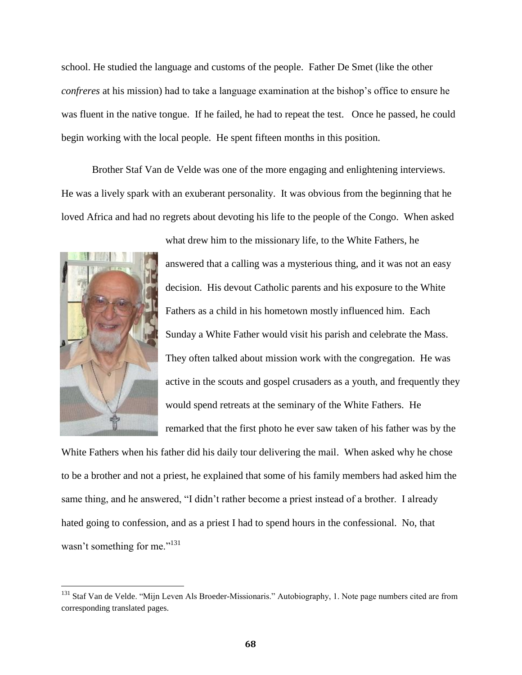school. He studied the language and customs of the people. Father De Smet (like the other *confreres* at his mission) had to take a language examination at the bishop's office to ensure he was fluent in the native tongue. If he failed, he had to repeat the test. Once he passed, he could begin working with the local people. He spent fifteen months in this position.

Brother Staf Van de Velde was one of the more engaging and enlightening interviews. He was a lively spark with an exuberant personality. It was obvious from the beginning that he loved Africa and had no regrets about devoting his life to the people of the Congo. When asked



l

answered that a calling was a mysterious thing, and it was not an easy decision. His devout Catholic parents and his exposure to the White Fathers as a child in his hometown mostly influenced him. Each Sunday a White Father would visit his parish and celebrate the Mass. They often talked about mission work with the congregation. He was active in the scouts and gospel crusaders as a youth, and frequently they would spend retreats at the seminary of the White Fathers. He remarked that the first photo he ever saw taken of his father was by the

what drew him to the missionary life, to the White Fathers, he

White Fathers when his father did his daily tour delivering the mail. When asked why he chose to be a brother and not a priest, he explained that some of his family members had asked him the same thing, and he answered, "I didn't rather become a priest instead of a brother. I already hated going to confession, and as a priest I had to spend hours in the confessional. No, that wasn't something for me."<sup>131</sup>

<sup>&</sup>lt;sup>131</sup> Staf Van de Velde. "Mijn Leven Als Broeder-Missionaris." Autobiography, 1. Note page numbers cited are from corresponding translated pages.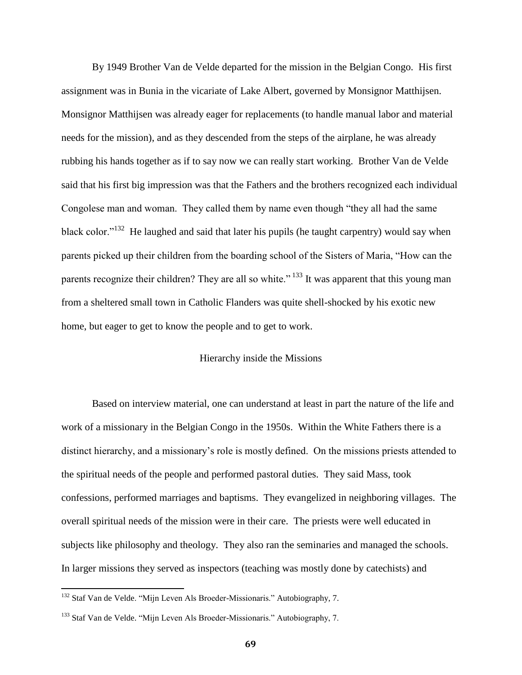By 1949 Brother Van de Velde departed for the mission in the Belgian Congo. His first assignment was in Bunia in the vicariate of Lake Albert, governed by Monsignor Matthijsen. Monsignor Matthijsen was already eager for replacements (to handle manual labor and material needs for the mission), and as they descended from the steps of the airplane, he was already rubbing his hands together as if to say now we can really start working. Brother Van de Velde said that his first big impression was that the Fathers and the brothers recognized each individual Congolese man and woman. They called them by name even though "they all had the same black color."<sup>132</sup> He laughed and said that later his pupils (he taught carpentry) would say when parents picked up their children from the boarding school of the Sisters of Maria, "How can the parents recognize their children? They are all so white."<sup>133</sup> It was apparent that this young man from a sheltered small town in Catholic Flanders was quite shell-shocked by his exotic new home, but eager to get to know the people and to get to work.

### Hierarchy inside the Missions

Based on interview material, one can understand at least in part the nature of the life and work of a missionary in the Belgian Congo in the 1950s. Within the White Fathers there is a distinct hierarchy, and a missionary's role is mostly defined. On the missions priests attended to the spiritual needs of the people and performed pastoral duties. They said Mass, took confessions, performed marriages and baptisms. They evangelized in neighboring villages. The overall spiritual needs of the mission were in their care. The priests were well educated in subjects like philosophy and theology. They also ran the seminaries and managed the schools. In larger missions they served as inspectors (teaching was mostly done by catechists) and

<sup>&</sup>lt;sup>132</sup> Staf Van de Velde. "Mijn Leven Als Broeder-Missionaris." Autobiography, 7.

<sup>&</sup>lt;sup>133</sup> Staf Van de Velde. "Mijn Leven Als Broeder-Missionaris." Autobiography, 7.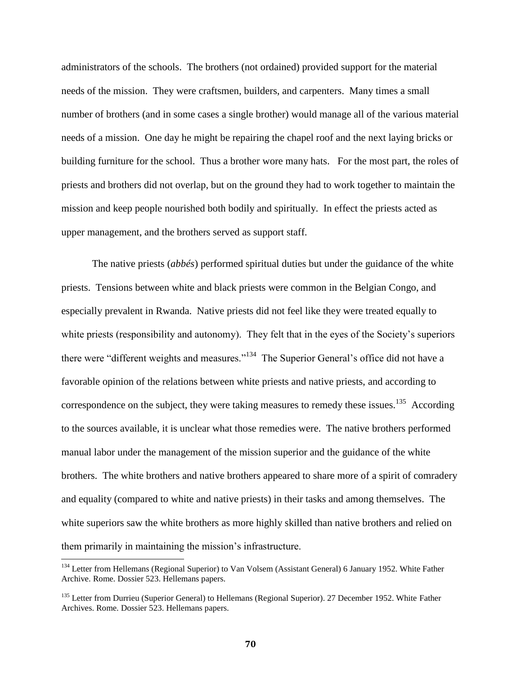administrators of the schools. The brothers (not ordained) provided support for the material needs of the mission. They were craftsmen, builders, and carpenters. Many times a small number of brothers (and in some cases a single brother) would manage all of the various material needs of a mission. One day he might be repairing the chapel roof and the next laying bricks or building furniture for the school. Thus a brother wore many hats. For the most part, the roles of priests and brothers did not overlap, but on the ground they had to work together to maintain the mission and keep people nourished both bodily and spiritually. In effect the priests acted as upper management, and the brothers served as support staff.

The native priests (*abbés*) performed spiritual duties but under the guidance of the white priests. Tensions between white and black priests were common in the Belgian Congo, and especially prevalent in Rwanda. Native priests did not feel like they were treated equally to white priests (responsibility and autonomy). They felt that in the eyes of the Society's superiors there were "different weights and measures."<sup>134</sup> The Superior General's office did not have a favorable opinion of the relations between white priests and native priests, and according to correspondence on the subject, they were taking measures to remedy these issues.<sup>135</sup> According to the sources available, it is unclear what those remedies were. The native brothers performed manual labor under the management of the mission superior and the guidance of the white brothers. The white brothers and native brothers appeared to share more of a spirit of comradery and equality (compared to white and native priests) in their tasks and among themselves. The white superiors saw the white brothers as more highly skilled than native brothers and relied on them primarily in maintaining the mission's infrastructure.

<sup>&</sup>lt;sup>134</sup> Letter from Hellemans (Regional Superior) to Van Volsem (Assistant General) 6 January 1952. White Father Archive. Rome. Dossier 523. Hellemans papers.

<sup>&</sup>lt;sup>135</sup> Letter from Durrieu (Superior General) to Hellemans (Regional Superior). 27 December 1952. White Father Archives. Rome. Dossier 523. Hellemans papers.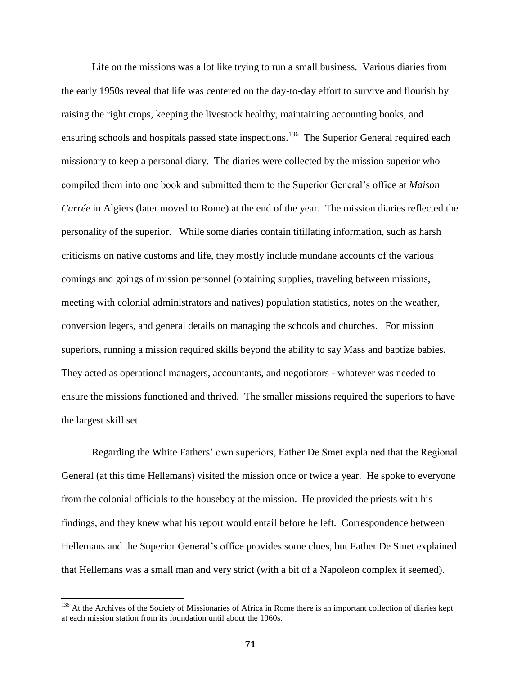Life on the missions was a lot like trying to run a small business. Various diaries from the early 1950s reveal that life was centered on the day-to-day effort to survive and flourish by raising the right crops, keeping the livestock healthy, maintaining accounting books, and ensuring schools and hospitals passed state inspections.<sup>136</sup> The Superior General required each missionary to keep a personal diary. The diaries were collected by the mission superior who compiled them into one book and submitted them to the Superior General's office at *Maison Carrée* in Algiers (later moved to Rome) at the end of the year. The mission diaries reflected the personality of the superior. While some diaries contain titillating information, such as harsh criticisms on native customs and life, they mostly include mundane accounts of the various comings and goings of mission personnel (obtaining supplies, traveling between missions, meeting with colonial administrators and natives) population statistics, notes on the weather, conversion legers, and general details on managing the schools and churches. For mission superiors, running a mission required skills beyond the ability to say Mass and baptize babies. They acted as operational managers, accountants, and negotiators - whatever was needed to ensure the missions functioned and thrived. The smaller missions required the superiors to have the largest skill set.

Regarding the White Fathers' own superiors, Father De Smet explained that the Regional General (at this time Hellemans) visited the mission once or twice a year. He spoke to everyone from the colonial officials to the houseboy at the mission. He provided the priests with his findings, and they knew what his report would entail before he left. Correspondence between Hellemans and the Superior General's office provides some clues, but Father De Smet explained that Hellemans was a small man and very strict (with a bit of a Napoleon complex it seemed).

 $\overline{a}$ 

<sup>&</sup>lt;sup>136</sup> At the Archives of the Society of Missionaries of Africa in Rome there is an important collection of diaries kept at each mission station from its foundation until about the 1960s.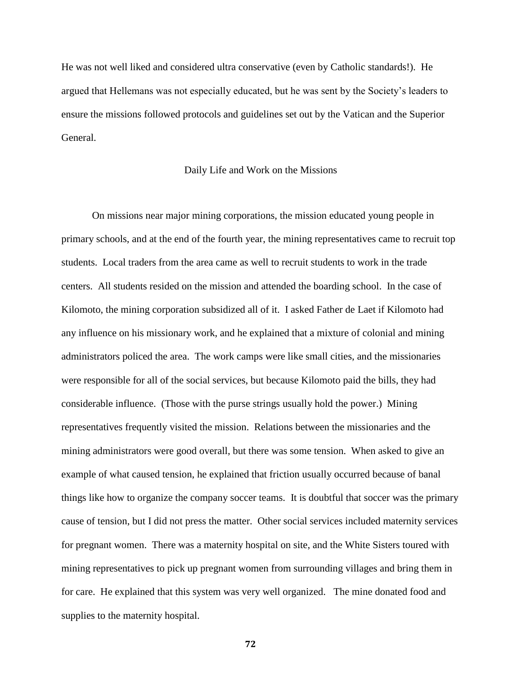He was not well liked and considered ultra conservative (even by Catholic standards!). He argued that Hellemans was not especially educated, but he was sent by the Society's leaders to ensure the missions followed protocols and guidelines set out by the Vatican and the Superior General.

#### Daily Life and Work on the Missions

On missions near major mining corporations, the mission educated young people in primary schools, and at the end of the fourth year, the mining representatives came to recruit top students. Local traders from the area came as well to recruit students to work in the trade centers. All students resided on the mission and attended the boarding school. In the case of Kilomoto, the mining corporation subsidized all of it. I asked Father de Laet if Kilomoto had any influence on his missionary work, and he explained that a mixture of colonial and mining administrators policed the area. The work camps were like small cities, and the missionaries were responsible for all of the social services, but because Kilomoto paid the bills, they had considerable influence. (Those with the purse strings usually hold the power.) Mining representatives frequently visited the mission. Relations between the missionaries and the mining administrators were good overall, but there was some tension. When asked to give an example of what caused tension, he explained that friction usually occurred because of banal things like how to organize the company soccer teams. It is doubtful that soccer was the primary cause of tension, but I did not press the matter. Other social services included maternity services for pregnant women. There was a maternity hospital on site, and the White Sisters toured with mining representatives to pick up pregnant women from surrounding villages and bring them in for care. He explained that this system was very well organized. The mine donated food and supplies to the maternity hospital.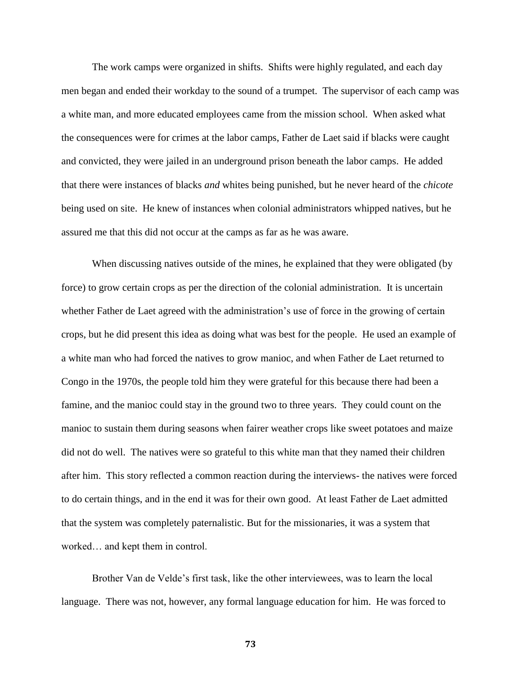The work camps were organized in shifts. Shifts were highly regulated, and each day men began and ended their workday to the sound of a trumpet. The supervisor of each camp was a white man, and more educated employees came from the mission school. When asked what the consequences were for crimes at the labor camps, Father de Laet said if blacks were caught and convicted, they were jailed in an underground prison beneath the labor camps. He added that there were instances of blacks *and* whites being punished, but he never heard of the *chicote* being used on site. He knew of instances when colonial administrators whipped natives, but he assured me that this did not occur at the camps as far as he was aware.

When discussing natives outside of the mines, he explained that they were obligated (by force) to grow certain crops as per the direction of the colonial administration. It is uncertain whether Father de Laet agreed with the administration's use of force in the growing of certain crops, but he did present this idea as doing what was best for the people. He used an example of a white man who had forced the natives to grow manioc, and when Father de Laet returned to Congo in the 1970s, the people told him they were grateful for this because there had been a famine, and the manioc could stay in the ground two to three years. They could count on the manioc to sustain them during seasons when fairer weather crops like sweet potatoes and maize did not do well. The natives were so grateful to this white man that they named their children after him. This story reflected a common reaction during the interviews- the natives were forced to do certain things, and in the end it was for their own good. At least Father de Laet admitted that the system was completely paternalistic. But for the missionaries, it was a system that worked… and kept them in control.

Brother Van de Velde's first task, like the other interviewees, was to learn the local language. There was not, however, any formal language education for him. He was forced to

**73**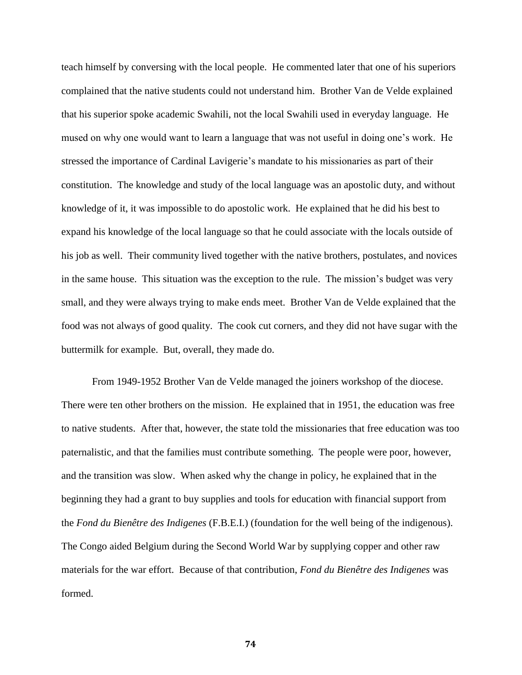teach himself by conversing with the local people. He commented later that one of his superiors complained that the native students could not understand him. Brother Van de Velde explained that his superior spoke academic Swahili, not the local Swahili used in everyday language. He mused on why one would want to learn a language that was not useful in doing one's work. He stressed the importance of Cardinal Lavigerie's mandate to his missionaries as part of their constitution. The knowledge and study of the local language was an apostolic duty, and without knowledge of it, it was impossible to do apostolic work. He explained that he did his best to expand his knowledge of the local language so that he could associate with the locals outside of his job as well. Their community lived together with the native brothers, postulates, and novices in the same house. This situation was the exception to the rule. The mission's budget was very small, and they were always trying to make ends meet. Brother Van de Velde explained that the food was not always of good quality. The cook cut corners, and they did not have sugar with the buttermilk for example. But, overall, they made do.

From 1949-1952 Brother Van de Velde managed the joiners workshop of the diocese. There were ten other brothers on the mission. He explained that in 1951, the education was free to native students. After that, however, the state told the missionaries that free education was too paternalistic, and that the families must contribute something. The people were poor, however, and the transition was slow. When asked why the change in policy, he explained that in the beginning they had a grant to buy supplies and tools for education with financial support from the *Fond du Bienêtre des Indigenes* (F.B.E.I.) (foundation for the well being of the indigenous). The Congo aided Belgium during the Second World War by supplying copper and other raw materials for the war effort. Because of that contribution, *Fond du Bienêtre des Indigenes* was formed.

**74**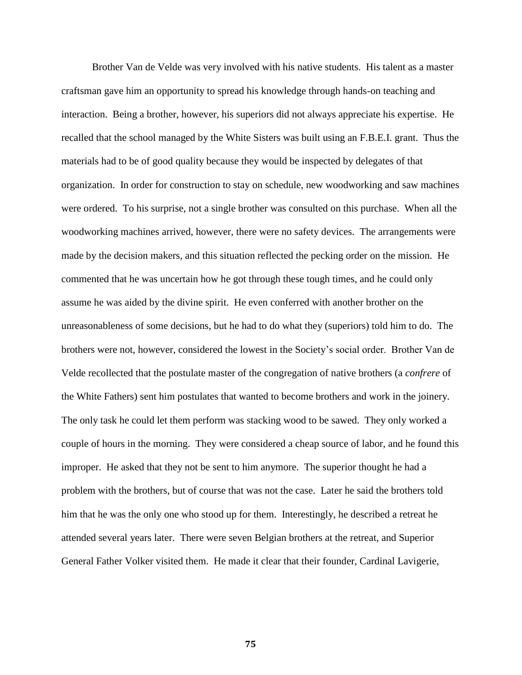Brother Van de Velde was very involved with his native students. His talent as a master craftsman gave him an opportunity to spread his knowledge through hands-on teaching and interaction. Being a brother, however, his superiors did not always appreciate his expertise. He recalled that the school managed by the White Sisters was built using an F.B.E.I. grant. Thus the materials had to be of good quality because they would be inspected by delegates of that organization. In order for construction to stay on schedule, new woodworking and saw machines were ordered. To his surprise, not a single brother was consulted on this purchase. When all the woodworking machines arrived, however, there were no safety devices. The arrangements were made by the decision makers, and this situation reflected the pecking order on the mission. He commented that he was uncertain how he got through these tough times, and he could only assume he was aided by the divine spirit. He even conferred with another brother on the unreasonableness of some decisions, but he had to do what they (superiors) told him to do. The brothers were not, however, considered the lowest in the Society's social order. Brother Van de Velde recollected that the postulate master of the congregation of native brothers (a *confrere* of the White Fathers) sent him postulates that wanted to become brothers and work in the joinery. The only task he could let them perform was stacking wood to be sawed. They only worked a couple of hours in the morning. They were considered a cheap source of labor, and he found this improper. He asked that they not be sent to him anymore. The superior thought he had a problem with the brothers, but of course that was not the case. Later he said the brothers told him that he was the only one who stood up for them. Interestingly, he described a retreat he attended several years later. There were seven Belgian brothers at the retreat, and Superior General Father Volker visited them. He made it clear that their founder, Cardinal Lavigerie,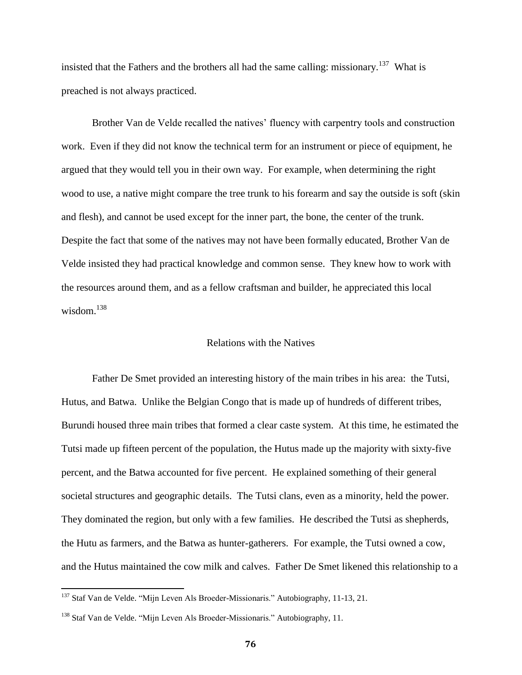insisted that the Fathers and the brothers all had the same calling: missionary.<sup>137</sup> What is preached is not always practiced.

Brother Van de Velde recalled the natives' fluency with carpentry tools and construction work. Even if they did not know the technical term for an instrument or piece of equipment, he argued that they would tell you in their own way. For example, when determining the right wood to use, a native might compare the tree trunk to his forearm and say the outside is soft (skin and flesh), and cannot be used except for the inner part, the bone, the center of the trunk. Despite the fact that some of the natives may not have been formally educated, Brother Van de Velde insisted they had practical knowledge and common sense. They knew how to work with the resources around them, and as a fellow craftsman and builder, he appreciated this local wisdom. $138$ 

## Relations with the Natives

Father De Smet provided an interesting history of the main tribes in his area: the Tutsi, Hutus, and Batwa. Unlike the Belgian Congo that is made up of hundreds of different tribes, Burundi housed three main tribes that formed a clear caste system. At this time, he estimated the Tutsi made up fifteen percent of the population, the Hutus made up the majority with sixty-five percent, and the Batwa accounted for five percent. He explained something of their general societal structures and geographic details. The Tutsi clans, even as a minority, held the power. They dominated the region, but only with a few families. He described the Tutsi as shepherds, the Hutu as farmers, and the Batwa as hunter-gatherers. For example, the Tutsi owned a cow, and the Hutus maintained the cow milk and calves. Father De Smet likened this relationship to a

 $137$  Staf Van de Velde. "Mijn Leven Als Broeder-Missionaris." Autobiography, 11-13, 21.

<sup>&</sup>lt;sup>138</sup> Staf Van de Velde. "Mijn Leven Als Broeder-Missionaris." Autobiography, 11.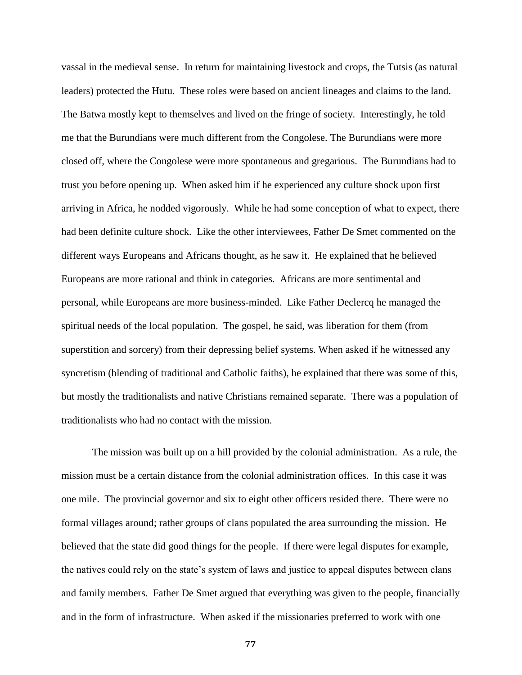vassal in the medieval sense. In return for maintaining livestock and crops, the Tutsis (as natural leaders) protected the Hutu. These roles were based on ancient lineages and claims to the land. The Batwa mostly kept to themselves and lived on the fringe of society. Interestingly, he told me that the Burundians were much different from the Congolese. The Burundians were more closed off, where the Congolese were more spontaneous and gregarious. The Burundians had to trust you before opening up. When asked him if he experienced any culture shock upon first arriving in Africa, he nodded vigorously. While he had some conception of what to expect, there had been definite culture shock. Like the other interviewees, Father De Smet commented on the different ways Europeans and Africans thought, as he saw it. He explained that he believed Europeans are more rational and think in categories. Africans are more sentimental and personal, while Europeans are more business-minded. Like Father Declercq he managed the spiritual needs of the local population. The gospel, he said, was liberation for them (from superstition and sorcery) from their depressing belief systems. When asked if he witnessed any syncretism (blending of traditional and Catholic faiths), he explained that there was some of this, but mostly the traditionalists and native Christians remained separate. There was a population of traditionalists who had no contact with the mission.

The mission was built up on a hill provided by the colonial administration. As a rule, the mission must be a certain distance from the colonial administration offices. In this case it was one mile. The provincial governor and six to eight other officers resided there. There were no formal villages around; rather groups of clans populated the area surrounding the mission. He believed that the state did good things for the people. If there were legal disputes for example, the natives could rely on the state's system of laws and justice to appeal disputes between clans and family members. Father De Smet argued that everything was given to the people, financially and in the form of infrastructure. When asked if the missionaries preferred to work with one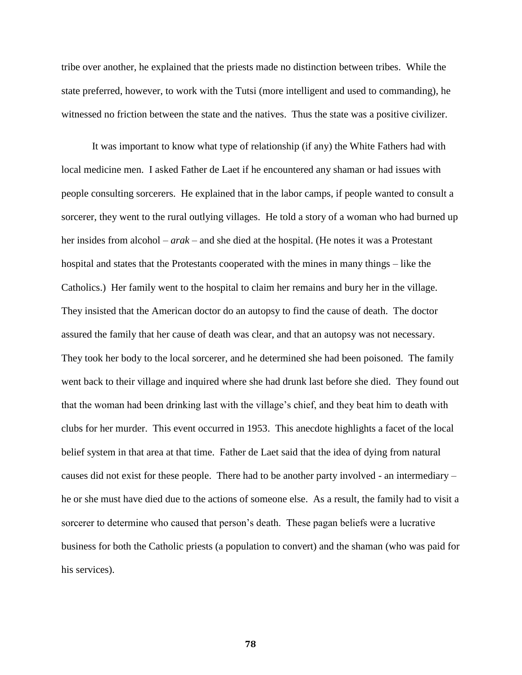tribe over another, he explained that the priests made no distinction between tribes. While the state preferred, however, to work with the Tutsi (more intelligent and used to commanding), he witnessed no friction between the state and the natives. Thus the state was a positive civilizer.

It was important to know what type of relationship (if any) the White Fathers had with local medicine men. I asked Father de Laet if he encountered any shaman or had issues with people consulting sorcerers. He explained that in the labor camps, if people wanted to consult a sorcerer, they went to the rural outlying villages. He told a story of a woman who had burned up her insides from alcohol – *arak –* and she died at the hospital. (He notes it was a Protestant hospital and states that the Protestants cooperated with the mines in many things – like the Catholics.) Her family went to the hospital to claim her remains and bury her in the village. They insisted that the American doctor do an autopsy to find the cause of death. The doctor assured the family that her cause of death was clear, and that an autopsy was not necessary. They took her body to the local sorcerer, and he determined she had been poisoned. The family went back to their village and inquired where she had drunk last before she died. They found out that the woman had been drinking last with the village's chief, and they beat him to death with clubs for her murder. This event occurred in 1953. This anecdote highlights a facet of the local belief system in that area at that time. Father de Laet said that the idea of dying from natural causes did not exist for these people. There had to be another party involved - an intermediary – he or she must have died due to the actions of someone else. As a result, the family had to visit a sorcerer to determine who caused that person's death. These pagan beliefs were a lucrative business for both the Catholic priests (a population to convert) and the shaman (who was paid for his services).

**78**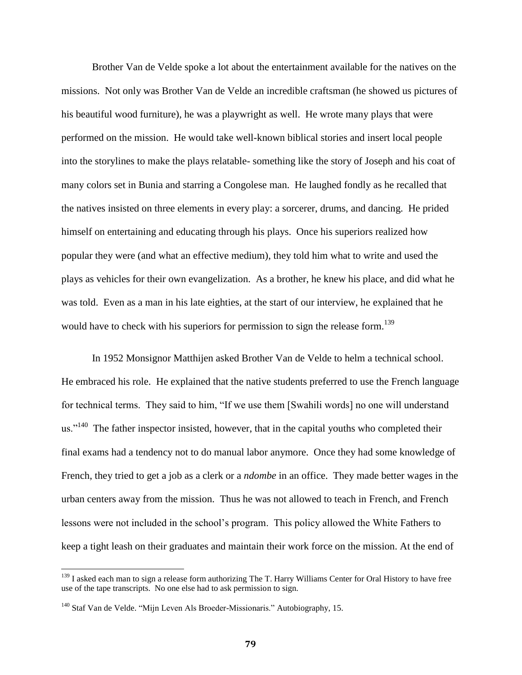Brother Van de Velde spoke a lot about the entertainment available for the natives on the missions. Not only was Brother Van de Velde an incredible craftsman (he showed us pictures of his beautiful wood furniture), he was a playwright as well. He wrote many plays that were performed on the mission. He would take well-known biblical stories and insert local people into the storylines to make the plays relatable- something like the story of Joseph and his coat of many colors set in Bunia and starring a Congolese man. He laughed fondly as he recalled that the natives insisted on three elements in every play: a sorcerer, drums, and dancing. He prided himself on entertaining and educating through his plays. Once his superiors realized how popular they were (and what an effective medium), they told him what to write and used the plays as vehicles for their own evangelization. As a brother, he knew his place, and did what he was told. Even as a man in his late eighties, at the start of our interview, he explained that he would have to check with his superiors for permission to sign the release form.<sup>139</sup>

In 1952 Monsignor Matthijen asked Brother Van de Velde to helm a technical school. He embraced his role. He explained that the native students preferred to use the French language for technical terms. They said to him, "If we use them [Swahili words] no one will understand us."<sup>140</sup> The father inspector insisted, however, that in the capital youths who completed their final exams had a tendency not to do manual labor anymore. Once they had some knowledge of French, they tried to get a job as a clerk or a *ndombe* in an office. They made better wages in the urban centers away from the mission. Thus he was not allowed to teach in French, and French lessons were not included in the school's program. This policy allowed the White Fathers to keep a tight leash on their graduates and maintain their work force on the mission. At the end of

 $\overline{a}$ 

<sup>&</sup>lt;sup>139</sup> I asked each man to sign a release form authorizing [The T. Harry Williams](http://www.google.com/url?sa=t&source=web&ct=res&cd=1&url=http%3A%2F%2Fwww.lib.lsu.edu%2Fspecial%2Fwilliams%2F&ei=497sSYeiI5KmNYurmNgF&usg=AFQjCNE-Y6UuWG3gGYzQKMQAjXUc2ppamA) Center for Oral History to have free use of the tape transcripts. No one else had to ask permission to sign.

<sup>&</sup>lt;sup>140</sup> Staf Van de Velde. "Mijn Leven Als Broeder-Missionaris." Autobiography, 15.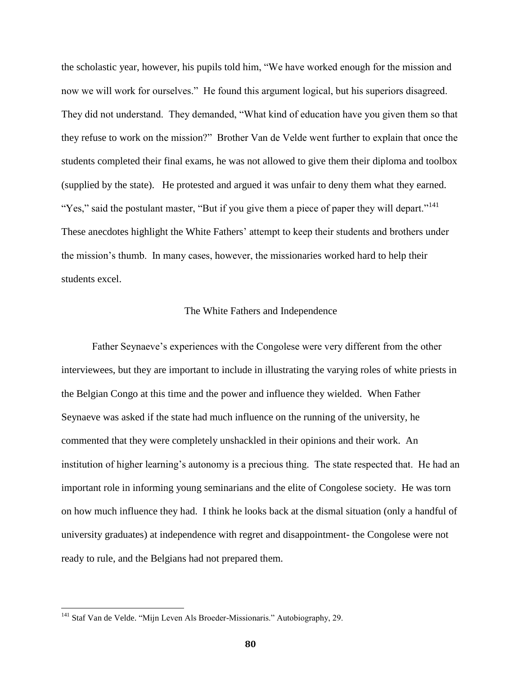the scholastic year, however, his pupils told him, "We have worked enough for the mission and now we will work for ourselves." He found this argument logical, but his superiors disagreed. They did not understand. They demanded, "What kind of education have you given them so that they refuse to work on the mission?" Brother Van de Velde went further to explain that once the students completed their final exams, he was not allowed to give them their diploma and toolbox (supplied by the state). He protested and argued it was unfair to deny them what they earned. "Yes," said the postulant master, "But if you give them a piece of paper they will depart."<sup>141</sup> These anecdotes highlight the White Fathers' attempt to keep their students and brothers under the mission's thumb. In many cases, however, the missionaries worked hard to help their students excel.

### The White Fathers and Independence

Father Seynaeve's experiences with the Congolese were very different from the other interviewees, but they are important to include in illustrating the varying roles of white priests in the Belgian Congo at this time and the power and influence they wielded. When Father Seynaeve was asked if the state had much influence on the running of the university, he commented that they were completely unshackled in their opinions and their work. An institution of higher learning's autonomy is a precious thing. The state respected that. He had an important role in informing young seminarians and the elite of Congolese society. He was torn on how much influence they had. I think he looks back at the dismal situation (only a handful of university graduates) at independence with regret and disappointment- the Congolese were not ready to rule, and the Belgians had not prepared them.

<sup>&</sup>lt;sup>141</sup> Staf Van de Velde. "Mijn Leven Als Broeder-Missionaris." Autobiography, 29.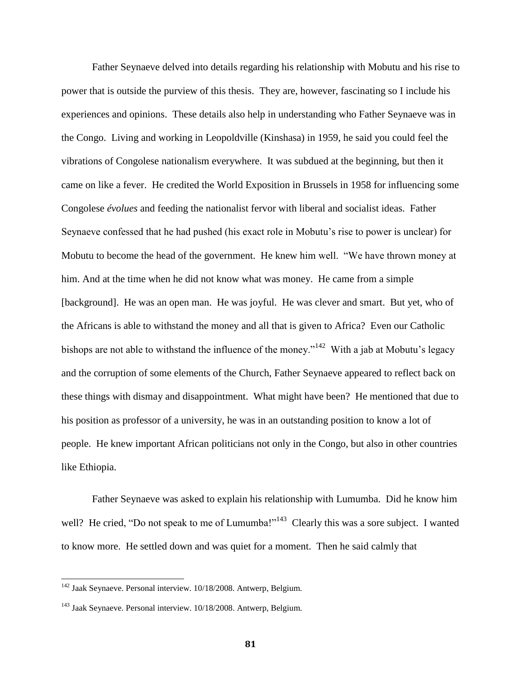Father Seynaeve delved into details regarding his relationship with Mobutu and his rise to power that is outside the purview of this thesis. They are, however, fascinating so I include his experiences and opinions. These details also help in understanding who Father Seynaeve was in the Congo. Living and working in Leopoldville (Kinshasa) in 1959, he said you could feel the vibrations of Congolese nationalism everywhere. It was subdued at the beginning, but then it came on like a fever. He credited the World Exposition in Brussels in 1958 for influencing some Congolese *évolues* and feeding the nationalist fervor with liberal and socialist ideas. Father Seynaeve confessed that he had pushed (his exact role in Mobutu's rise to power is unclear) for Mobutu to become the head of the government. He knew him well. "We have thrown money at him. And at the time when he did not know what was money. He came from a simple [background]. He was an open man. He was joyful. He was clever and smart. But yet, who of the Africans is able to withstand the money and all that is given to Africa? Even our Catholic bishops are not able to withstand the influence of the money."<sup>142</sup> With a jab at Mobutu's legacy and the corruption of some elements of the Church, Father Seynaeve appeared to reflect back on these things with dismay and disappointment. What might have been? He mentioned that due to his position as professor of a university, he was in an outstanding position to know a lot of people. He knew important African politicians not only in the Congo, but also in other countries like Ethiopia.

Father Seynaeve was asked to explain his relationship with Lumumba. Did he know him well? He cried, "Do not speak to me of Lumumba!"<sup>143</sup> Clearly this was a sore subject. I wanted to know more. He settled down and was quiet for a moment. Then he said calmly that

<sup>&</sup>lt;sup>142</sup> Jaak Seynaeve. Personal interview. 10/18/2008. Antwerp, Belgium.

<sup>&</sup>lt;sup>143</sup> Jaak Seynaeve. Personal interview. 10/18/2008. Antwerp, Belgium.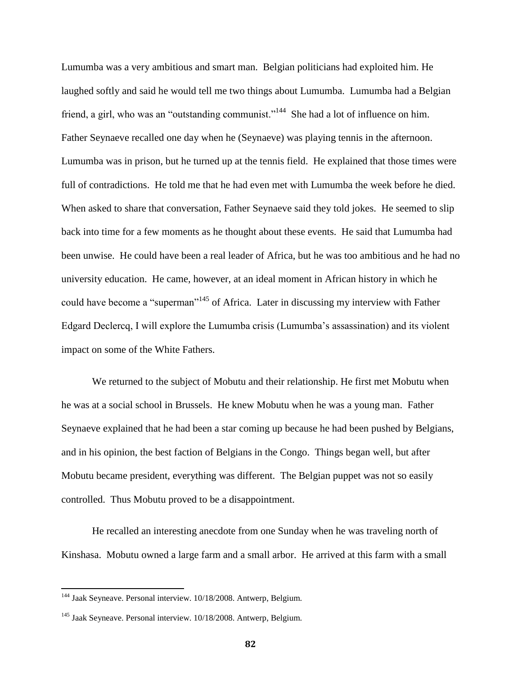Lumumba was a very ambitious and smart man. Belgian politicians had exploited him. He laughed softly and said he would tell me two things about Lumumba. Lumumba had a Belgian friend, a girl, who was an "outstanding communist."<sup>144</sup> She had a lot of influence on him. Father Seynaeve recalled one day when he (Seynaeve) was playing tennis in the afternoon. Lumumba was in prison, but he turned up at the tennis field. He explained that those times were full of contradictions. He told me that he had even met with Lumumba the week before he died. When asked to share that conversation, Father Seynaeve said they told jokes. He seemed to slip back into time for a few moments as he thought about these events. He said that Lumumba had been unwise. He could have been a real leader of Africa, but he was too ambitious and he had no university education. He came, however, at an ideal moment in African history in which he could have become a "superman"<sup>145</sup> of Africa. Later in discussing my interview with Father Edgard Declercq, I will explore the Lumumba crisis (Lumumba's assassination) and its violent impact on some of the White Fathers.

We returned to the subject of Mobutu and their relationship. He first met Mobutu when he was at a social school in Brussels. He knew Mobutu when he was a young man. Father Seynaeve explained that he had been a star coming up because he had been pushed by Belgians, and in his opinion, the best faction of Belgians in the Congo. Things began well, but after Mobutu became president, everything was different. The Belgian puppet was not so easily controlled. Thus Mobutu proved to be a disappointment.

He recalled an interesting anecdote from one Sunday when he was traveling north of Kinshasa. Mobutu owned a large farm and a small arbor. He arrived at this farm with a small

<sup>&</sup>lt;sup>144</sup> Jaak Seyneave. Personal interview. 10/18/2008. Antwerp, Belgium.

<sup>&</sup>lt;sup>145</sup> Jaak Seyneave. Personal interview. 10/18/2008. Antwerp, Belgium.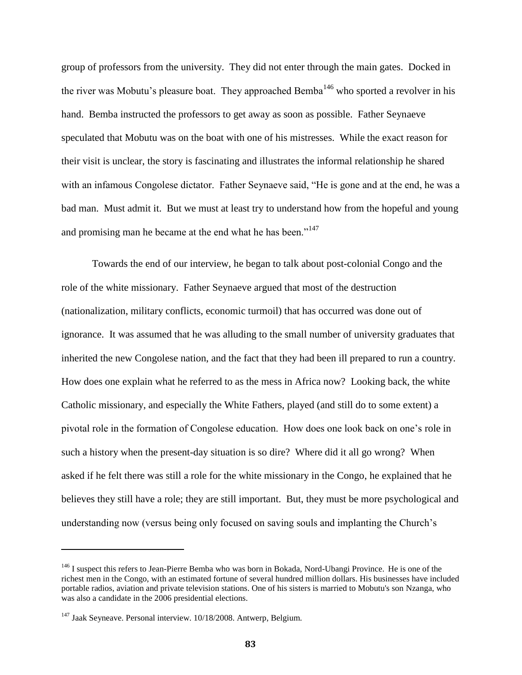group of professors from the university. They did not enter through the main gates. Docked in the river was Mobutu's pleasure boat. They approached Bemba<sup>146</sup> who sported a revolver in his hand. Bemba instructed the professors to get away as soon as possible. Father Seynaeve speculated that Mobutu was on the boat with one of his mistresses. While the exact reason for their visit is unclear, the story is fascinating and illustrates the informal relationship he shared with an infamous Congolese dictator. Father Seynaeve said, "He is gone and at the end, he was a bad man. Must admit it. But we must at least try to understand how from the hopeful and young and promising man he became at the end what he has been."<sup>147</sup>

Towards the end of our interview, he began to talk about post-colonial Congo and the role of the white missionary. Father Seynaeve argued that most of the destruction (nationalization, military conflicts, economic turmoil) that has occurred was done out of ignorance. It was assumed that he was alluding to the small number of university graduates that inherited the new Congolese nation, and the fact that they had been ill prepared to run a country. How does one explain what he referred to as the mess in Africa now? Looking back, the white Catholic missionary, and especially the White Fathers, played (and still do to some extent) a pivotal role in the formation of Congolese education. How does one look back on one's role in such a history when the present-day situation is so dire? Where did it all go wrong? When asked if he felt there was still a role for the white missionary in the Congo, he explained that he believes they still have a role; they are still important. But, they must be more psychological and understanding now (versus being only focused on saving souls and implanting the Church's

<sup>&</sup>lt;sup>146</sup> I suspect this refers to Jean-Pierre Bemba who was born in Bokada, [Nord-Ubangi Province.](http://en.wikipedia.org/wiki/Nord-Ubangi_Province) He is one of the richest men in the Congo, with an estimated fortune of several hundred million dollars. His businesses have included portable radios, aviation and private television stations. One of his sisters is married to Mobutu's son [Nzanga,](http://en.wikipedia.org/wiki/Nzanga_Mobutu) who was also a candidate in the 2006 presidential elections.

<sup>&</sup>lt;sup>147</sup> Jaak Seyneave. Personal interview. 10/18/2008. Antwerp, Belgium.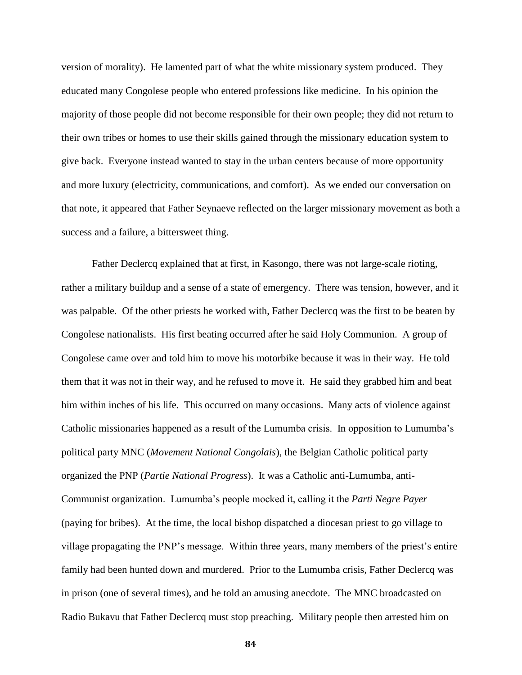version of morality). He lamented part of what the white missionary system produced. They educated many Congolese people who entered professions like medicine. In his opinion the majority of those people did not become responsible for their own people; they did not return to their own tribes or homes to use their skills gained through the missionary education system to give back. Everyone instead wanted to stay in the urban centers because of more opportunity and more luxury (electricity, communications, and comfort). As we ended our conversation on that note, it appeared that Father Seynaeve reflected on the larger missionary movement as both a success and a failure, a bittersweet thing.

Father Declercq explained that at first, in Kasongo, there was not large-scale rioting, rather a military buildup and a sense of a state of emergency. There was tension, however, and it was palpable. Of the other priests he worked with, Father Declercq was the first to be beaten by Congolese nationalists. His first beating occurred after he said Holy Communion. A group of Congolese came over and told him to move his motorbike because it was in their way. He told them that it was not in their way, and he refused to move it. He said they grabbed him and beat him within inches of his life. This occurred on many occasions. Many acts of violence against Catholic missionaries happened as a result of the Lumumba crisis. In opposition to Lumumba's political party MNC (*Movement National Congolais*), the Belgian Catholic political party organized the PNP (*Partie National Progress*). It was a Catholic anti-Lumumba, anti-Communist organization. Lumumba's people mocked it, calling it the *Parti Negre Payer* (paying for bribes). At the time, the local bishop dispatched a diocesan priest to go village to village propagating the PNP's message. Within three years, many members of the priest's entire family had been hunted down and murdered. Prior to the Lumumba crisis, Father Declercq was in prison (one of several times), and he told an amusing anecdote. The MNC broadcasted on Radio Bukavu that Father Declercq must stop preaching. Military people then arrested him on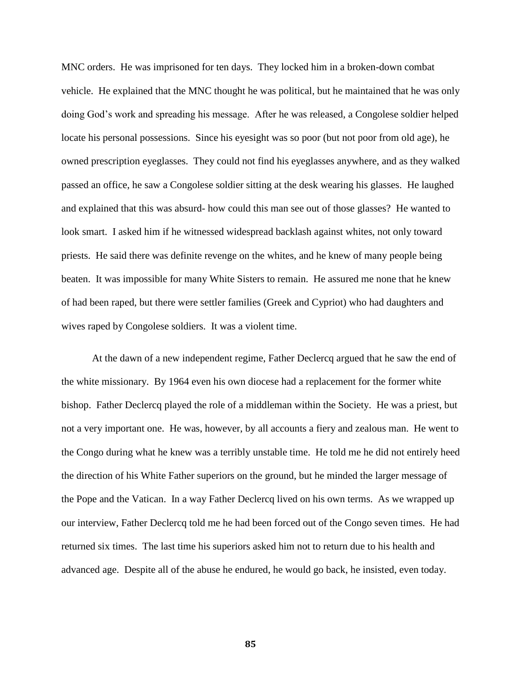MNC orders. He was imprisoned for ten days. They locked him in a broken-down combat vehicle. He explained that the MNC thought he was political, but he maintained that he was only doing God's work and spreading his message. After he was released, a Congolese soldier helped locate his personal possessions. Since his eyesight was so poor (but not poor from old age), he owned prescription eyeglasses. They could not find his eyeglasses anywhere, and as they walked passed an office, he saw a Congolese soldier sitting at the desk wearing his glasses. He laughed and explained that this was absurd- how could this man see out of those glasses? He wanted to look smart. I asked him if he witnessed widespread backlash against whites, not only toward priests. He said there was definite revenge on the whites, and he knew of many people being beaten. It was impossible for many White Sisters to remain. He assured me none that he knew of had been raped, but there were settler families (Greek and Cypriot) who had daughters and wives raped by Congolese soldiers. It was a violent time.

At the dawn of a new independent regime, Father Declercq argued that he saw the end of the white missionary. By 1964 even his own diocese had a replacement for the former white bishop. Father Declercq played the role of a middleman within the Society. He was a priest, but not a very important one. He was, however, by all accounts a fiery and zealous man. He went to the Congo during what he knew was a terribly unstable time. He told me he did not entirely heed the direction of his White Father superiors on the ground, but he minded the larger message of the Pope and the Vatican. In a way Father Declercq lived on his own terms. As we wrapped up our interview, Father Declercq told me he had been forced out of the Congo seven times. He had returned six times. The last time his superiors asked him not to return due to his health and advanced age. Despite all of the abuse he endured, he would go back, he insisted, even today.

**85**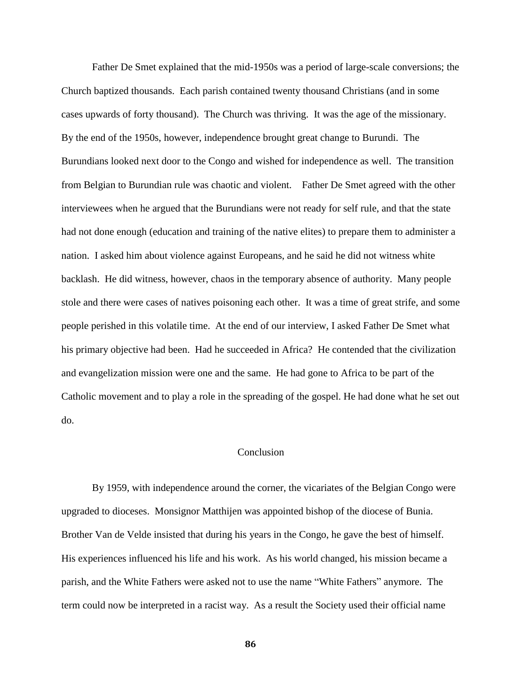Father De Smet explained that the mid-1950s was a period of large-scale conversions; the Church baptized thousands. Each parish contained twenty thousand Christians (and in some cases upwards of forty thousand). The Church was thriving. It was the age of the missionary. By the end of the 1950s, however, independence brought great change to Burundi. The Burundians looked next door to the Congo and wished for independence as well. The transition from Belgian to Burundian rule was chaotic and violent. Father De Smet agreed with the other interviewees when he argued that the Burundians were not ready for self rule, and that the state had not done enough (education and training of the native elites) to prepare them to administer a nation. I asked him about violence against Europeans, and he said he did not witness white backlash. He did witness, however, chaos in the temporary absence of authority. Many people stole and there were cases of natives poisoning each other. It was a time of great strife, and some people perished in this volatile time. At the end of our interview, I asked Father De Smet what his primary objective had been. Had he succeeded in Africa? He contended that the civilization and evangelization mission were one and the same. He had gone to Africa to be part of the Catholic movement and to play a role in the spreading of the gospel. He had done what he set out do.

# Conclusion

By 1959, with independence around the corner, the vicariates of the Belgian Congo were upgraded to dioceses. Monsignor Matthijen was appointed bishop of the diocese of Bunia. Brother Van de Velde insisted that during his years in the Congo, he gave the best of himself. His experiences influenced his life and his work. As his world changed, his mission became a parish, and the White Fathers were asked not to use the name "White Fathers" anymore. The term could now be interpreted in a racist way. As a result the Society used their official name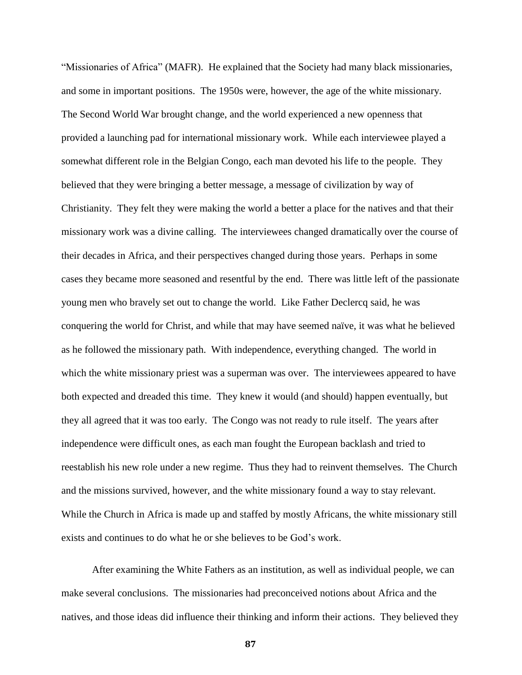"Missionaries of Africa" (MAFR). He explained that the Society had many black missionaries, and some in important positions. The 1950s were, however, the age of the white missionary. The Second World War brought change, and the world experienced a new openness that provided a launching pad for international missionary work. While each interviewee played a somewhat different role in the Belgian Congo, each man devoted his life to the people. They believed that they were bringing a better message, a message of civilization by way of Christianity. They felt they were making the world a better a place for the natives and that their missionary work was a divine calling. The interviewees changed dramatically over the course of their decades in Africa, and their perspectives changed during those years. Perhaps in some cases they became more seasoned and resentful by the end. There was little left of the passionate young men who bravely set out to change the world. Like Father Declercq said, he was conquering the world for Christ, and while that may have seemed naïve, it was what he believed as he followed the missionary path. With independence, everything changed. The world in which the white missionary priest was a superman was over. The interviewees appeared to have both expected and dreaded this time. They knew it would (and should) happen eventually, but they all agreed that it was too early. The Congo was not ready to rule itself. The years after independence were difficult ones, as each man fought the European backlash and tried to reestablish his new role under a new regime. Thus they had to reinvent themselves. The Church and the missions survived, however, and the white missionary found a way to stay relevant. While the Church in Africa is made up and staffed by mostly Africans, the white missionary still exists and continues to do what he or she believes to be God's work.

After examining the White Fathers as an institution, as well as individual people, we can make several conclusions. The missionaries had preconceived notions about Africa and the natives, and those ideas did influence their thinking and inform their actions. They believed they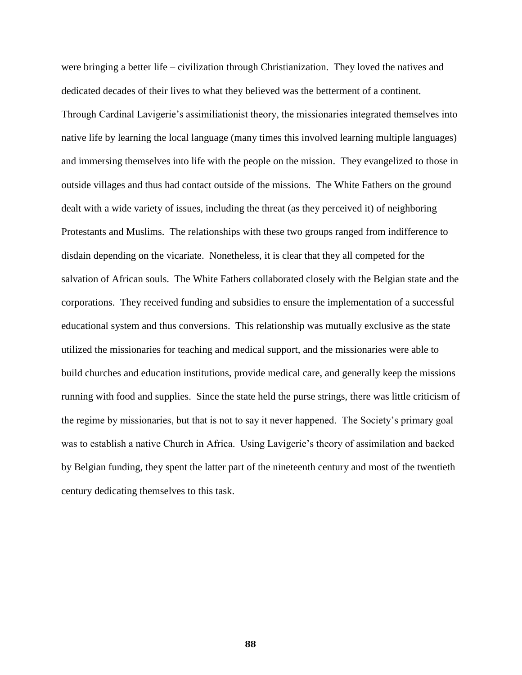were bringing a better life – civilization through Christianization. They loved the natives and dedicated decades of their lives to what they believed was the betterment of a continent. Through Cardinal Lavigerie's assimiliationist theory, the missionaries integrated themselves into native life by learning the local language (many times this involved learning multiple languages) and immersing themselves into life with the people on the mission. They evangelized to those in outside villages and thus had contact outside of the missions. The White Fathers on the ground dealt with a wide variety of issues, including the threat (as they perceived it) of neighboring Protestants and Muslims. The relationships with these two groups ranged from indifference to disdain depending on the vicariate. Nonetheless, it is clear that they all competed for the salvation of African souls. The White Fathers collaborated closely with the Belgian state and the corporations. They received funding and subsidies to ensure the implementation of a successful educational system and thus conversions. This relationship was mutually exclusive as the state utilized the missionaries for teaching and medical support, and the missionaries were able to build churches and education institutions, provide medical care, and generally keep the missions running with food and supplies. Since the state held the purse strings, there was little criticism of the regime by missionaries, but that is not to say it never happened. The Society's primary goal was to establish a native Church in Africa. Using Lavigerie's theory of assimilation and backed by Belgian funding, they spent the latter part of the nineteenth century and most of the twentieth century dedicating themselves to this task.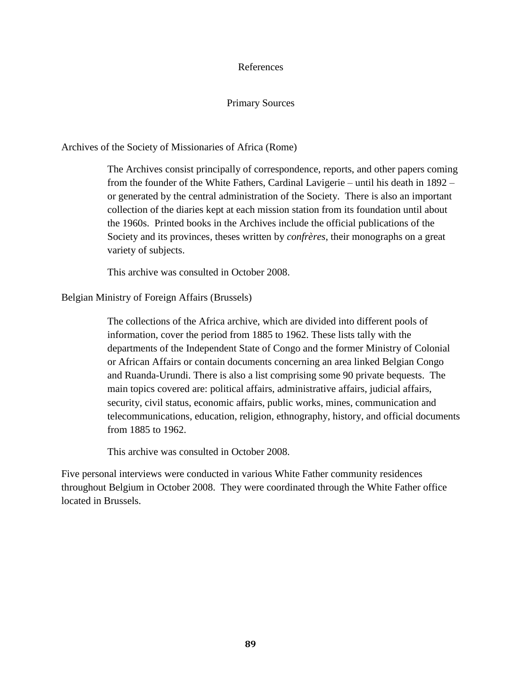## References

# Primary Sources

Archives of the Society of Missionaries of Africa (Rome)

The Archives consist principally of correspondence, reports, and other papers coming from the founder of the White Fathers, Cardinal Lavigerie – until his death in 1892 – or generated by the central administration of the Society. There is also an important collection of the diaries kept at each mission station from its foundation until about the 1960s. Printed books in the Archives include the official publications of the Society and its provinces, theses written by *confrères*, their monographs on a great variety of subjects.

This archive was consulted in October 2008.

Belgian Ministry of Foreign Affairs (Brussels)

The collections of the Africa archive, which are divided into different pools of information, cover the period from 1885 to 1962. These lists tally with the departments of the Independent State of Congo and the former Ministry of Colonial or African Affairs or contain documents concerning an area linked Belgian Congo and Ruanda-Urundi. There is also a list comprising some 90 private bequests. The main topics covered are: political affairs, administrative affairs, judicial affairs, security, civil status, economic affairs, public works, mines, communication and telecommunications, education, religion, ethnography, history, and official documents from 1885 to 1962.

This archive was consulted in October 2008.

Five personal interviews were conducted in various White Father community residences throughout Belgium in October 2008. They were coordinated through the White Father office located in Brussels.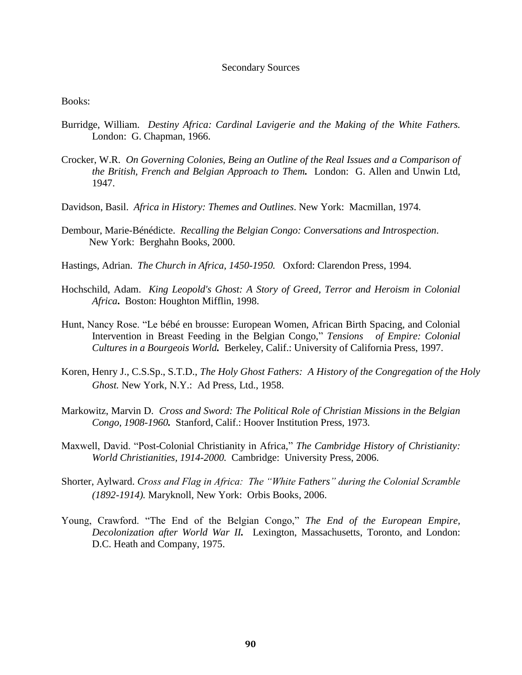#### Secondary Sources

Books:

- Burridge, William. *Destiny Africa: Cardinal Lavigerie and the Making of the White Fathers.* London: G. Chapman, 1966.
- Crocker, W.R. *On Governing Colonies, Being an Outline of the Real Issues and a Comparison of the British, French and Belgian Approach to Them.* London: G. Allen and Unwin Ltd, 1947.
- Davidson, Basil. *Africa in History: Themes and Outlines*. New York: Macmillan, 1974.
- Dembour, Marie-Bénédicte. *Recalling the Belgian Congo: Conversations and Introspection*. New York: Berghahn Books, 2000.
- Hastings, Adrian. *The Church in Africa, 1450-1950.*Oxford: Clarendon Press, 1994.
- Hochschild, Adam. *King Leopold's Ghost: A Story of Greed, Terror and Heroism in Colonial Africa***.** Boston: Houghton Mifflin, 1998.
- Hunt, Nancy Rose. "Le bébé en brousse: European Women, African Birth Spacing, and Colonial Intervention in Breast Feeding in the Belgian Congo," *Tensions**of Empire: Colonial Cultures in a Bourgeois World.* Berkeley, Calif.: University of California Press, 1997.
- Koren, Henry J., C.S.Sp., S.T.D., *The Holy Ghost Fathers: A History of the Congregation of the Holy Ghost.* New York, N.Y.: Ad Press, Ltd., 1958.
- Markowitz, Marvin D. *Cross and Sword: The Political Role of Christian Missions in the Belgian Congo, 1908-1960.* Stanford, Calif.: Hoover Institution Press, 1973.
- Maxwell, David. "Post-Colonial Christianity in Africa," *The Cambridge History of Christianity: World Christianities, 1914-2000.* Cambridge: University Press, 2006.
- Shorter, Aylward. *Cross and Flag in Africa: The "White Fathers" during the Colonial Scramble (1892-1914).* Maryknoll, New York: Orbis Books, 2006.
- Young, Crawford. "The End of the Belgian Congo," *The End of the European Empire, Decolonization after World War II.* Lexington, Massachusetts, Toronto, and London: D.C. Heath and Company, 1975.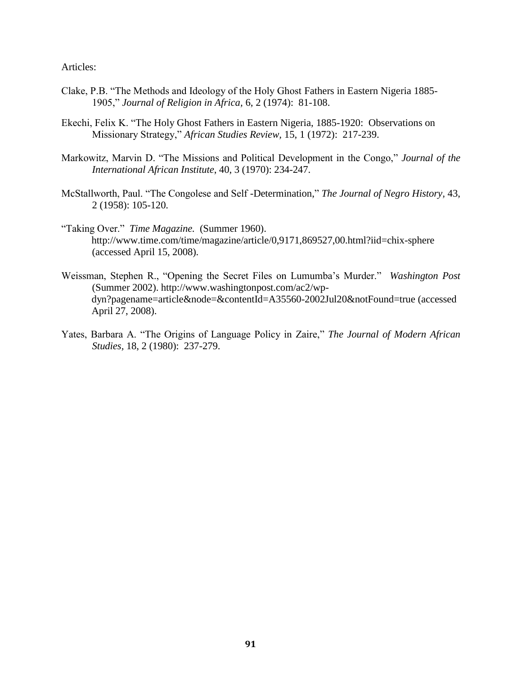Articles:

- Clake, P.B. "The Methods and Ideology of the Holy Ghost Fathers in Eastern Nigeria 1885- 1905," *Journal of Religion in Africa,* 6, 2 (1974): 81-108.
- Ekechi, Felix K. "The Holy Ghost Fathers in Eastern Nigeria, 1885-1920: Observations on Missionary Strategy," *African Studies Review,* 15, 1 (1972): 217-239.
- Markowitz, Marvin D. "The Missions and Political Development in the Congo," *Journal of the International African Institute*, 40, 3 (1970): 234-247.
- McStallworth, Paul. "The Congolese and Self -Determination," *The Journal of Negro History,* 43, 2 (1958): 105-120.
- "Taking Over." *Time Magazine.* (Summer 1960). http://www.time.com/time/magazine/article/0,9171,869527,00.html?iid=chix-sphere (accessed April 15, 2008).
- Weissman, Stephen R., "Opening the Secret Files on Lumumba's Murder." *Washington Post*  (Summer 2002). http://www.washingtonpost.com/ac2/wp dyn?pagename=article&node=&contentId=A35560-2002Jul20&notFound=true (accessed April 27, 2008).
- Yates, Barbara A. "The Origins of Language Policy in Zaire," *The Journal of Modern African Studies,* 18, 2 (1980): 237-279.